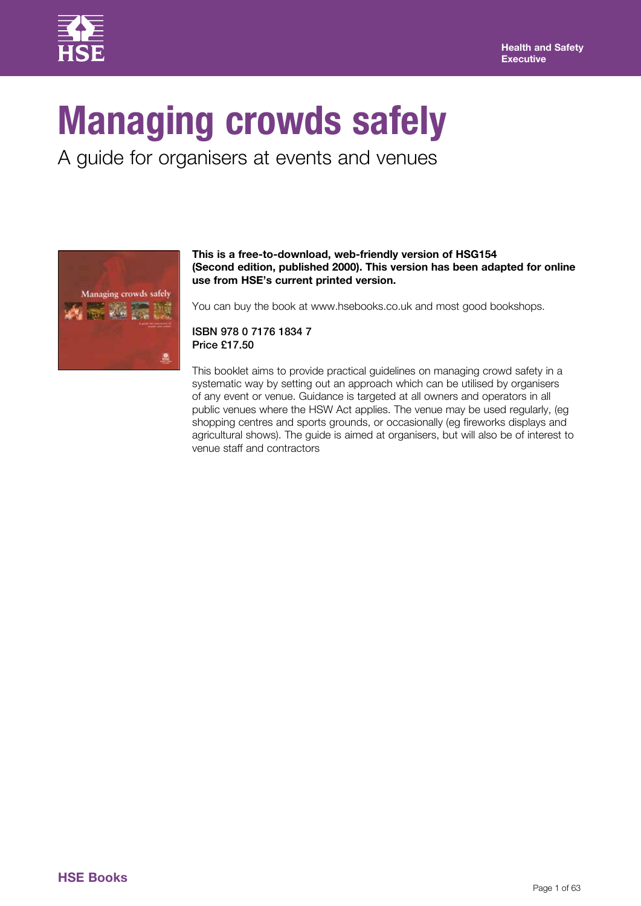

# **Managing crowds safely**

A guide for organisers at events and venues



# **This is a free-to-download, web-friendly version of HSG154 (Second edition, published 2000). This version has been adapted for online use from HSE's current printed version.**

You can buy the book at www.hsebooks.co.uk and most good bookshops.

ISBN 978 0 7176 1834 7 Price £17.50

This booklet aims to provide practical guidelines on managing crowd safety in a systematic way by setting out an approach which can be utilised by organisers of any event or venue. Guidance is targeted at all owners and operators in all public venues where the HSW Act applies. The venue may be used regularly, (eg shopping centres and sports grounds, or occasionally (eg fireworks displays and agricultural shows). The guide is aimed at organisers, but will also be of interest to venue staff and contractors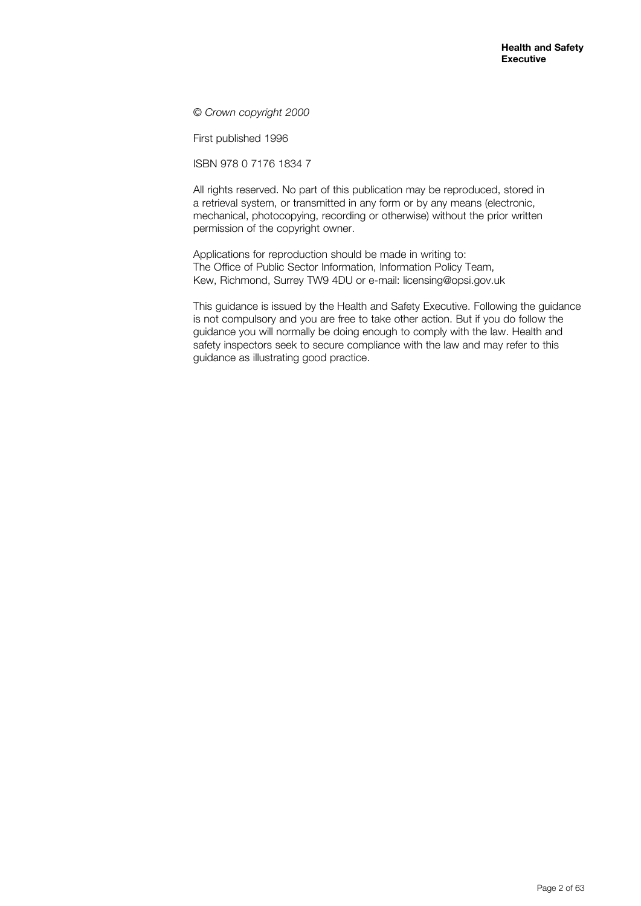© *Crown copyright 2000*

First published 1996

ISBN 978 0 7176 1834 7

All rights reserved. No part of this publication may be reproduced, stored in a retrieval system, or transmitted in any form or by any means (electronic, mechanical, photocopying, recording or otherwise) without the prior written permission of the copyright owner.

Applications for reproduction should be made in writing to: The Office of Public Sector Information, Information Policy Team, Kew, Richmond, Surrey TW9 4DU or e-mail: licensing@opsi.gov.uk

This guidance is issued by the Health and Safety Executive. Following the guidance is not compulsory and you are free to take other action. But if you do follow the guidance you will normally be doing enough to comply with the law. Health and safety inspectors seek to secure compliance with the law and may refer to this guidance as illustrating good practice.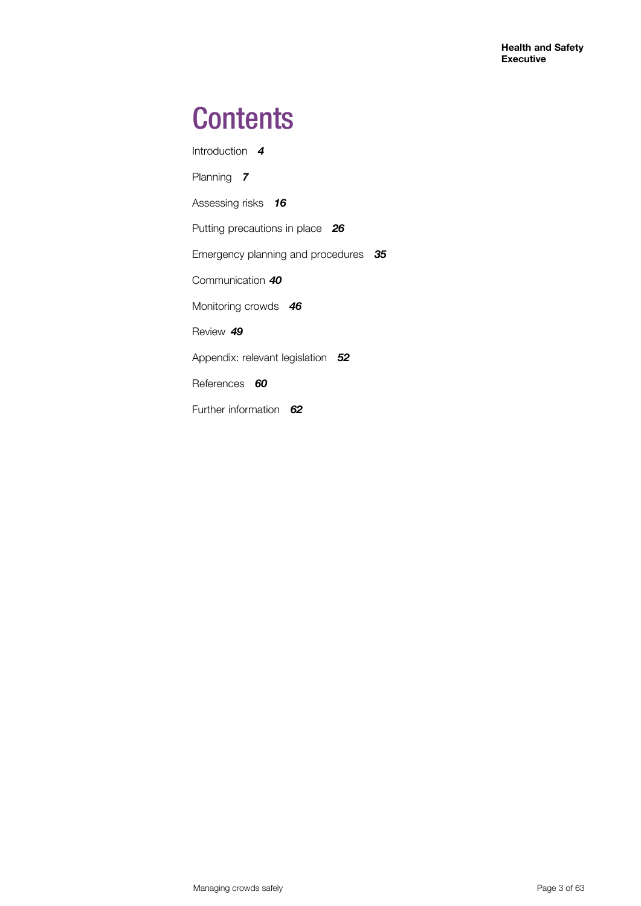# **Contents**

Introduction *4* Planning *7* Assessing risks *16* Putting precautions in place *26* Emergency planning and procedures *35* Communication *40* Monitoring crowds *46* Review 49 Appendix: relevant legislation *52* References *60*

Further information *62*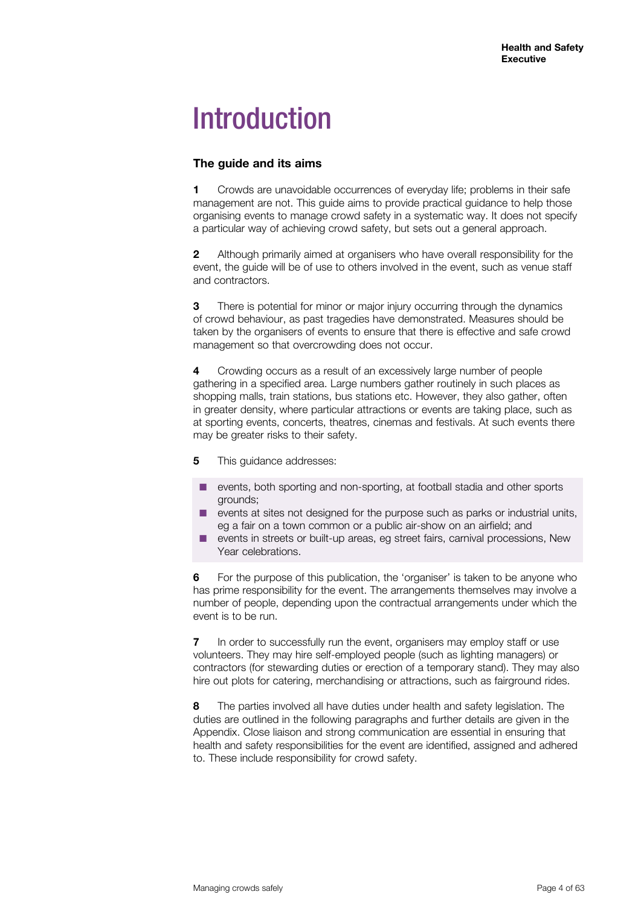# Introduction

# **The guide and its aims**

Crowds are unavoidable occurrences of everyday life; problems in their safe management are not. This guide aims to provide practical guidance to help those organising events to manage crowd safety in a systematic way. It does not specify a particular way of achieving crowd safety, but sets out a general approach.

**2** Although primarily aimed at organisers who have overall responsibility for the event, the guide will be of use to others involved in the event, such as venue staff and contractors.

**3** There is potential for minor or major injury occurring through the dynamics of crowd behaviour, as past tragedies have demonstrated. Measures should be taken by the organisers of events to ensure that there is effective and safe crowd management so that overcrowding does not occur.

**4** Crowding occurs as a result of an excessively large number of people gathering in a specified area. Large numbers gather routinely in such places as shopping malls, train stations, bus stations etc. However, they also gather, often in greater density, where particular attractions or events are taking place, such as at sporting events, concerts, theatres, cinemas and festivals. At such events there may be greater risks to their safety.

- **5** This guidance addresses:
	- events, both sporting and non-sporting, at football stadia and other sports grounds;
- $\blacksquare$  events at sites not designed for the purpose such as parks or industrial units, eg a fair on a town common or a public air-show on an airfield; and
- events in streets or built-up areas, eg street fairs, carnival processions, New Year celebrations.

**6** For the purpose of this publication, the 'organiser' is taken to be anyone who has prime responsibility for the event. The arrangements themselves may involve a number of people, depending upon the contractual arrangements under which the event is to be run.

**7** In order to successfully run the event, organisers may employ staff or use volunteers. They may hire self-employed people (such as lighting managers) or contractors (for stewarding duties or erection of a temporary stand). They may also hire out plots for catering, merchandising or attractions, such as fairground rides.

**8** The parties involved all have duties under health and safety legislation. The duties are outlined in the following paragraphs and further details are given in the Appendix. Close liaison and strong communication are essential in ensuring that health and safety responsibilities for the event are identified, assigned and adhered to. These include responsibility for crowd safety.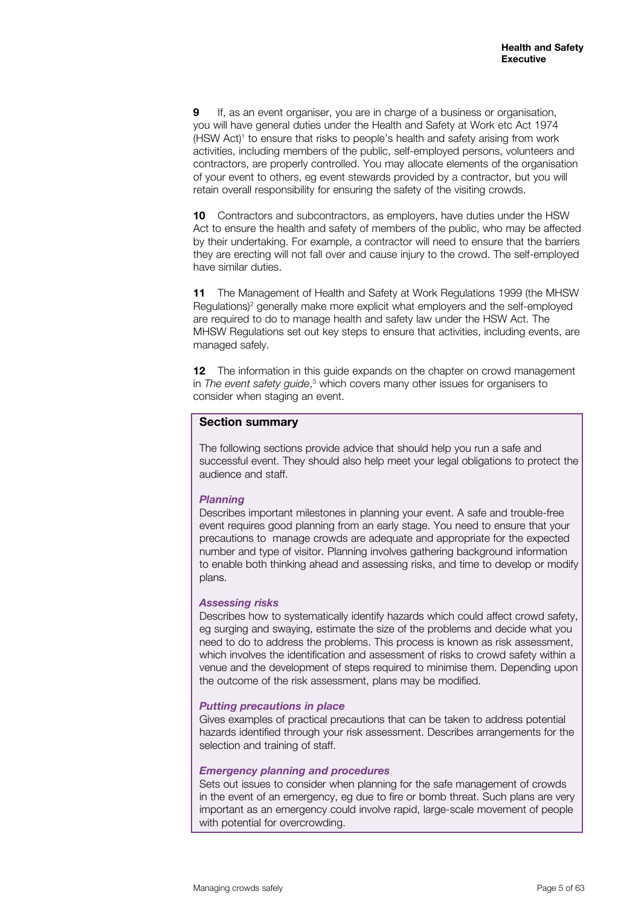**9** If, as an event organiser, you are in charge of a business or organisation, you will have general duties under the Health and Safety at Work etc Act 1974 (HSW Act)1 to ensure that risks to people's health and safety arising from work activities, including members of the public, self-employed persons, volunteers and contractors, are properly controlled. You may allocate elements of the organisation of your event to others, eg event stewards provided by a contractor, but you will retain overall responsibility for ensuring the safety of the visiting crowds.

**10** Contractors and subcontractors, as employers, have duties under the HSW Act to ensure the health and safety of members of the public, who may be affected by their undertaking. For example, a contractor will need to ensure that the barriers they are erecting will not fall over and cause injury to the crowd. The self-employed have similar duties.

**11** The Management of Health and Safety at Work Regulations 1999 (the MHSW Regulations)<sup>2</sup> generally make more explicit what employers and the self-employed are required to do to manage health and safety law under the HSW Act. The MHSW Regulations set out key steps to ensure that activities, including events, are managed safely.

**12** The information in this guide expands on the chapter on crowd management in *The event safety guide*, <sup>3</sup> which covers many other issues for organisers to consider when staging an event.

# **Section summary**

The following sections provide advice that should help you run a safe and successful event. They should also help meet your legal obligations to protect the audience and staff.

#### *Planning*

Describes important milestones in planning your event. A safe and trouble-free event requires good planning from an early stage. You need to ensure that your precautions to manage crowds are adequate and appropriate for the expected number and type of visitor. Planning involves gathering background information to enable both thinking ahead and assessing risks, and time to develop or modify plans.

#### *Assessing risks*

Describes how to systematically identify hazards which could affect crowd safety, eg surging and swaying, estimate the size of the problems and decide what you need to do to address the problems. This process is known as risk assessment, which involves the identification and assessment of risks to crowd safety within a venue and the development of steps required to minimise them. Depending upon the outcome of the risk assessment, plans may be modified.

#### *Putting precautions in place*

Gives examples of practical precautions that can be taken to address potential hazards identified through your risk assessment. Describes arrangements for the selection and training of staff.

#### *Emergency planning and procedures*

Sets out issues to consider when planning for the safe management of crowds in the event of an emergency, eg due to fire or bomb threat. Such plans are very important as an emergency could involve rapid, large-scale movement of people with potential for overcrowding.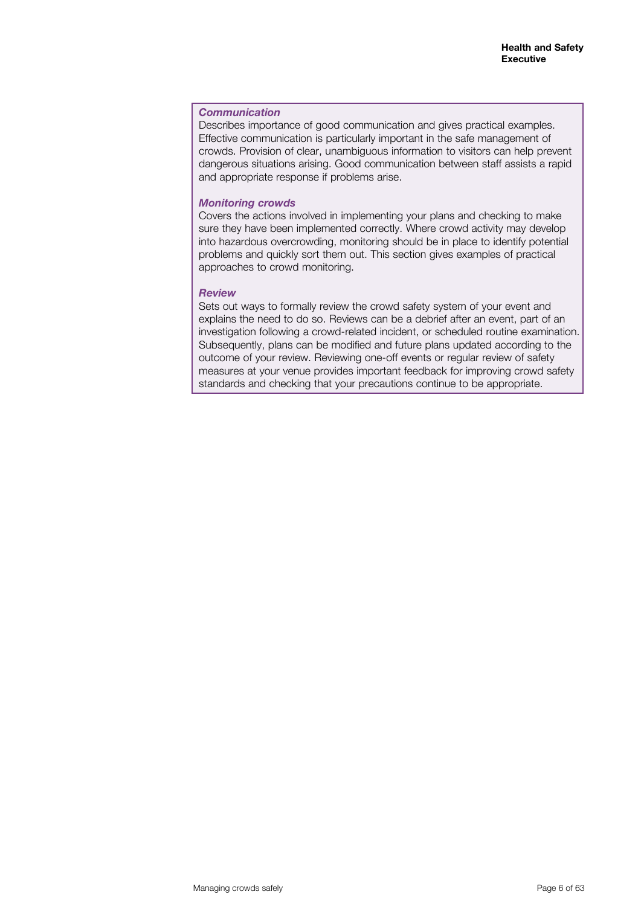# *Communication*

Describes importance of good communication and gives practical examples. Effective communication is particularly important in the safe management of crowds. Provision of clear, unambiguous information to visitors can help prevent dangerous situations arising. Good communication between staff assists a rapid and appropriate response if problems arise.

#### *Monitoring crowds*

Covers the actions involved in implementing your plans and checking to make sure they have been implemented correctly. Where crowd activity may develop into hazardous overcrowding, monitoring should be in place to identify potential problems and quickly sort them out. This section gives examples of practical approaches to crowd monitoring.

#### *Review*

Sets out ways to formally review the crowd safety system of your event and explains the need to do so. Reviews can be a debrief after an event, part of an investigation following a crowd-related incident, or scheduled routine examination. Subsequently, plans can be modified and future plans updated according to the outcome of your review. Reviewing one-off events or regular review of safety measures at your venue provides important feedback for improving crowd safety standards and checking that your precautions continue to be appropriate.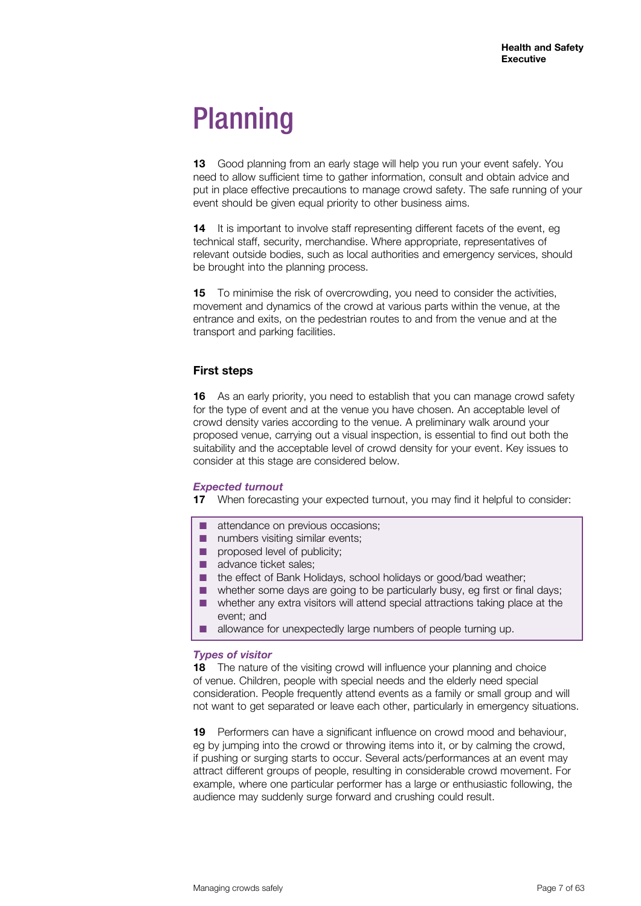# **Planning**

**13** Good planning from an early stage will help you run your event safely. You need to allow sufficient time to gather information, consult and obtain advice and put in place effective precautions to manage crowd safety. The safe running of your event should be given equal priority to other business aims.

**14** It is important to involve staff representing different facets of the event, eg technical staff, security, merchandise. Where appropriate, representatives of relevant outside bodies, such as local authorities and emergency services, should be brought into the planning process.

**15** To minimise the risk of overcrowding, you need to consider the activities, movement and dynamics of the crowd at various parts within the venue, at the entrance and exits, on the pedestrian routes to and from the venue and at the transport and parking facilities.

# **First steps**

**16** As an early priority, you need to establish that you can manage crowd safety for the type of event and at the venue you have chosen. An acceptable level of crowd density varies according to the venue. A preliminary walk around your proposed venue, carrying out a visual inspection, is essential to find out both the suitability and the acceptable level of crowd density for your event. Key issues to consider at this stage are considered below.

# *Expected turnout*

**17** When forecasting your expected turnout, you may find it helpful to consider:

- $\blacksquare$  attendance on previous occasions:
- $\blacksquare$  numbers visiting similar events;
- $\blacksquare$  proposed level of publicity;
- $\blacksquare$  advance ticket sales;
- $\blacksquare$  the effect of Bank Holidays, school holidays or good/bad weather;
- $\blacksquare$  whether some days are going to be particularly busy, eg first or final days;
- $\blacksquare$  whether any extra visitors will attend special attractions taking place at the event; and
- $\blacksquare$  allowance for unexpectedly large numbers of people turning up.

#### *Types of visitor*

**18** The nature of the visiting crowd will influence your planning and choice of venue. Children, people with special needs and the elderly need special consideration. People frequently attend events as a family or small group and will not want to get separated or leave each other, particularly in emergency situations.

**19** Performers can have a significant influence on crowd mood and behaviour, eg by jumping into the crowd or throwing items into it, or by calming the crowd, if pushing or surging starts to occur. Several acts/performances at an event may attract different groups of people, resulting in considerable crowd movement. For example, where one particular performer has a large or enthusiastic following, the audience may suddenly surge forward and crushing could result.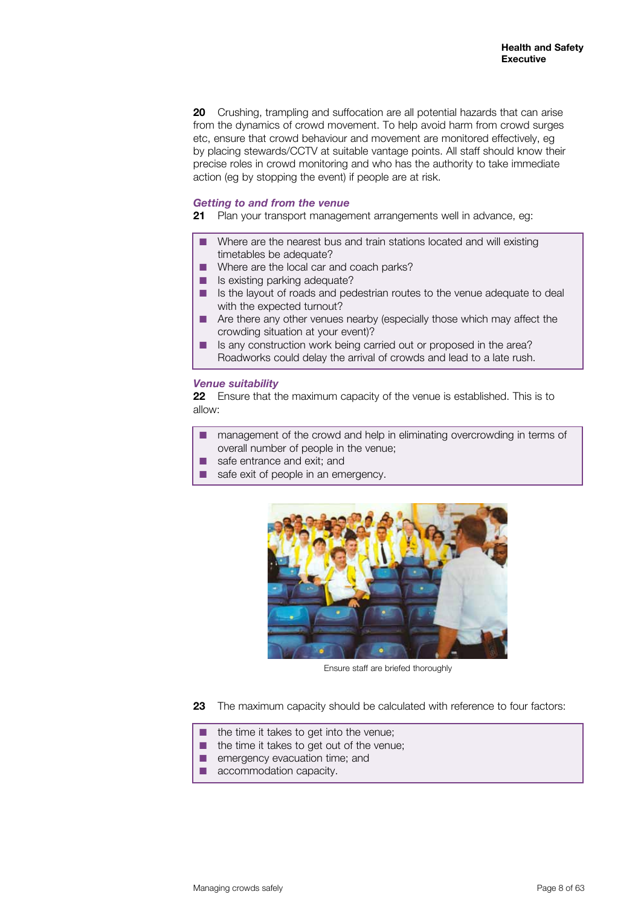**20** Crushing, trampling and suffocation are all potential hazards that can arise from the dynamics of crowd movement. To help avoid harm from crowd surges etc, ensure that crowd behaviour and movement are monitored effectively, eg by placing stewards/CCTV at suitable vantage points. All staff should know their precise roles in crowd monitoring and who has the authority to take immediate action (eg by stopping the event) if people are at risk.

#### *Getting to and from the venue*

**21** Plan your transport management arrangements well in advance, eg:

- $\blacksquare$  Where are the nearest bus and train stations located and will existing timetables be adequate?
- $\blacksquare$  Where are the local car and coach parks?
- $\blacksquare$  Is existing parking adequate?
- $\blacksquare$  Is the layout of roads and pedestrian routes to the venue adequate to deal with the expected turnout?
- $\blacksquare$  Are there any other venues nearby (especially those which may affect the crowding situation at your event)?
- $\blacksquare$  Is any construction work being carried out or proposed in the area? Roadworks could delay the arrival of crowds and lead to a late rush.

#### *Venue suitability*

**22** Ensure that the maximum capacity of the venue is established. This is to allow:

- $\blacksquare$  management of the crowd and help in eliminating overcrowding in terms of overall number of people in the venue;
- $\blacksquare$  safe entrance and exit; and
- $\blacksquare$  safe exit of people in an emergency.



Ensure staff are briefed thoroughly

**23** The maximum capacity should be calculated with reference to four factors:

- $\blacksquare$  the time it takes to get into the venue;
- $\blacksquare$  the time it takes to get out of the venue;
- $\blacksquare$  emergency evacuation time; and
- $\blacksquare$  accommodation capacity.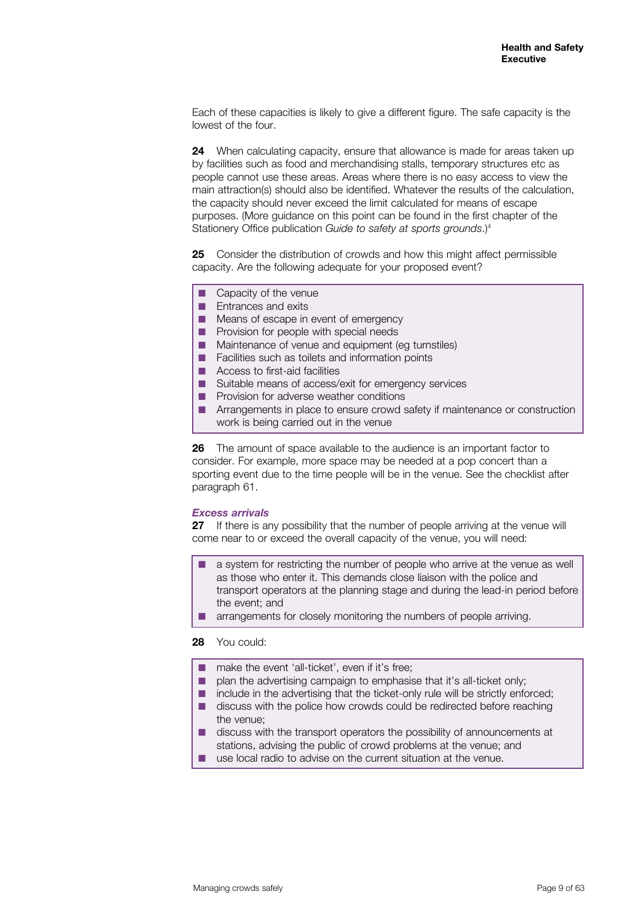Each of these capacities is likely to give a different figure. The safe capacity is the lowest of the four.

**24** When calculating capacity, ensure that allowance is made for areas taken up by facilities such as food and merchandising stalls, temporary structures etc as people cannot use these areas. Areas where there is no easy access to view the main attraction(s) should also be identified. Whatever the results of the calculation, the capacity should never exceed the limit calculated for means of escape purposes. (More guidance on this point can be found in the first chapter of the Stationery Office publication *Guide to safety at sports grounds*.)4

**25** Consider the distribution of crowds and how this might affect permissible capacity. Are the following adequate for your proposed event?

- $\blacksquare$  Capacity of the venue
- $\blacksquare$  Entrances and exits
- $\blacksquare$  Means of escape in event of emergency
- $\blacksquare$  Provision for people with special needs
- Maintenance of venue and equipment (eg turnstiles)
- $\blacksquare$  Facilities such as toilets and information points
- $\blacksquare$  Access to first-aid facilities
- $\blacksquare$  Suitable means of access/exit for emergency services
- $\blacksquare$  Provision for adverse weather conditions
- **n** Arrangements in place to ensure crowd safety if maintenance or construction work is being carried out in the venue

**26** The amount of space available to the audience is an important factor to consider. For example, more space may be needed at a pop concert than a sporting event due to the time people will be in the venue. See the checklist after paragraph 61.

#### *Excess arrivals*

**27** If there is any possibility that the number of people arriving at the venue will come near to or exceed the overall capacity of the venue, you will need:

- a system for restricting the number of people who arrive at the venue as well as those who enter it. This demands close liaison with the police and transport operators at the planning stage and during the lead-in period before the event; and
- $\blacksquare$  arrangements for closely monitoring the numbers of people arriving.

**28** You could:

- $\blacksquare$  make the event 'all-ticket', even if it's free:
- $\blacksquare$  plan the advertising campaign to emphasise that it's all-ticket only;
- $\blacksquare$  include in the advertising that the ticket-only rule will be strictly enforced;
- $\blacksquare$  discuss with the police how crowds could be redirected before reaching the venue;
- $\blacksquare$  discuss with the transport operators the possibility of announcements at stations, advising the public of crowd problems at the venue; and
- use local radio to advise on the current situation at the venue.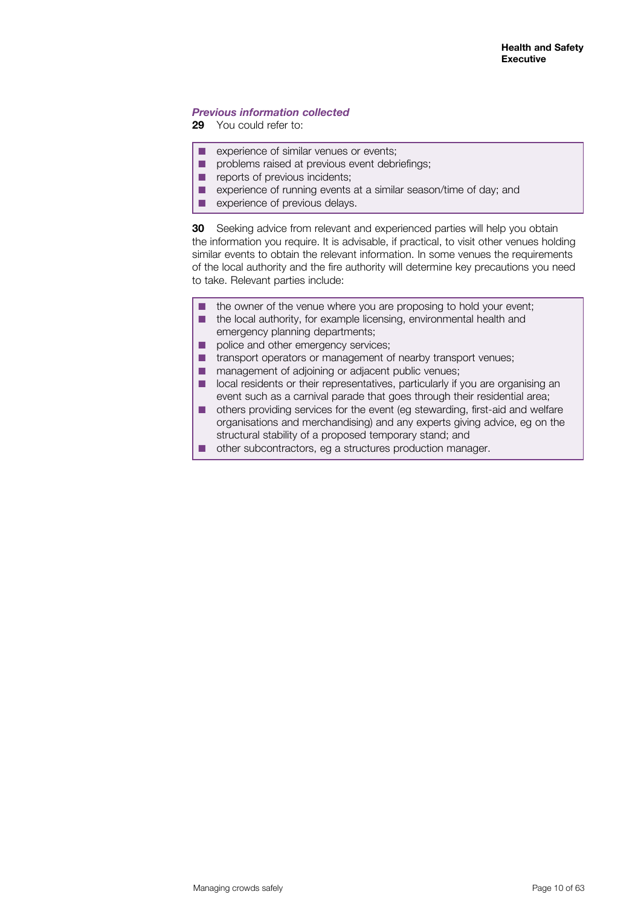# *Previous information collected*

29 You could refer to:

- $\blacksquare$  experience of similar venues or events;
- $\blacksquare$  problems raised at previous event debriefings;
- $\blacksquare$  reports of previous incidents;
- $\blacksquare$  experience of running events at a similar season/time of day; and
- $\blacksquare$  experience of previous delays.

**30** Seeking advice from relevant and experienced parties will help you obtain the information you require. It is advisable, if practical, to visit other venues holding similar events to obtain the relevant information. In some venues the requirements of the local authority and the fire authority will determine key precautions you need to take. Relevant parties include:

- $\blacksquare$  the owner of the venue where you are proposing to hold your event;
- $\blacksquare$  the local authority, for example licensing, environmental health and emergency planning departments;
- police and other emergency services;
- $\blacksquare$  transport operators or management of nearby transport venues;
- $\blacksquare$  management of adjoining or adjacent public venues;
- $\blacksquare$  local residents or their representatives, particularly if you are organising an event such as a carnival parade that goes through their residential area;
- $\blacksquare$  others providing services for the event (eg stewarding, first-aid and welfare organisations and merchandising) and any experts giving advice, eg on the structural stability of a proposed temporary stand; and
- $\blacksquare$  other subcontractors, eg a structures production manager.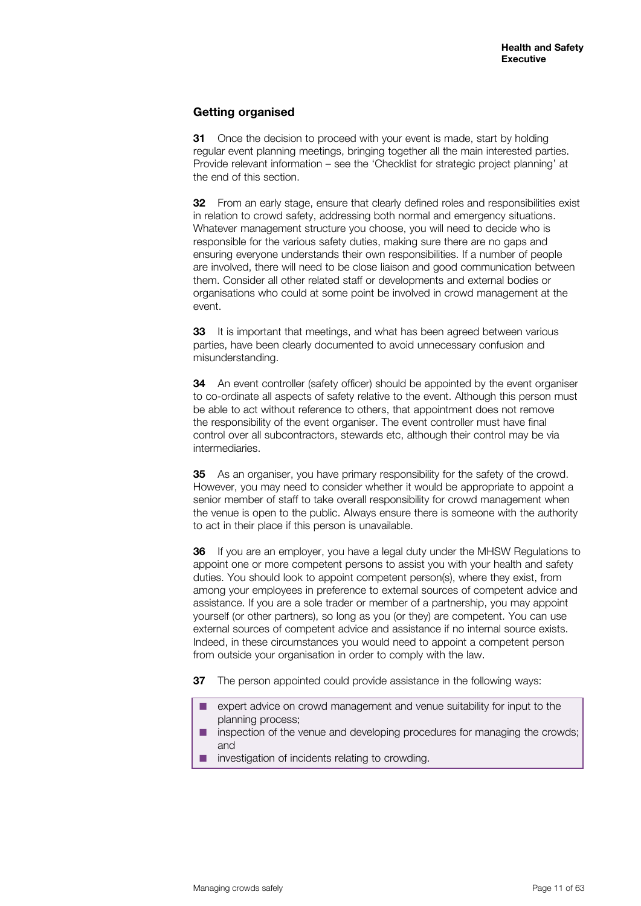# **Getting organised**

**31** Once the decision to proceed with your event is made, start by holding regular event planning meetings, bringing together all the main interested parties. Provide relevant information – see the 'Checklist for strategic project planning' at the end of this section.

**32** From an early stage, ensure that clearly defined roles and responsibilities exist in relation to crowd safety, addressing both normal and emergency situations. Whatever management structure you choose, you will need to decide who is responsible for the various safety duties, making sure there are no gaps and ensuring everyone understands their own responsibilities. If a number of people are involved, there will need to be close liaison and good communication between them. Consider all other related staff or developments and external bodies or organisations who could at some point be involved in crowd management at the event.

**33** It is important that meetings, and what has been agreed between various parties, have been clearly documented to avoid unnecessary confusion and misunderstanding.

**34** An event controller (safety officer) should be appointed by the event organiser to co-ordinate all aspects of safety relative to the event. Although this person must be able to act without reference to others, that appointment does not remove the responsibility of the event organiser. The event controller must have final control over all subcontractors, stewards etc, although their control may be via intermediaries.

**35** As an organiser, you have primary responsibility for the safety of the crowd. However, you may need to consider whether it would be appropriate to appoint a senior member of staff to take overall responsibility for crowd management when the venue is open to the public. Always ensure there is someone with the authority to act in their place if this person is unavailable.

**36** If you are an employer, you have a legal duty under the MHSW Regulations to appoint one or more competent persons to assist you with your health and safety duties. You should look to appoint competent person(s), where they exist, from among your employees in preference to external sources of competent advice and assistance. If you are a sole trader or member of a partnership, you may appoint yourself (or other partners), so long as you (or they) are competent. You can use external sources of competent advice and assistance if no internal source exists. Indeed, in these circumstances you would need to appoint a competent person from outside your organisation in order to comply with the law.

- **37** The person appointed could provide assistance in the following ways:
	- expert advice on crowd management and venue suitability for input to the planning process;
	- $\blacksquare$  inspection of the venue and developing procedures for managing the crowds; and
	- $\blacksquare$  investigation of incidents relating to crowding.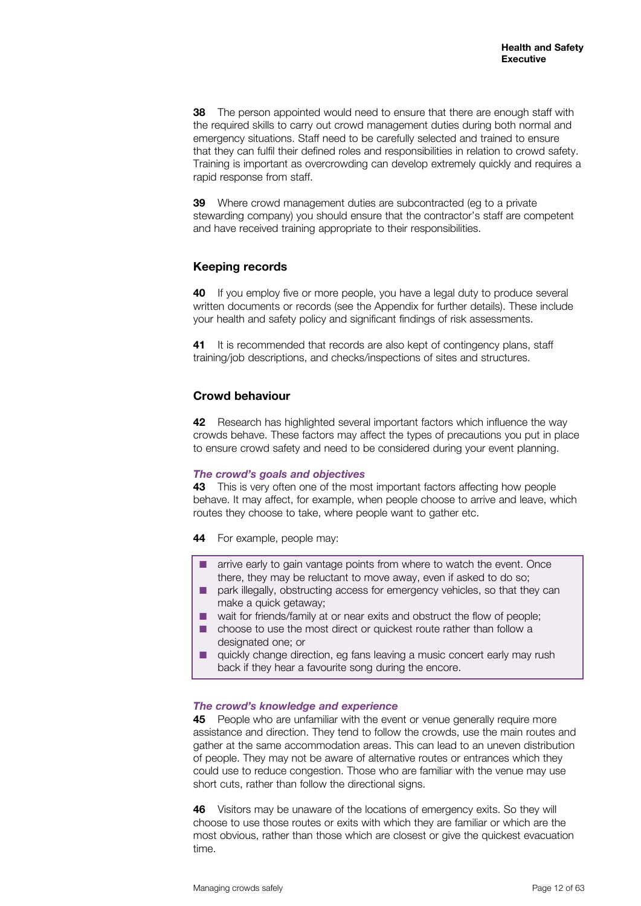**38** The person appointed would need to ensure that there are enough staff with the required skills to carry out crowd management duties during both normal and emergency situations. Staff need to be carefully selected and trained to ensure that they can fulfil their defined roles and responsibilities in relation to crowd safety. Training is important as overcrowding can develop extremely quickly and requires a rapid response from staff.

**39** Where crowd management duties are subcontracted (eg to a private stewarding company) you should ensure that the contractor's staff are competent and have received training appropriate to their responsibilities.

# **Keeping records**

**40** If you employ five or more people, you have a legal duty to produce several written documents or records (see the Appendix for further details). These include your health and safety policy and significant findings of risk assessments.

**41** It is recommended that records are also kept of contingency plans, staff training/job descriptions, and checks/inspections of sites and structures.

# **Crowd behaviour**

**42** Research has highlighted several important factors which influence the way crowds behave. These factors may affect the types of precautions you put in place to ensure crowd safety and need to be considered during your event planning.

#### *The crowd's goals and objectives*

**43** This is very often one of the most important factors affecting how people behave. It may affect, for example, when people choose to arrive and leave, which routes they choose to take, where people want to gather etc.

**44** For example, people may:

- $\blacksquare$  arrive early to gain vantage points from where to watch the event. Once there, they may be reluctant to move away, even if asked to do so;
- $\blacksquare$  park illegally, obstructing access for emergency vehicles, so that they can make a quick getaway;
- $\blacksquare$  wait for friends/family at or near exits and obstruct the flow of people:
- $\Box$  choose to use the most direct or quickest route rather than follow a designated one; or
- n quickly change direction, eg fans leaving a music concert early may rush back if they hear a favourite song during the encore.

#### *The crowd's knowledge and experience*

**45** People who are unfamiliar with the event or venue generally require more assistance and direction. They tend to follow the crowds, use the main routes and gather at the same accommodation areas. This can lead to an uneven distribution of people. They may not be aware of alternative routes or entrances which they could use to reduce congestion. Those who are familiar with the venue may use short cuts, rather than follow the directional signs.

**46** Visitors may be unaware of the locations of emergency exits. So they will choose to use those routes or exits with which they are familiar or which are the most obvious, rather than those which are closest or give the quickest evacuation time.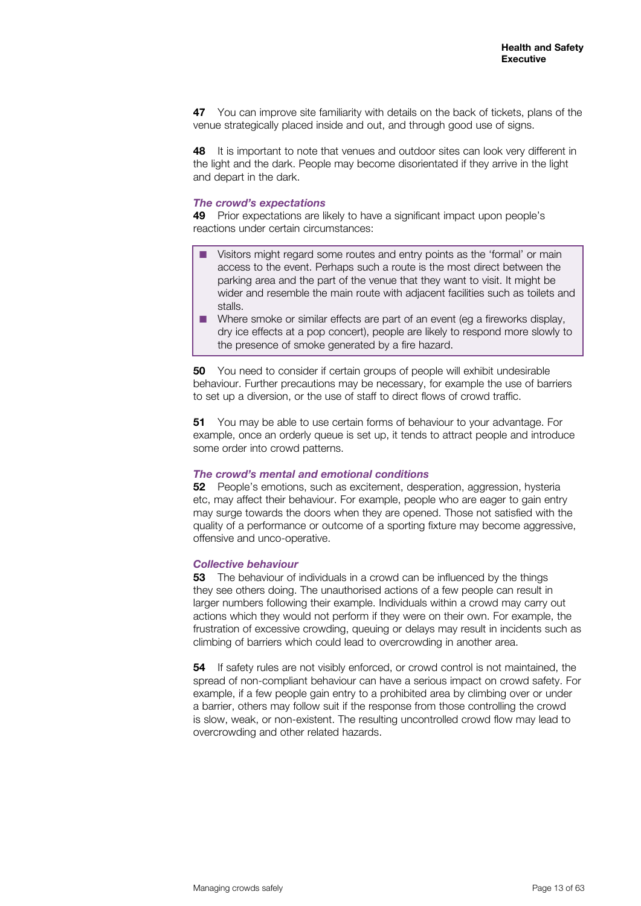**47** You can improve site familiarity with details on the back of tickets, plans of the venue strategically placed inside and out, and through good use of signs.

**48** It is important to note that venues and outdoor sites can look very different in the light and the dark. People may become disorientated if they arrive in the light and depart in the dark.

#### *The crowd's expectations*

**49** Prior expectations are likely to have a significant impact upon people's reactions under certain circumstances:

- $\blacksquare$  Visitors might regard some routes and entry points as the 'formal' or main access to the event. Perhaps such a route is the most direct between the parking area and the part of the venue that they want to visit. It might be wider and resemble the main route with adjacent facilities such as toilets and stalls.
- $\blacksquare$  Where smoke or similar effects are part of an event (eg a fireworks display, dry ice effects at a pop concert), people are likely to respond more slowly to the presence of smoke generated by a fire hazard.

**50** You need to consider if certain groups of people will exhibit undesirable behaviour. Further precautions may be necessary, for example the use of barriers to set up a diversion, or the use of staff to direct flows of crowd traffic.

**51** You may be able to use certain forms of behaviour to your advantage. For example, once an orderly queue is set up, it tends to attract people and introduce some order into crowd patterns.

#### *The crowd's mental and emotional conditions*

**52** People's emotions, such as excitement, desperation, aggression, hysteria etc, may affect their behaviour. For example, people who are eager to gain entry may surge towards the doors when they are opened. Those not satisfied with the quality of a performance or outcome of a sporting fixture may become aggressive, offensive and unco-operative.

#### *Collective behaviour*

**53** The behaviour of individuals in a crowd can be influenced by the things they see others doing. The unauthorised actions of a few people can result in larger numbers following their example. Individuals within a crowd may carry out actions which they would not perform if they were on their own. For example, the frustration of excessive crowding, queuing or delays may result in incidents such as climbing of barriers which could lead to overcrowding in another area.

**54** If safety rules are not visibly enforced, or crowd control is not maintained, the spread of non-compliant behaviour can have a serious impact on crowd safety. For example, if a few people gain entry to a prohibited area by climbing over or under a barrier, others may follow suit if the response from those controlling the crowd is slow, weak, or non-existent. The resulting uncontrolled crowd flow may lead to overcrowding and other related hazards.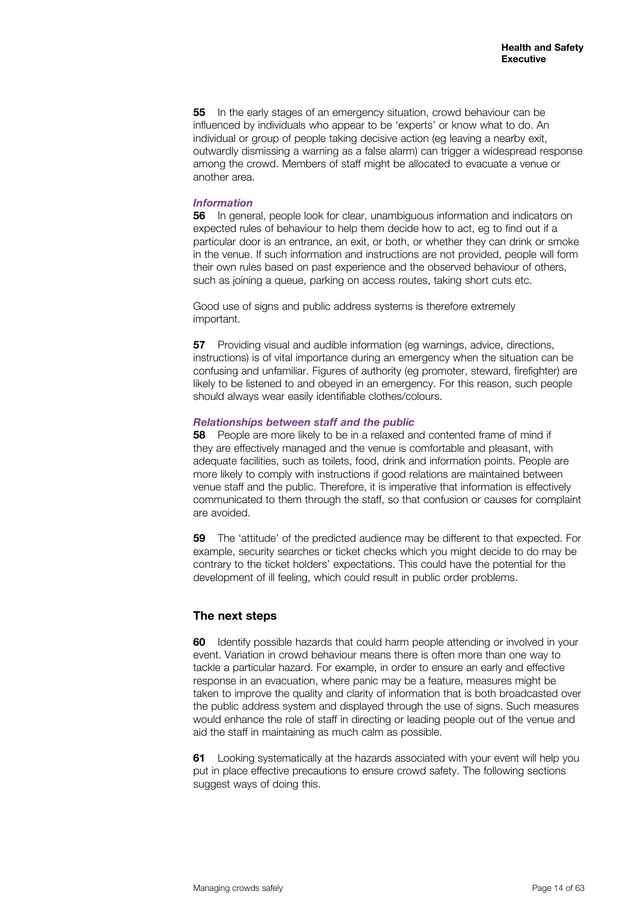**55** In the early stages of an emergency situation, crowd behaviour can be influenced by individuals who appear to be 'experts' or know what to do. An individual or group of people taking decisive action (eg leaving a nearby exit, outwardly dismissing a warning as a false alarm) can trigger a widespread response among the crowd. Members of staff might be allocated to evacuate a venue or another area.

#### *Information*

**56** In general, people look for clear, unambiguous information and indicators on expected rules of behaviour to help them decide how to act, eg to find out if a particular door is an entrance, an exit, or both, or whether they can drink or smoke in the venue. If such information and instructions are not provided, people will form their own rules based on past experience and the observed behaviour of others, such as joining a queue, parking on access routes, taking short cuts etc.

Good use of signs and public address systems is therefore extremely important.

**57** Providing visual and audible information (eg warnings, advice, directions, instructions) is of vital importance during an emergency when the situation can be confusing and unfamiliar. Figures of authority (eg promoter, steward, firefighter) are likely to be listened to and obeyed in an emergency. For this reason, such people should always wear easily identifiable clothes/colours.

#### *Relationships between staff and the public*

**58** People are more likely to be in a relaxed and contented frame of mind if they are effectively managed and the venue is comfortable and pleasant, with adequate facilities, such as toilets, food, drink and information points. People are more likely to comply with instructions if good relations are maintained between venue staff and the public. Therefore, it is imperative that information is effectively communicated to them through the staff, so that confusion or causes for complaint are avoided.

**59** The 'attitude' of the predicted audience may be different to that expected. For example, security searches or ticket checks which you might decide to do may be contrary to the ticket holders' expectations. This could have the potential for the development of ill feeling, which could result in public order problems.

#### **The next steps**

**60** Identify possible hazards that could harm people attending or involved in your event. Variation in crowd behaviour means there is often more than one way to tackle a particular hazard. For example, in order to ensure an early and effective response in an evacuation, where panic may be a feature, measures might be taken to improve the quality and clarity of information that is both broadcasted over the public address system and displayed through the use of signs. Such measures would enhance the role of staff in directing or leading people out of the venue and aid the staff in maintaining as much calm as possible.

**61** Looking systematically at the hazards associated with your event will help you put in place effective precautions to ensure crowd safety. The following sections suggest ways of doing this.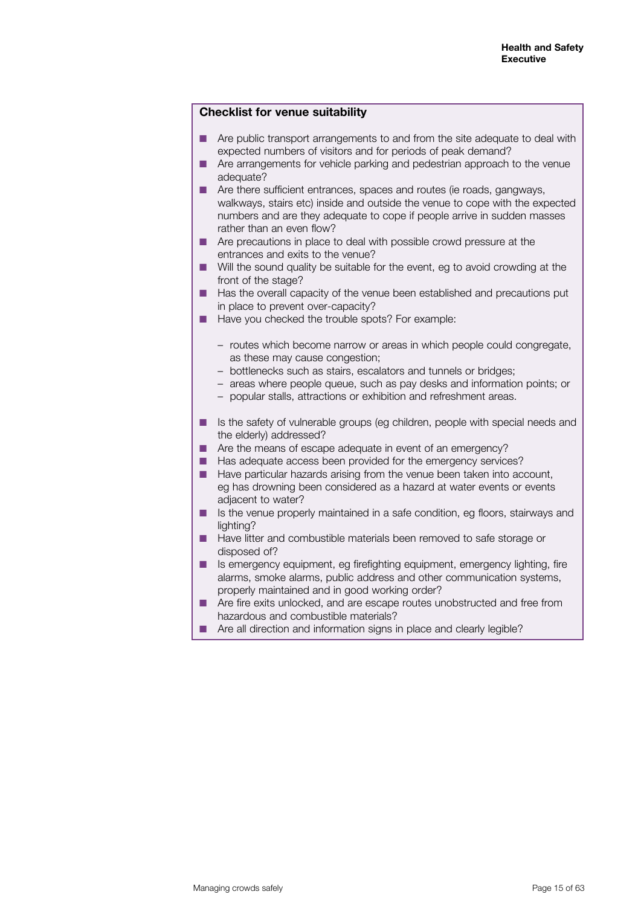# **Checklist for venue suitability**

- n Are public transport arrangements to and from the site adequate to deal with expected numbers of visitors and for periods of peak demand?
- $\blacksquare$  Are arrangements for vehicle parking and pedestrian approach to the venue adequate?
- $\blacksquare$  Are there sufficient entrances, spaces and routes (ie roads, gangways, walkways, stairs etc) inside and outside the venue to cope with the expected numbers and are they adequate to cope if people arrive in sudden masses rather than an even flow?
- $\blacksquare$  Are precautions in place to deal with possible crowd pressure at the entrances and exits to the venue?
- $\blacksquare$  Will the sound quality be suitable for the event, eg to avoid crowding at the front of the stage?
- $\blacksquare$  Has the overall capacity of the venue been established and precautions put in place to prevent over-capacity?
- $\blacksquare$  Have you checked the trouble spots? For example:
	- routes which become narrow or areas in which people could congregate, as these may cause congestion;
	- bottlenecks such as stairs, escalators and tunnels or bridges;
	- areas where people queue, such as pay desks and information points; or
	- popular stalls, attractions or exhibition and refreshment areas.
- $\blacksquare$  Is the safety of vulnerable groups (eg children, people with special needs and the elderly) addressed?
- $\blacksquare$  Are the means of escape adequate in event of an emergency?
- $\blacksquare$  Has adequate access been provided for the emergency services?
- $\blacksquare$  Have particular hazards arising from the venue been taken into account, eg has drowning been considered as a hazard at water events or events adjacent to water?
- Is the venue properly maintained in a safe condition, eg floors, stairways and lighting?
- $\blacksquare$  Have litter and combustible materials been removed to safe storage or disposed of?
- **n** Is emergency equipment, eg firefighting equipment, emergency lighting, fire alarms, smoke alarms, public address and other communication systems, properly maintained and in good working order?
- $\blacksquare$  Are fire exits unlocked, and are escape routes unobstructed and free from hazardous and combustible materials?
	- Are all direction and information signs in place and clearly legible?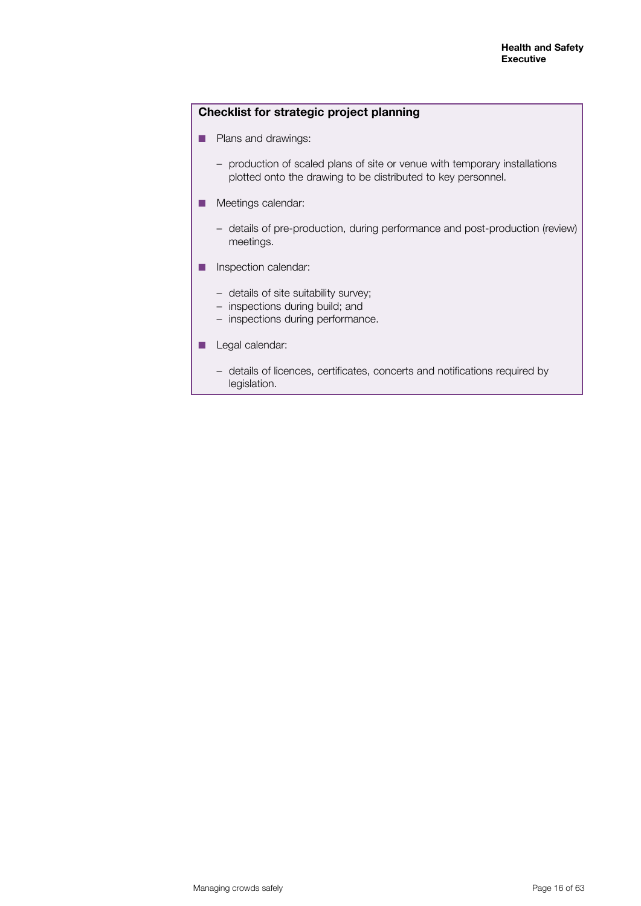# **Checklist for strategic project planning**

- **n** Plans and drawings:
	- production of scaled plans of site or venue with temporary installations plotted onto the drawing to be distributed to key personnel.
- **n** Meetings calendar:
	- details of pre-production, during performance and post-production (review) meetings.
- **n** Inspection calendar:
	- details of site suitability survey;
	- inspections during build; and
	- inspections during performance.
- Legal calendar:
	- details of licences, certificates, concerts and notifications required by legislation.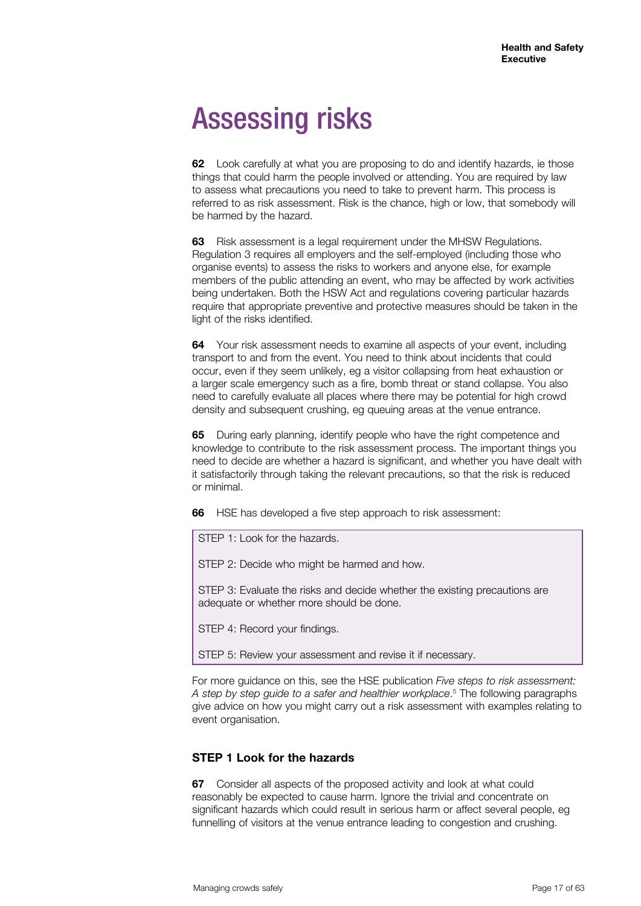# Assessing risks

**62** Look carefully at what you are proposing to do and identify hazards, ie those things that could harm the people involved or attending. You are required by law to assess what precautions you need to take to prevent harm. This process is referred to as risk assessment. Risk is the chance, high or low, that somebody will be harmed by the hazard.

**63** Risk assessment is a legal requirement under the MHSW Regulations. Regulation 3 requires all employers and the self-employed (including those who organise events) to assess the risks to workers and anyone else, for example members of the public attending an event, who may be affected by work activities being undertaken. Both the HSW Act and regulations covering particular hazards require that appropriate preventive and protective measures should be taken in the light of the risks identified.

**64** Your risk assessment needs to examine all aspects of your event, including transport to and from the event. You need to think about incidents that could occur, even if they seem unlikely, eg a visitor collapsing from heat exhaustion or a larger scale emergency such as a fire, bomb threat or stand collapse. You also need to carefully evaluate all places where there may be potential for high crowd density and subsequent crushing, eg queuing areas at the venue entrance.

**65** During early planning, identify people who have the right competence and knowledge to contribute to the risk assessment process. The important things you need to decide are whether a hazard is significant, and whether you have dealt with it satisfactorily through taking the relevant precautions, so that the risk is reduced or minimal.

**66** HSE has developed a five step approach to risk assessment:

STEP 1: Look for the hazards.

STEP 2: Decide who might be harmed and how.

STEP 3: Evaluate the risks and decide whether the existing precautions are adequate or whether more should be done.

STEP 4: Record your findings.

STEP 5: Review your assessment and revise it if necessary.

For more guidance on this, see the HSE publication *Five steps to risk assessment: A step by step guide to a safer and healthier workplace*. <sup>5</sup> The following paragraphs give advice on how you might carry out a risk assessment with examples relating to event organisation.

# **STEP 1 Look for the hazards**

**67** Consider all aspects of the proposed activity and look at what could reasonably be expected to cause harm. Ignore the trivial and concentrate on significant hazards which could result in serious harm or affect several people, eg funnelling of visitors at the venue entrance leading to congestion and crushing.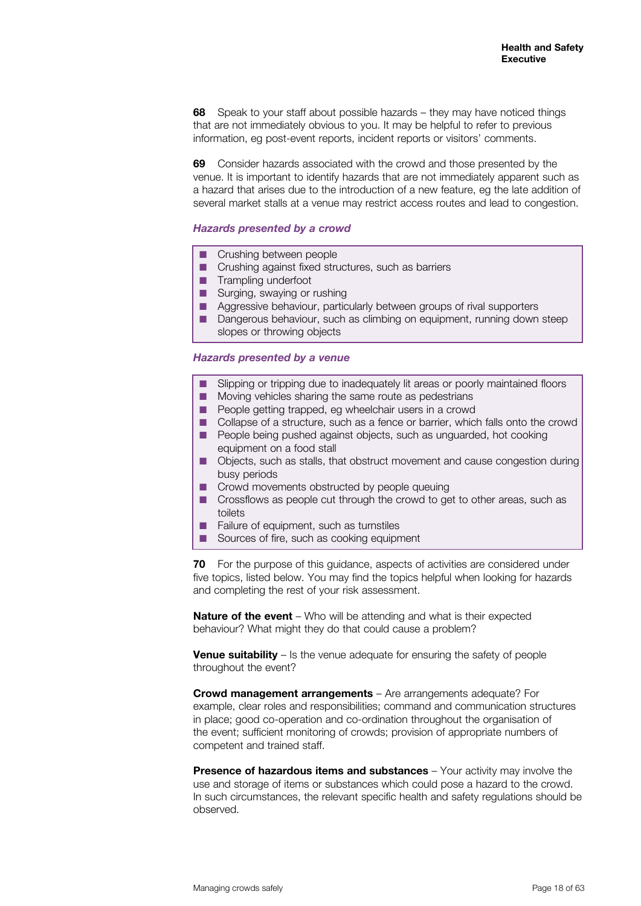**68** Speak to your staff about possible hazards – they may have noticed things that are not immediately obvious to you. It may be helpful to refer to previous information, eg post-event reports, incident reports or visitors' comments.

**69** Consider hazards associated with the crowd and those presented by the venue. It is important to identify hazards that are not immediately apparent such as a hazard that arises due to the introduction of a new feature, eg the late addition of several market stalls at a venue may restrict access routes and lead to congestion.

#### *Hazards presented by a crowd*

- $\blacksquare$  Crushing between people
- $\blacksquare$  Crushing against fixed structures, such as barriers
- $\blacksquare$  Trampling underfoot
- $\blacksquare$  Surging, swaying or rushing
- Aggressive behaviour, particularly between groups of rival supporters
- Dangerous behaviour, such as climbing on equipment, running down steep slopes or throwing objects

#### *Hazards presented by a venue*

- Slipping or tripping due to inadequately lit areas or poorly maintained floors
- $\blacksquare$  Moving vehicles sharing the same route as pedestrians
- $\blacksquare$  People getting trapped, eg wheelchair users in a crowd
- Collapse of a structure, such as a fence or barrier, which falls onto the crowd
- **n** People being pushed against objects, such as unguarded, hot cooking equipment on a food stall
- Objects, such as stalls, that obstruct movement and cause congestion during busy periods
- $\blacksquare$  Crowd movements obstructed by people queuing
- $\Box$  Crossflows as people cut through the crowd to get to other areas, such as toilets
- **n** Failure of equipment, such as turnstiles
- Sources of fire, such as cooking equipment

**70** For the purpose of this quidance, aspects of activities are considered under five topics, listed below. You may find the topics helpful when looking for hazards and completing the rest of your risk assessment.

**Nature of the event** – Who will be attending and what is their expected behaviour? What might they do that could cause a problem?

**Venue suitability** – Is the venue adequate for ensuring the safety of people throughout the event?

**Crowd management arrangements** – Are arrangements adequate? For example, clear roles and responsibilities; command and communication structures in place; good co-operation and co-ordination throughout the organisation of the event; sufficient monitoring of crowds; provision of appropriate numbers of competent and trained staff.

**Presence of hazardous items and substances** – Your activity may involve the use and storage of items or substances which could pose a hazard to the crowd. In such circumstances, the relevant specific health and safety regulations should be observed.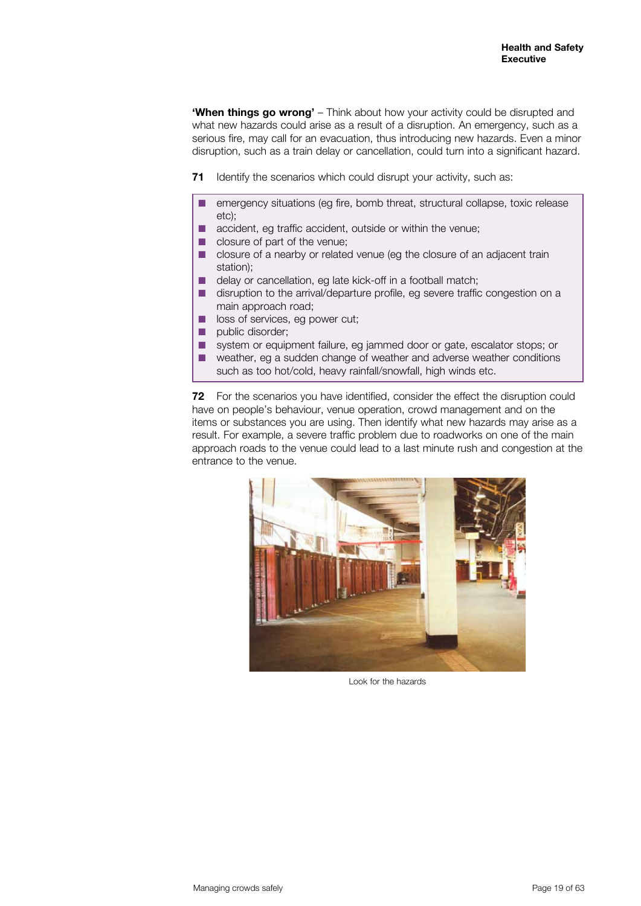**'When things go wrong'** – Think about how your activity could be disrupted and what new hazards could arise as a result of a disruption. An emergency, such as a serious fire, may call for an evacuation, thus introducing new hazards. Even a minor disruption, such as a train delay or cancellation, could turn into a significant hazard.

**71** Identify the scenarios which could disrupt your activity, such as:

- $\blacksquare$  emergency situations (eg fire, bomb threat, structural collapse, toxic release etc);
- $\blacksquare$  accident, eg traffic accident, outside or within the venue;
- $\blacksquare$  closure of part of the venue;
- $\blacksquare$  closure of a nearby or related venue (eq the closure of an adjacent train station);
- $\blacksquare$  delay or cancellation, eg late kick-off in a football match;
- disruption to the arrival/departure profile, eg severe traffic congestion on a main approach road;
- $\blacksquare$  loss of services, eg power cut;
- $\blacksquare$  public disorder;
- system or equipment failure, eg jammed door or gate, escalator stops; or
- $\blacksquare$  weather, eg a sudden change of weather and adverse weather conditions such as too hot/cold, heavy rainfall/snowfall, high winds etc.

**72** For the scenarios you have identified, consider the effect the disruption could have on people's behaviour, venue operation, crowd management and on the items or substances you are using. Then identify what new hazards may arise as a result. For example, a severe traffic problem due to roadworks on one of the main approach roads to the venue could lead to a last minute rush and congestion at the entrance to the venue.



Look for the hazards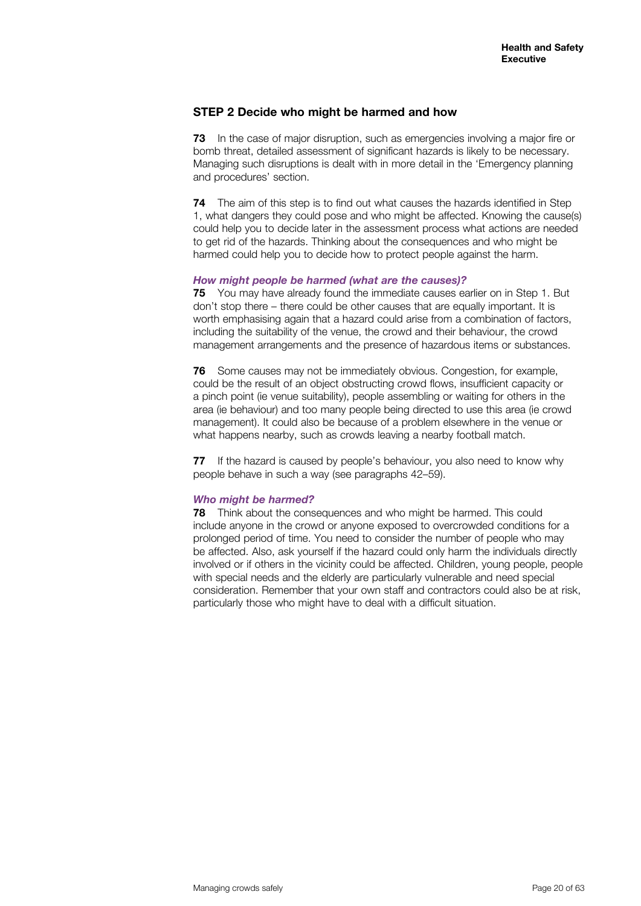# **STEP 2 Decide who might be harmed and how**

**73** In the case of major disruption, such as emergencies involving a major fire or bomb threat, detailed assessment of significant hazards is likely to be necessary. Managing such disruptions is dealt with in more detail in the 'Emergency planning and procedures' section.

**74** The aim of this step is to find out what causes the hazards identified in Step 1, what dangers they could pose and who might be affected. Knowing the cause(s) could help you to decide later in the assessment process what actions are needed to get rid of the hazards. Thinking about the consequences and who might be harmed could help you to decide how to protect people against the harm.

#### *How might people be harmed (what are the causes)?*

**75** You may have already found the immediate causes earlier on in Step 1. But don't stop there – there could be other causes that are equally important. It is worth emphasising again that a hazard could arise from a combination of factors, including the suitability of the venue, the crowd and their behaviour, the crowd management arrangements and the presence of hazardous items or substances.

**76** Some causes may not be immediately obvious. Congestion, for example, could be the result of an object obstructing crowd flows, insufficient capacity or a pinch point (ie venue suitability), people assembling or waiting for others in the area (ie behaviour) and too many people being directed to use this area (ie crowd management). It could also be because of a problem elsewhere in the venue or what happens nearby, such as crowds leaving a nearby football match.

**77** If the hazard is caused by people's behaviour, you also need to know why people behave in such a way (see paragraphs 42–59).

#### *Who might be harmed?*

**78** Think about the consequences and who might be harmed. This could include anyone in the crowd or anyone exposed to overcrowded conditions for a prolonged period of time. You need to consider the number of people who may be affected. Also, ask yourself if the hazard could only harm the individuals directly involved or if others in the vicinity could be affected. Children, young people, people with special needs and the elderly are particularly vulnerable and need special consideration. Remember that your own staff and contractors could also be at risk, particularly those who might have to deal with a difficult situation.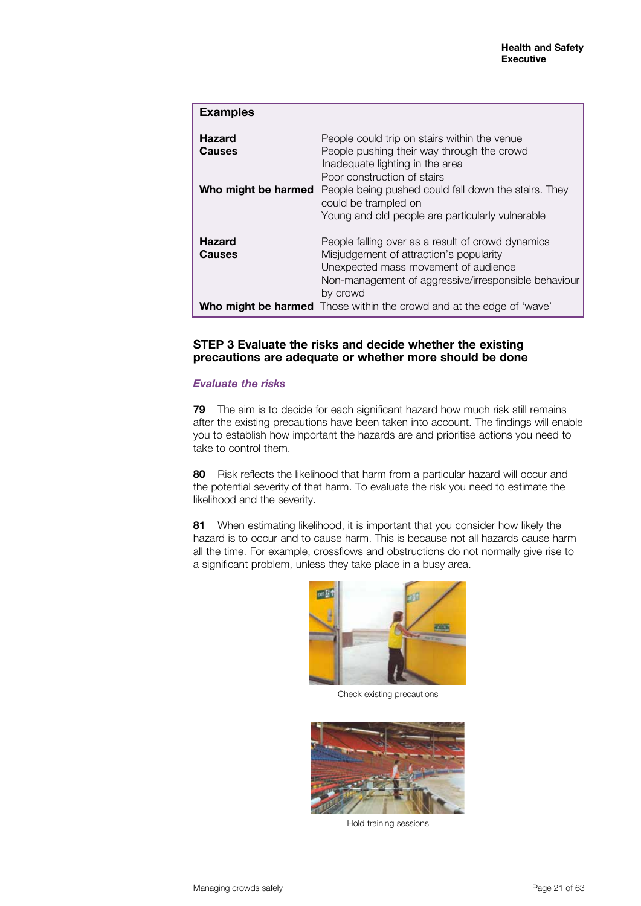| <b>Examples</b>     |                                                                             |
|---------------------|-----------------------------------------------------------------------------|
| <b>Hazard</b>       | People could trip on stairs within the venue                                |
| Causes              | People pushing their way through the crowd                                  |
|                     | Inadequate lighting in the area                                             |
|                     | Poor construction of stairs                                                 |
| Who might be harmed | People being pushed could fall down the stairs. They                        |
|                     | could be trampled on                                                        |
|                     | Young and old people are particularly vulnerable                            |
| <b>Hazard</b>       | People falling over as a result of crowd dynamics                           |
| Causes              | Misjudgement of attraction's popularity                                     |
|                     | Unexpected mass movement of audience                                        |
|                     | Non-management of aggressive/irresponsible behaviour                        |
|                     | by crowd                                                                    |
|                     | <b>Who might be harmed</b> Those within the crowd and at the edge of 'wave' |

# **STEP 3 Evaluate the risks and decide whether the existing precautions are adequate or whether more should be done**

## *Evaluate the risks*

**79** The aim is to decide for each significant hazard how much risk still remains after the existing precautions have been taken into account. The findings will enable you to establish how important the hazards are and prioritise actions you need to take to control them.

**80** Risk reflects the likelihood that harm from a particular hazard will occur and the potential severity of that harm. To evaluate the risk you need to estimate the likelihood and the severity.

**81** When estimating likelihood, it is important that you consider how likely the hazard is to occur and to cause harm. This is because not all hazards cause harm all the time. For example, crossflows and obstructions do not normally give rise to a significant problem, unless they take place in a busy area.



Check existing precautions



Hold training sessions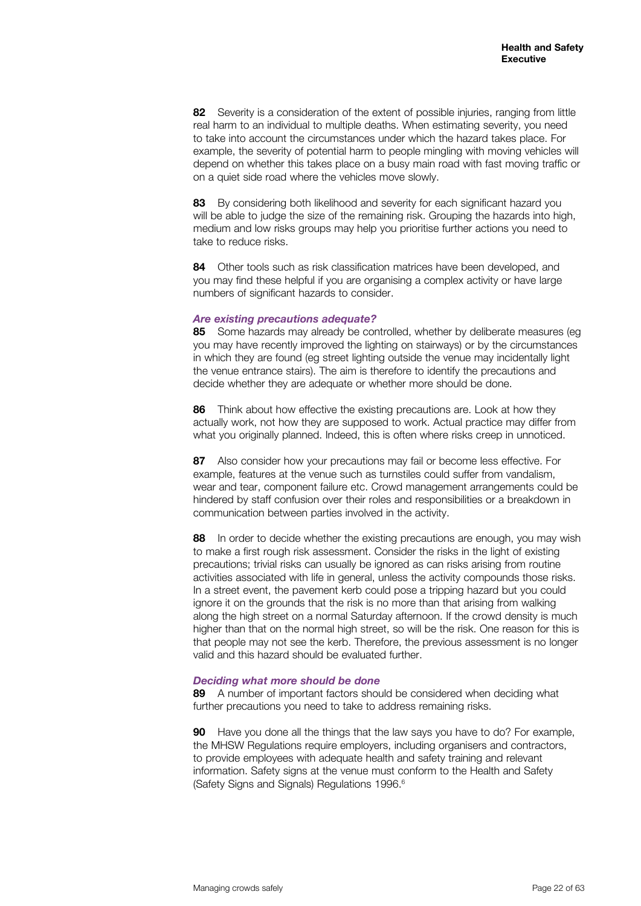**82** Severity is a consideration of the extent of possible injuries, ranging from little real harm to an individual to multiple deaths. When estimating severity, you need to take into account the circumstances under which the hazard takes place. For example, the severity of potential harm to people mingling with moving vehicles will depend on whether this takes place on a busy main road with fast moving traffic or on a quiet side road where the vehicles move slowly.

**83** By considering both likelihood and severity for each significant hazard you will be able to judge the size of the remaining risk. Grouping the hazards into high, medium and low risks groups may help you prioritise further actions you need to take to reduce risks.

**84** Other tools such as risk classification matrices have been developed, and you may find these helpful if you are organising a complex activity or have large numbers of significant hazards to consider.

#### *Are existing precautions adequate?*

**85** Some hazards may already be controlled, whether by deliberate measures (eg you may have recently improved the lighting on stairways) or by the circumstances in which they are found (eg street lighting outside the venue may incidentally light the venue entrance stairs). The aim is therefore to identify the precautions and decide whether they are adequate or whether more should be done.

**86** Think about how effective the existing precautions are. Look at how they actually work, not how they are supposed to work. Actual practice may differ from what you originally planned. Indeed, this is often where risks creep in unnoticed.

**87** Also consider how your precautions may fail or become less effective. For example, features at the venue such as turnstiles could suffer from vandalism, wear and tear, component failure etc. Crowd management arrangements could be hindered by staff confusion over their roles and responsibilities or a breakdown in communication between parties involved in the activity.

**88** In order to decide whether the existing precautions are enough, you may wish to make a first rough risk assessment. Consider the risks in the light of existing precautions; trivial risks can usually be ignored as can risks arising from routine activities associated with life in general, unless the activity compounds those risks. In a street event, the pavement kerb could pose a tripping hazard but you could ignore it on the grounds that the risk is no more than that arising from walking along the high street on a normal Saturday afternoon. If the crowd density is much higher than that on the normal high street, so will be the risk. One reason for this is that people may not see the kerb. Therefore, the previous assessment is no longer valid and this hazard should be evaluated further.

#### *Deciding what more should be done*

**89** A number of important factors should be considered when deciding what further precautions you need to take to address remaining risks.

**90** Have you done all the things that the law says you have to do? For example, the MHSW Regulations require employers, including organisers and contractors, to provide employees with adequate health and safety training and relevant information. Safety signs at the venue must conform to the Health and Safety (Safety Signs and Signals) Regulations 1996.<sup>6</sup>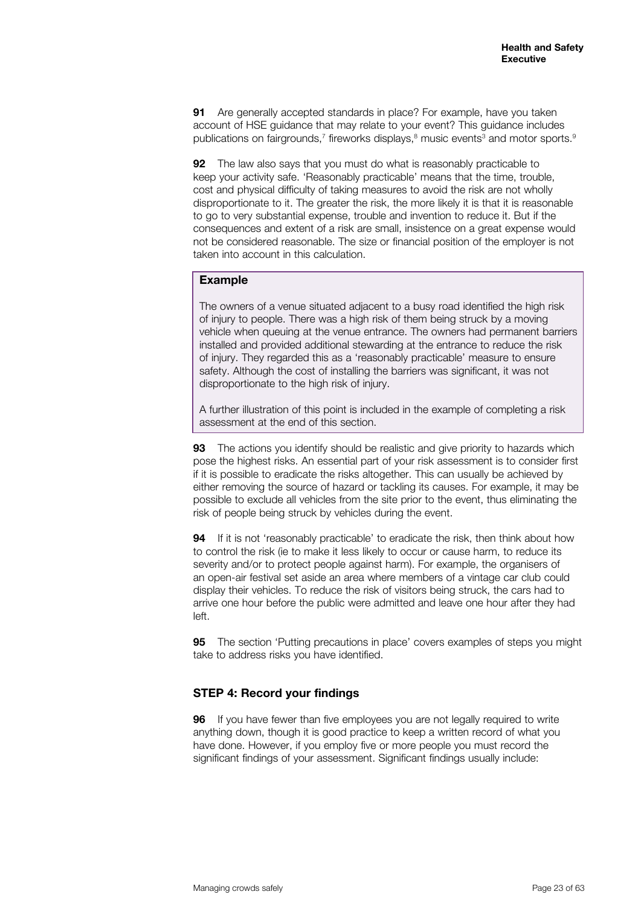**91** Are generally accepted standards in place? For example, have you taken account of HSE guidance that may relate to your event? This guidance includes publications on fairgrounds,<sup>7</sup> fireworks displays,<sup>8</sup> music events<sup>3</sup> and motor sports.<sup>9</sup>

**92** The law also says that you must do what is reasonably practicable to keep your activity safe. 'Reasonably practicable' means that the time, trouble, cost and physical difficulty of taking measures to avoid the risk are not wholly disproportionate to it. The greater the risk, the more likely it is that it is reasonable to go to very substantial expense, trouble and invention to reduce it. But if the consequences and extent of a risk are small, insistence on a great expense would not be considered reasonable. The size or financial position of the employer is not taken into account in this calculation.

## **Example**

The owners of a venue situated adjacent to a busy road identified the high risk of injury to people. There was a high risk of them being struck by a moving vehicle when queuing at the venue entrance. The owners had permanent barriers installed and provided additional stewarding at the entrance to reduce the risk of injury. They regarded this as a 'reasonably practicable' measure to ensure safety. Although the cost of installing the barriers was significant, it was not disproportionate to the high risk of injury.

A further illustration of this point is included in the example of completing a risk assessment at the end of this section.

**93** The actions you identify should be realistic and give priority to hazards which pose the highest risks. An essential part of your risk assessment is to consider first if it is possible to eradicate the risks altogether. This can usually be achieved by either removing the source of hazard or tackling its causes. For example, it may be possible to exclude all vehicles from the site prior to the event, thus eliminating the risk of people being struck by vehicles during the event.

**94** If it is not 'reasonably practicable' to eradicate the risk, then think about how to control the risk (ie to make it less likely to occur or cause harm, to reduce its severity and/or to protect people against harm). For example, the organisers of an open-air festival set aside an area where members of a vintage car club could display their vehicles. To reduce the risk of visitors being struck, the cars had to arrive one hour before the public were admitted and leave one hour after they had left.

**95** The section 'Putting precautions in place' covers examples of steps you might take to address risks you have identified.

# **STEP 4: Record your findings**

**96** If you have fewer than five employees you are not legally required to write anything down, though it is good practice to keep a written record of what you have done. However, if you employ five or more people you must record the significant findings of your assessment. Significant findings usually include: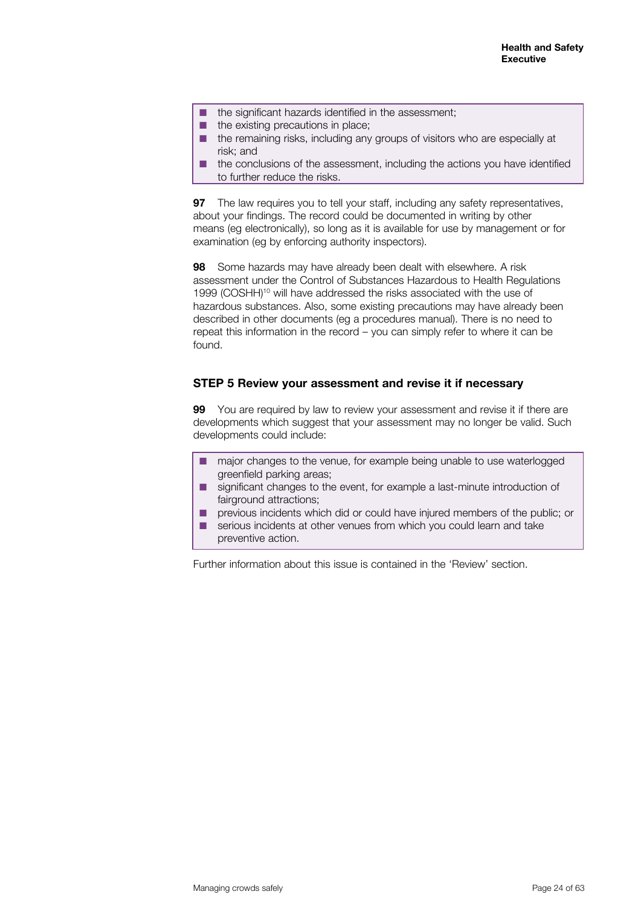- $\blacksquare$  the significant hazards identified in the assessment;
- $\blacksquare$  the existing precautions in place;
- $\blacksquare$  the remaining risks, including any groups of visitors who are especially at risk; and
- $\blacksquare$  the conclusions of the assessment, including the actions you have identified to further reduce the risks.

**97** The law requires you to tell your staff, including any safety representatives, about your findings. The record could be documented in writing by other means (eg electronically), so long as it is available for use by management or for examination (eg by enforcing authority inspectors).

**98** Some hazards may have already been dealt with elsewhere. A risk assessment under the Control of Substances Hazardous to Health Regulations 1999 (COSHH)10 will have addressed the risks associated with the use of hazardous substances. Also, some existing precautions may have already been described in other documents (eg a procedures manual). There is no need to repeat this information in the record – you can simply refer to where it can be found.

# **STEP 5 Review your assessment and revise it if necessary**

**99** You are required by law to review your assessment and revise it if there are developments which suggest that your assessment may no longer be valid. Such developments could include:

- najor changes to the venue, for example being unable to use waterlogged greenfield parking areas;
- $\blacksquare$  significant changes to the event, for example a last-minute introduction of fairground attractions;
- n previous incidents which did or could have injured members of the public; or
- $\blacksquare$  serious incidents at other venues from which you could learn and take preventive action.

Further information about this issue is contained in the 'Review' section.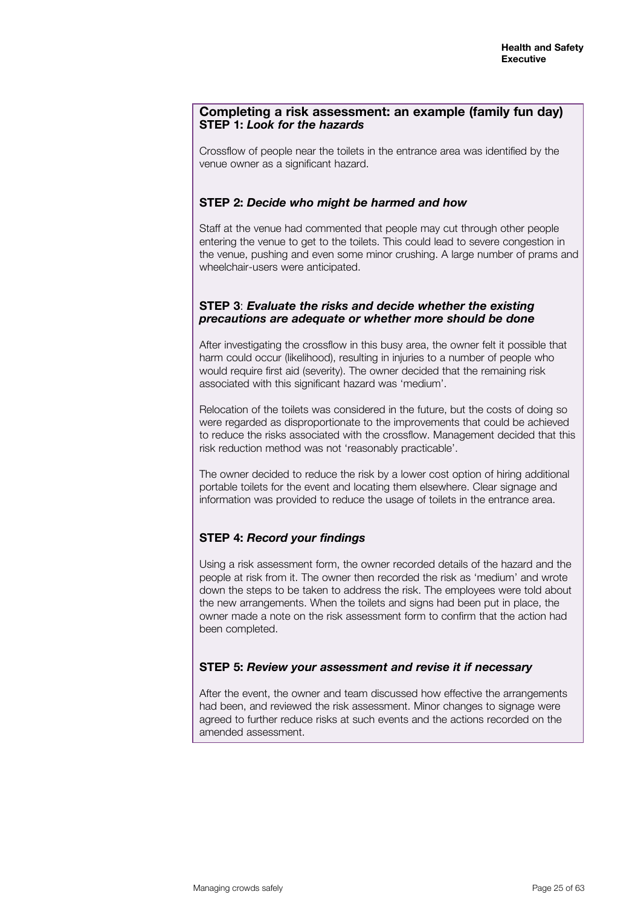# **Completing a risk assessment: an example (family fun day) STEP 1:** *Look for the hazards*

Crossflow of people near the toilets in the entrance area was identified by the venue owner as a significant hazard.

# **STEP 2:** *Decide who might be harmed and how*

Staff at the venue had commented that people may cut through other people entering the venue to get to the toilets. This could lead to severe congestion in the venue, pushing and even some minor crushing. A large number of prams and wheelchair-users were anticipated.

# **STEP 3**: *Evaluate the risks and decide whether the existing precautions are adequate or whether more should be done*

After investigating the crossflow in this busy area, the owner felt it possible that harm could occur (likelihood), resulting in injuries to a number of people who would require first aid (severity). The owner decided that the remaining risk associated with this significant hazard was 'medium'.

Relocation of the toilets was considered in the future, but the costs of doing so were regarded as disproportionate to the improvements that could be achieved to reduce the risks associated with the crossflow. Management decided that this risk reduction method was not 'reasonably practicable'.

The owner decided to reduce the risk by a lower cost option of hiring additional portable toilets for the event and locating them elsewhere. Clear signage and information was provided to reduce the usage of toilets in the entrance area.

# **STEP 4:** *Record your findings*

Using a risk assessment form, the owner recorded details of the hazard and the people at risk from it. The owner then recorded the risk as 'medium' and wrote down the steps to be taken to address the risk. The employees were told about the new arrangements. When the toilets and signs had been put in place, the owner made a note on the risk assessment form to confirm that the action had been completed.

# **STEP 5:** *Review your assessment and revise it if necessary*

After the event, the owner and team discussed how effective the arrangements had been, and reviewed the risk assessment. Minor changes to signage were agreed to further reduce risks at such events and the actions recorded on the amended assessment.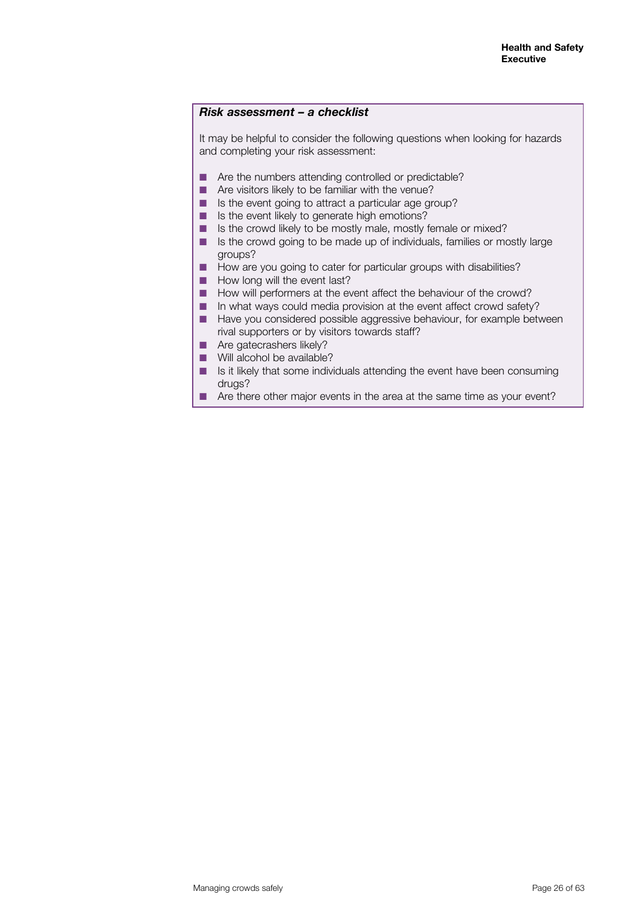# *Risk assessment – a checklist*

It may be helpful to consider the following questions when looking for hazards and completing your risk assessment:

- $\blacksquare$  Are the numbers attending controlled or predictable?
- $\blacksquare$  Are visitors likely to be familiar with the venue?
- $\blacksquare$  Is the event going to attract a particular age group?
- $\blacksquare$  Is the event likely to generate high emotions?
- Is the crowd likely to be mostly male, mostly female or mixed?
- $\blacksquare$  Is the crowd going to be made up of individuals, families or mostly large groups?
- $\blacksquare$  How are you going to cater for particular groups with disabilities?
- $\blacksquare$  How long will the event last?
- $\blacksquare$  How will performers at the event affect the behaviour of the crowd?
- $\blacksquare$  In what ways could media provision at the event affect crowd safety?
- $\blacksquare$  Have you considered possible aggressive behaviour, for example between rival supporters or by visitors towards staff?
- $\blacksquare$  Are gatecrashers likely?
- $\blacksquare$  Will alcohol be available?
- $\blacksquare$  Is it likely that some individuals attending the event have been consuming drugs?
- $\blacksquare$  Are there other major events in the area at the same time as your event?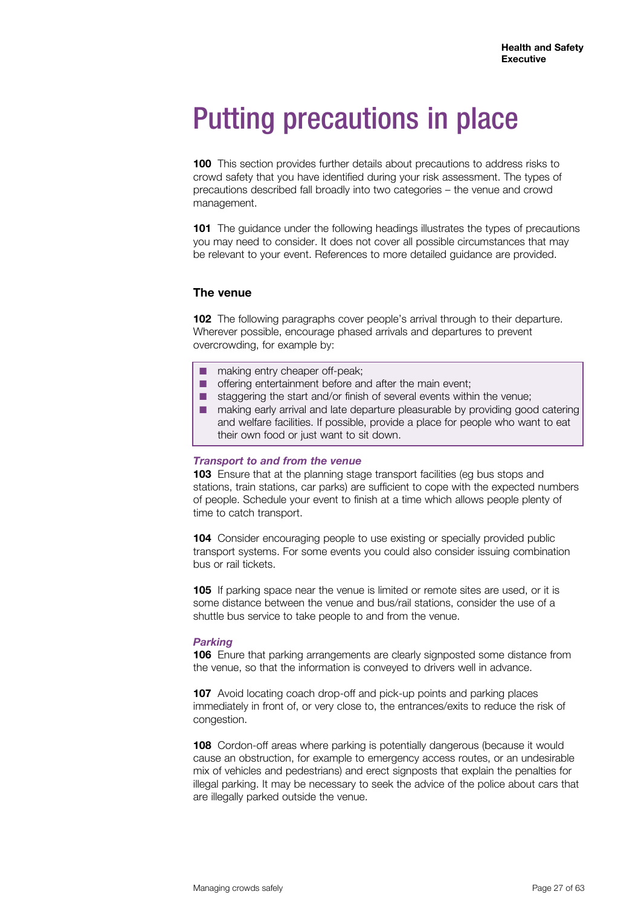# Putting precautions in place

**100** This section provides further details about precautions to address risks to crowd safety that you have identified during your risk assessment. The types of precautions described fall broadly into two categories – the venue and crowd management.

**101** The guidance under the following headings illustrates the types of precautions you may need to consider. It does not cover all possible circumstances that may be relevant to your event. References to more detailed guidance are provided.

## **The venue**

**102** The following paragraphs cover people's arrival through to their departure. Wherever possible, encourage phased arrivals and departures to prevent overcrowding, for example by:

- $\blacksquare$  making entry cheaper off-peak;
- $\blacksquare$  offering entertainment before and after the main event;
- $\blacksquare$  staggering the start and/or finish of several events within the venue;
- $\blacksquare$  making early arrival and late departure pleasurable by providing good catering and welfare facilities. If possible, provide a place for people who want to eat their own food or just want to sit down.

#### *Transport to and from the venue*

**103** Ensure that at the planning stage transport facilities (eg bus stops and stations, train stations, car parks) are sufficient to cope with the expected numbers of people. Schedule your event to finish at a time which allows people plenty of time to catch transport.

**104** Consider encouraging people to use existing or specially provided public transport systems. For some events you could also consider issuing combination bus or rail tickets.

**105** If parking space near the venue is limited or remote sites are used, or it is some distance between the venue and bus/rail stations, consider the use of a shuttle bus service to take people to and from the venue.

#### *Parking*

**106** Enure that parking arrangements are clearly signposted some distance from the venue, so that the information is conveyed to drivers well in advance.

**107** Avoid locating coach drop-off and pick-up points and parking places immediately in front of, or very close to, the entrances/exits to reduce the risk of congestion.

**108** Cordon-off areas where parking is potentially dangerous (because it would cause an obstruction, for example to emergency access routes, or an undesirable mix of vehicles and pedestrians) and erect signposts that explain the penalties for illegal parking. It may be necessary to seek the advice of the police about cars that are illegally parked outside the venue.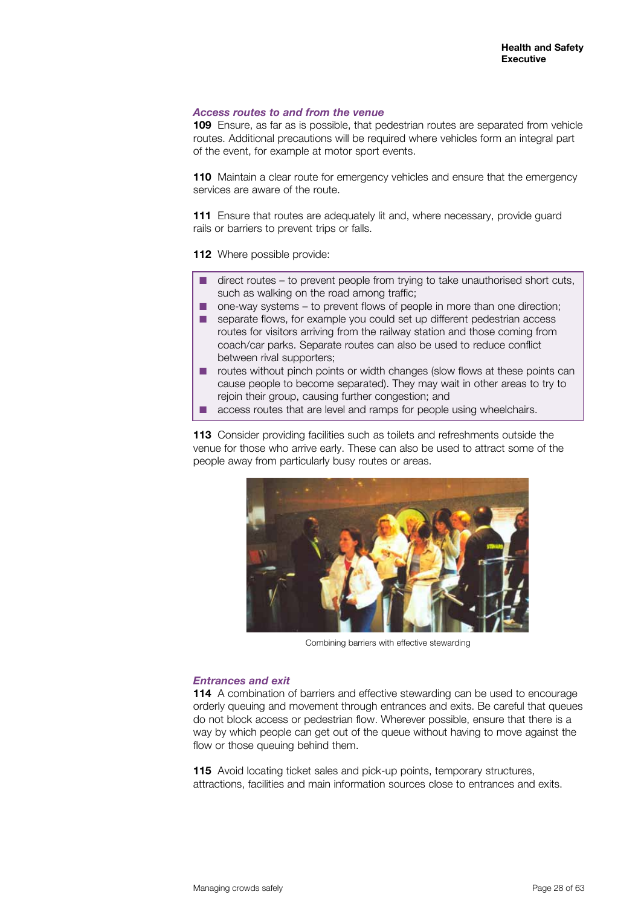#### *Access routes to and from the venue*

**109** Ensure, as far as is possible, that pedestrian routes are separated from vehicle routes. Additional precautions will be required where vehicles form an integral part of the event, for example at motor sport events.

**110** Maintain a clear route for emergency vehicles and ensure that the emergency services are aware of the route.

**111** Ensure that routes are adequately lit and, where necessary, provide guard rails or barriers to prevent trips or falls.

**112** Where possible provide:

- $\blacksquare$  direct routes to prevent people from trying to take unauthorised short cuts, such as walking on the road among traffic;
- $\Box$  one-way systems to prevent flows of people in more than one direction;
- $\blacksquare$  separate flows, for example you could set up different pedestrian access routes for visitors arriving from the railway station and those coming from coach/car parks. Separate routes can also be used to reduce conflict between rival supporters;
- $\blacksquare$  routes without pinch points or width changes (slow flows at these points can cause people to become separated). They may wait in other areas to try to rejoin their group, causing further congestion; and
- $\blacksquare$  access routes that are level and ramps for people using wheelchairs.

**113** Consider providing facilities such as toilets and refreshments outside the venue for those who arrive early. These can also be used to attract some of the people away from particularly busy routes or areas.



Combining barriers with effective stewarding

#### *Entrances and exit*

**114** A combination of barriers and effective stewarding can be used to encourage orderly queuing and movement through entrances and exits. Be careful that queues do not block access or pedestrian flow. Wherever possible, ensure that there is a way by which people can get out of the queue without having to move against the flow or those queuing behind them.

**115** Avoid locating ticket sales and pick-up points, temporary structures, attractions, facilities and main information sources close to entrances and exits.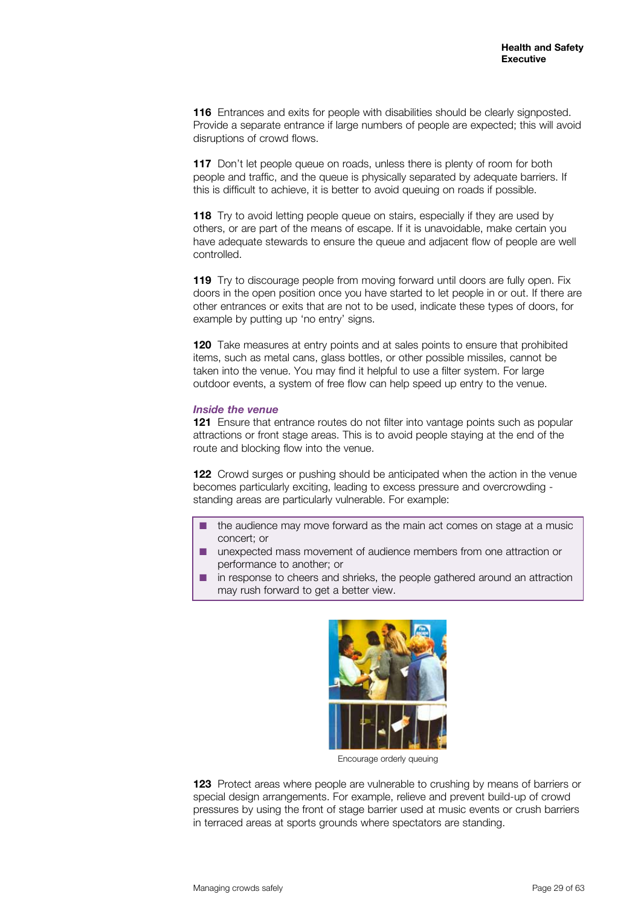**116** Entrances and exits for people with disabilities should be clearly signposted. Provide a separate entrance if large numbers of people are expected; this will avoid disruptions of crowd flows.

**117** Don't let people queue on roads, unless there is plenty of room for both people and traffic, and the queue is physically separated by adequate barriers. If this is difficult to achieve, it is better to avoid queuing on roads if possible.

**118** Try to avoid letting people queue on stairs, especially if they are used by others, or are part of the means of escape. If it is unavoidable, make certain you have adequate stewards to ensure the queue and adjacent flow of people are well controlled.

**119** Try to discourage people from moving forward until doors are fully open. Fix doors in the open position once you have started to let people in or out. If there are other entrances or exits that are not to be used, indicate these types of doors, for example by putting up 'no entry' signs.

**120** Take measures at entry points and at sales points to ensure that prohibited items, such as metal cans, glass bottles, or other possible missiles, cannot be taken into the venue. You may find it helpful to use a filter system. For large outdoor events, a system of free flow can help speed up entry to the venue.

#### *Inside the venue*

**121** Ensure that entrance routes do not filter into vantage points such as popular attractions or front stage areas. This is to avoid people staying at the end of the route and blocking flow into the venue.

**122** Crowd surges or pushing should be anticipated when the action in the venue becomes particularly exciting, leading to excess pressure and overcrowding standing areas are particularly vulnerable. For example:

- $\blacksquare$  the audience may move forward as the main act comes on stage at a music concert; or
- n unexpected mass movement of audience members from one attraction or performance to another; or
- $\blacksquare$  in response to cheers and shrieks, the people gathered around an attraction may rush forward to get a better view.



Encourage orderly queuing

**123** Protect areas where people are vulnerable to crushing by means of barriers or special design arrangements. For example, relieve and prevent build-up of crowd pressures by using the front of stage barrier used at music events or crush barriers in terraced areas at sports grounds where spectators are standing.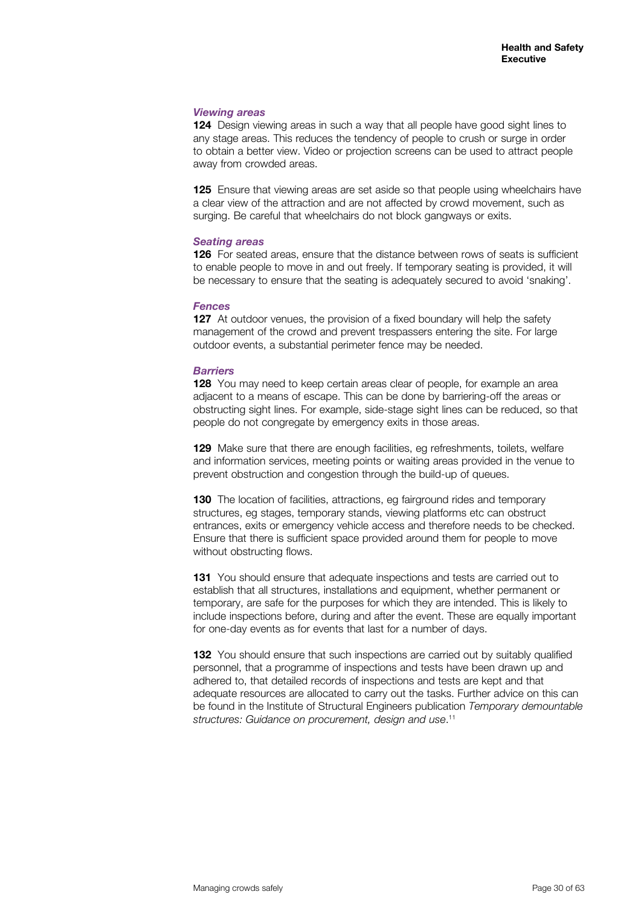#### *Viewing areas*

**124** Design viewing areas in such a way that all people have good sight lines to any stage areas. This reduces the tendency of people to crush or surge in order to obtain a better view. Video or projection screens can be used to attract people away from crowded areas.

**125** Ensure that viewing areas are set aside so that people using wheelchairs have a clear view of the attraction and are not affected by crowd movement, such as surging. Be careful that wheelchairs do not block gangways or exits.

#### *Seating areas*

**126** For seated areas, ensure that the distance between rows of seats is sufficient to enable people to move in and out freely. If temporary seating is provided, it will be necessary to ensure that the seating is adequately secured to avoid 'snaking'.

#### *Fences*

**127** At outdoor venues, the provision of a fixed boundary will help the safety management of the crowd and prevent trespassers entering the site. For large outdoor events, a substantial perimeter fence may be needed.

#### *Barriers*

**128** You may need to keep certain areas clear of people, for example an area adjacent to a means of escape. This can be done by barriering-off the areas or obstructing sight lines. For example, side-stage sight lines can be reduced, so that people do not congregate by emergency exits in those areas.

**129** Make sure that there are enough facilities, eg refreshments, toilets, welfare and information services, meeting points or waiting areas provided in the venue to prevent obstruction and congestion through the build-up of queues.

**130** The location of facilities, attractions, eg fairground rides and temporary structures, eg stages, temporary stands, viewing platforms etc can obstruct entrances, exits or emergency vehicle access and therefore needs to be checked. Ensure that there is sufficient space provided around them for people to move without obstructing flows.

**131** You should ensure that adequate inspections and tests are carried out to establish that all structures, installations and equipment, whether permanent or temporary, are safe for the purposes for which they are intended. This is likely to include inspections before, during and after the event. These are equally important for one-day events as for events that last for a number of days.

**132** You should ensure that such inspections are carried out by suitably qualified personnel, that a programme of inspections and tests have been drawn up and adhered to, that detailed records of inspections and tests are kept and that adequate resources are allocated to carry out the tasks. Further advice on this can be found in the Institute of Structural Engineers publication *Temporary demountable structures: Guidance on procurement, design and use*. 11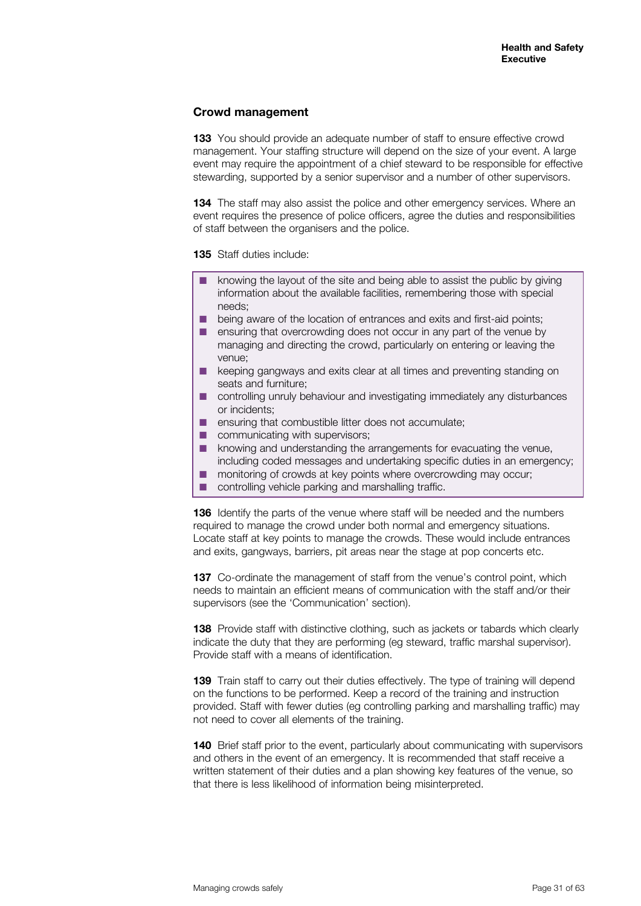# **Crowd management**

**133** You should provide an adequate number of staff to ensure effective crowd management. Your staffing structure will depend on the size of your event. A large event may require the appointment of a chief steward to be responsible for effective stewarding, supported by a senior supervisor and a number of other supervisors.

**134** The staff may also assist the police and other emergency services. Where an event requires the presence of police officers, agree the duties and responsibilities of staff between the organisers and the police.

**135** Staff duties include:

- $\blacksquare$  knowing the layout of the site and being able to assist the public by giving information about the available facilities, remembering those with special needs;
- $\blacksquare$  being aware of the location of entrances and exits and first-aid points;
- $\blacksquare$  ensuring that overcrowding does not occur in any part of the venue by managing and directing the crowd, particularly on entering or leaving the venue;
- $\blacksquare$  keeping gangways and exits clear at all times and preventing standing on seats and furniture;
- $\blacksquare$  controlling unruly behaviour and investigating immediately any disturbances or incidents;
- $\blacksquare$  ensuring that combustible litter does not accumulate;
- $\Box$  communicating with supervisors;
- $\blacksquare$  knowing and understanding the arrangements for evacuating the venue, including coded messages and undertaking specific duties in an emergency;
- $\blacksquare$  monitoring of crowds at key points where overcrowding may occur;
- $\blacksquare$  controlling vehicle parking and marshalling traffic.

**136** Identify the parts of the venue where staff will be needed and the numbers required to manage the crowd under both normal and emergency situations. Locate staff at key points to manage the crowds. These would include entrances and exits, gangways, barriers, pit areas near the stage at pop concerts etc.

**137** Co-ordinate the management of staff from the venue's control point, which needs to maintain an efficient means of communication with the staff and/or their supervisors (see the 'Communication' section).

**138** Provide staff with distinctive clothing, such as jackets or tabards which clearly indicate the duty that they are performing (eg steward, traffic marshal supervisor). Provide staff with a means of identification.

**139** Train staff to carry out their duties effectively. The type of training will depend on the functions to be performed. Keep a record of the training and instruction provided. Staff with fewer duties (eg controlling parking and marshalling traffic) may not need to cover all elements of the training.

**140** Brief staff prior to the event, particularly about communicating with supervisors and others in the event of an emergency. It is recommended that staff receive a written statement of their duties and a plan showing key features of the venue, so that there is less likelihood of information being misinterpreted.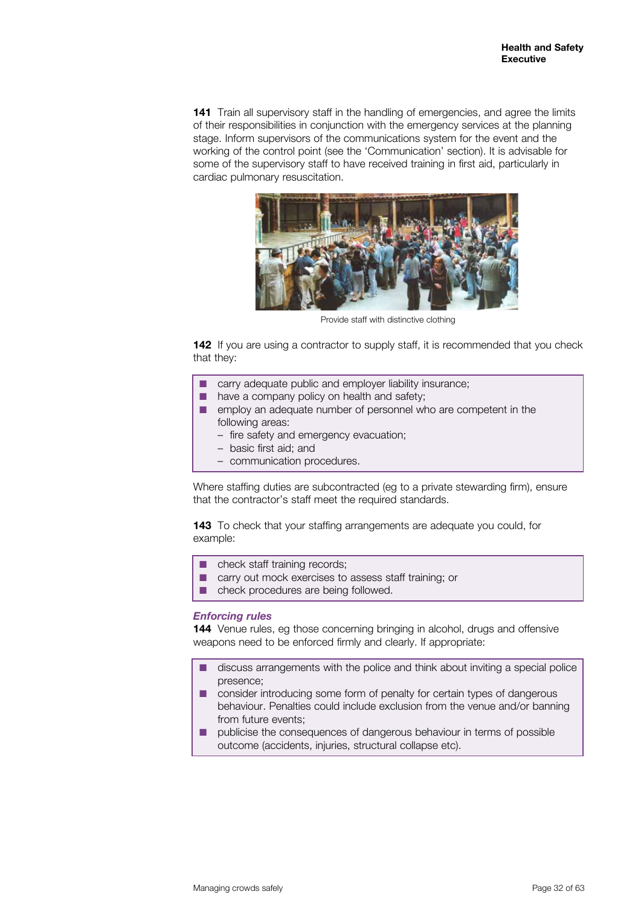**141** Train all supervisory staff in the handling of emergencies, and agree the limits of their responsibilities in conjunction with the emergency services at the planning stage. Inform supervisors of the communications system for the event and the working of the control point (see the 'Communication' section). It is advisable for some of the supervisory staff to have received training in first aid, particularly in cardiac pulmonary resuscitation.



Provide staff with distinctive clothing

**142** If you are using a contractor to supply staff, it is recommended that you check that they:

- $\blacksquare$  carry adequate public and employer liability insurance;
- $\blacksquare$  have a company policy on health and safety;
- $\blacksquare$  employ an adequate number of personnel who are competent in the following areas:
	- fire safety and emergency evacuation;
	- – basic first aid; and
	- communication procedures.

Where staffing duties are subcontracted (eg to a private stewarding firm), ensure that the contractor's staff meet the required standards.

**143** To check that your staffing arrangements are adequate you could, for example:

- $\blacksquare$  check staff training records;
- $\blacksquare$  carry out mock exercises to assess staff training; or
- $\blacksquare$  check procedures are being followed.

#### *Enforcing rules*

**144** Venue rules, eg those concerning bringing in alcohol, drugs and offensive weapons need to be enforced firmly and clearly. If appropriate:

- $\blacksquare$  discuss arrangements with the police and think about inviting a special police presence;
- $\Box$  consider introducing some form of penalty for certain types of dangerous behaviour. Penalties could include exclusion from the venue and/or banning from future events:
- $\Box$  publicise the consequences of dangerous behaviour in terms of possible outcome (accidents, injuries, structural collapse etc).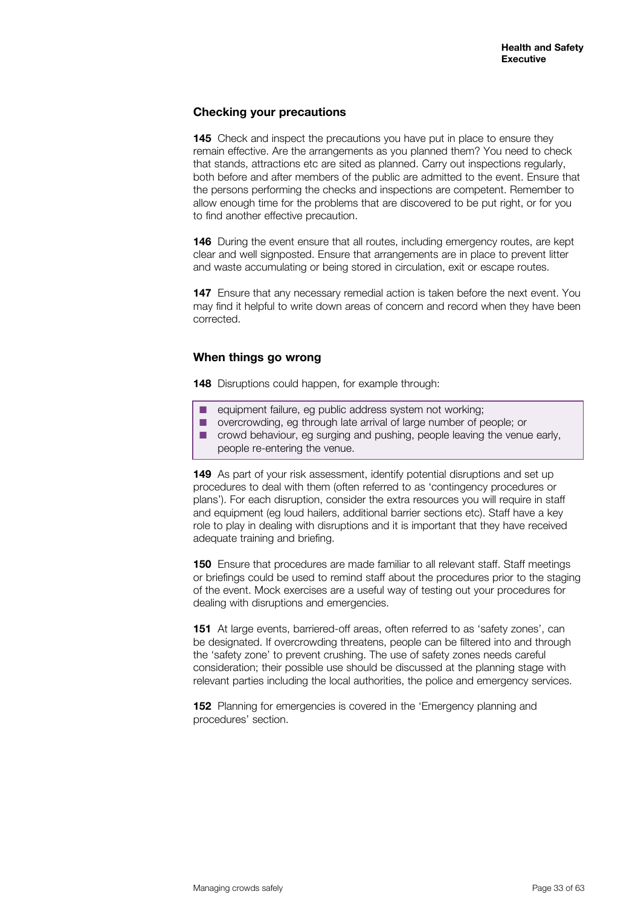# **Checking your precautions**

**145** Check and inspect the precautions you have put in place to ensure they remain effective. Are the arrangements as you planned them? You need to check that stands, attractions etc are sited as planned. Carry out inspections regularly, both before and after members of the public are admitted to the event. Ensure that the persons performing the checks and inspections are competent. Remember to allow enough time for the problems that are discovered to be put right, or for you to find another effective precaution.

**146** During the event ensure that all routes, including emergency routes, are kept clear and well signposted. Ensure that arrangements are in place to prevent litter and waste accumulating or being stored in circulation, exit or escape routes.

**147** Ensure that any necessary remedial action is taken before the next event. You may find it helpful to write down areas of concern and record when they have been corrected.

## **When things go wrong**

**148** Disruptions could happen, for example through:

- $\blacksquare$  equipment failure, eg public address system not working;
- $\Box$  overcrowding, eg through late arrival of large number of people; or
- $\blacksquare$  crowd behaviour, eg surging and pushing, people leaving the venue early, people re-entering the venue.

**149** As part of your risk assessment, identify potential disruptions and set up procedures to deal with them (often referred to as 'contingency procedures or plans'). For each disruption, consider the extra resources you will require in staff and equipment (eg loud hailers, additional barrier sections etc). Staff have a key role to play in dealing with disruptions and it is important that they have received adequate training and briefing.

**150** Ensure that procedures are made familiar to all relevant staff. Staff meetings or briefings could be used to remind staff about the procedures prior to the staging of the event. Mock exercises are a useful way of testing out your procedures for dealing with disruptions and emergencies.

**151** At large events, barriered-off areas, often referred to as 'safety zones', can be designated. If overcrowding threatens, people can be filtered into and through the 'safety zone' to prevent crushing. The use of safety zones needs careful consideration; their possible use should be discussed at the planning stage with relevant parties including the local authorities, the police and emergency services.

**152** Planning for emergencies is covered in the 'Emergency planning and procedures' section.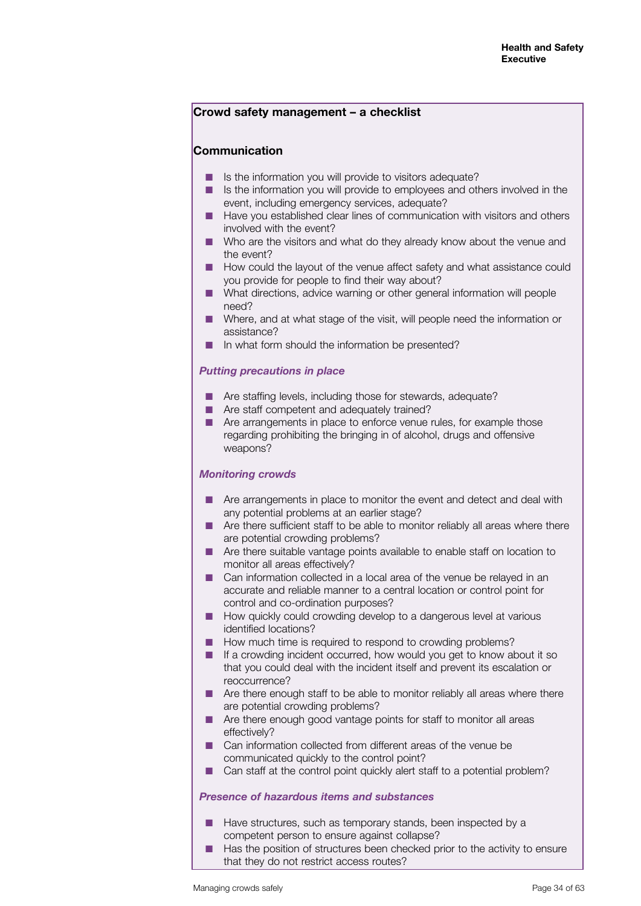# **Crowd safety management – a checklist**

# **Communication**

- $\blacksquare$  Is the information you will provide to visitors adequate?
- $\blacksquare$  Is the information you will provide to employees and others involved in the event, including emergency services, adequate?
- Have you established clear lines of communication with visitors and others involved with the event?
- $\blacksquare$  Who are the visitors and what do they already know about the venue and the event?
- How could the layout of the venue affect safety and what assistance could you provide for people to find their way about?
- What directions, advice warning or other general information will people need?
- Where, and at what stage of the visit, will people need the information or assistance?
- $\blacksquare$  In what form should the information be presented?

#### *Putting precautions in place*

- $\blacksquare$  Are staffing levels, including those for stewards, adequate?
- $\blacksquare$  Are staff competent and adequately trained?
- $\blacksquare$  Are arrangements in place to enforce venue rules, for example those regarding prohibiting the bringing in of alcohol, drugs and offensive weapons?

#### *Monitoring crowds*

- $\blacksquare$  Are arrangements in place to monitor the event and detect and deal with any potential problems at an earlier stage?
- $\blacksquare$  Are there sufficient staff to be able to monitor reliably all areas where there are potential crowding problems?
- $\blacksquare$  Are there suitable vantage points available to enable staff on location to monitor all areas effectively?
- Can information collected in a local area of the venue be relayed in an accurate and reliable manner to a central location or control point for control and co-ordination purposes?
- $\blacksquare$  How quickly could crowding develop to a dangerous level at various identified locations?
- $\blacksquare$  How much time is required to respond to crowding problems?
- $\blacksquare$  If a crowding incident occurred, how would you get to know about it so that you could deal with the incident itself and prevent its escalation or reoccurrence?
- $\blacksquare$  Are there enough staff to be able to monitor reliably all areas where there are potential crowding problems?
- $\blacksquare$  Are there enough good vantage points for staff to monitor all areas effectively?
- $\blacksquare$  Can information collected from different areas of the venue be communicated quickly to the control point?
- $\Box$  Can staff at the control point quickly alert staff to a potential problem?

#### *Presence of hazardous items and substances*

- $\blacksquare$  Have structures, such as temporary stands, been inspected by a competent person to ensure against collapse?
- n Has the position of structures been checked prior to the activity to ensure that they do not restrict access routes?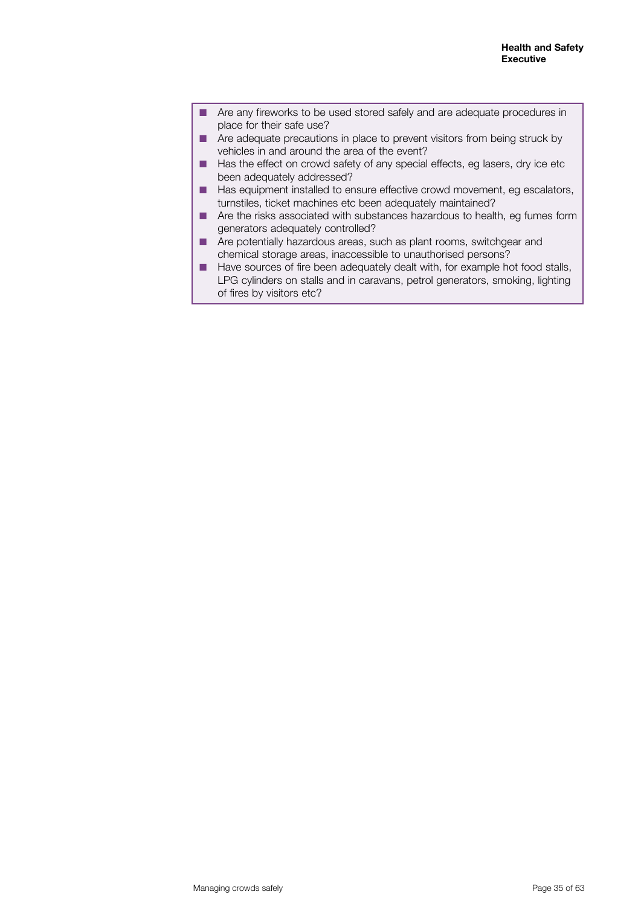- Are any fireworks to be used stored safely and are adequate procedures in place for their safe use?
- $\blacksquare$  Are adequate precautions in place to prevent visitors from being struck by vehicles in and around the area of the event?
- $\blacksquare$  Has the effect on crowd safety of any special effects, eg lasers, dry ice etc been adequately addressed?
- Has equipment installed to ensure effective crowd movement, eg escalators, turnstiles, ticket machines etc been adequately maintained?
- $\blacksquare$  Are the risks associated with substances hazardous to health, eg fumes form generators adequately controlled?
- Are potentially hazardous areas, such as plant rooms, switchgear and chemical storage areas, inaccessible to unauthorised persons?
- $\blacksquare$  Have sources of fire been adequately dealt with, for example hot food stalls, LPG cylinders on stalls and in caravans, petrol generators, smoking, lighting of fires by visitors etc?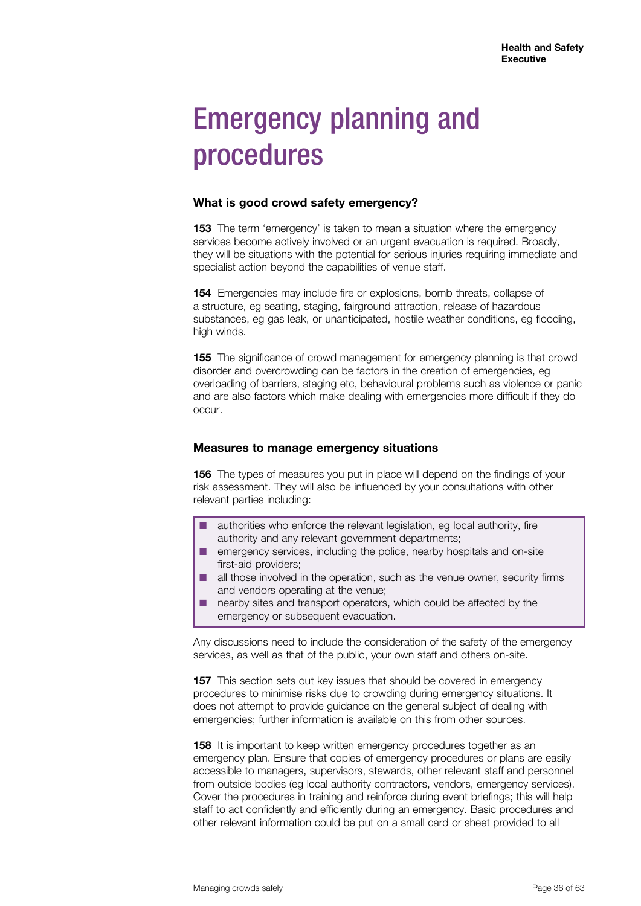# Emergency planning and procedures

# **What is good crowd safety emergency?**

**153** The term 'emergency' is taken to mean a situation where the emergency services become actively involved or an urgent evacuation is required. Broadly, they will be situations with the potential for serious injuries requiring immediate and specialist action beyond the capabilities of venue staff.

**154** Emergencies may include fire or explosions, bomb threats, collapse of a structure, eg seating, staging, fairground attraction, release of hazardous substances, eg gas leak, or unanticipated, hostile weather conditions, eg flooding, high winds.

**155** The significance of crowd management for emergency planning is that crowd disorder and overcrowding can be factors in the creation of emergencies, eg overloading of barriers, staging etc, behavioural problems such as violence or panic and are also factors which make dealing with emergencies more difficult if they do occur.

#### **Measures to manage emergency situations**

**156** The types of measures you put in place will depend on the findings of your risk assessment. They will also be influenced by your consultations with other relevant parties including:

- $\blacksquare$  authorities who enforce the relevant legislation, eg local authority, fire authority and any relevant government departments;
- $\blacksquare$  emergency services, including the police, nearby hospitals and on-site first-aid providers;
- $\blacksquare$  all those involved in the operation, such as the venue owner, security firms and vendors operating at the venue;
- $\blacksquare$  nearby sites and transport operators, which could be affected by the emergency or subsequent evacuation.

Any discussions need to include the consideration of the safety of the emergency services, as well as that of the public, your own staff and others on-site.

**157** This section sets out key issues that should be covered in emergency procedures to minimise risks due to crowding during emergency situations. It does not attempt to provide guidance on the general subject of dealing with emergencies; further information is available on this from other sources.

**158** It is important to keep written emergency procedures together as an emergency plan. Ensure that copies of emergency procedures or plans are easily accessible to managers, supervisors, stewards, other relevant staff and personnel from outside bodies (eg local authority contractors, vendors, emergency services). Cover the procedures in training and reinforce during event briefings; this will help staff to act confidently and efficiently during an emergency. Basic procedures and other relevant information could be put on a small card or sheet provided to all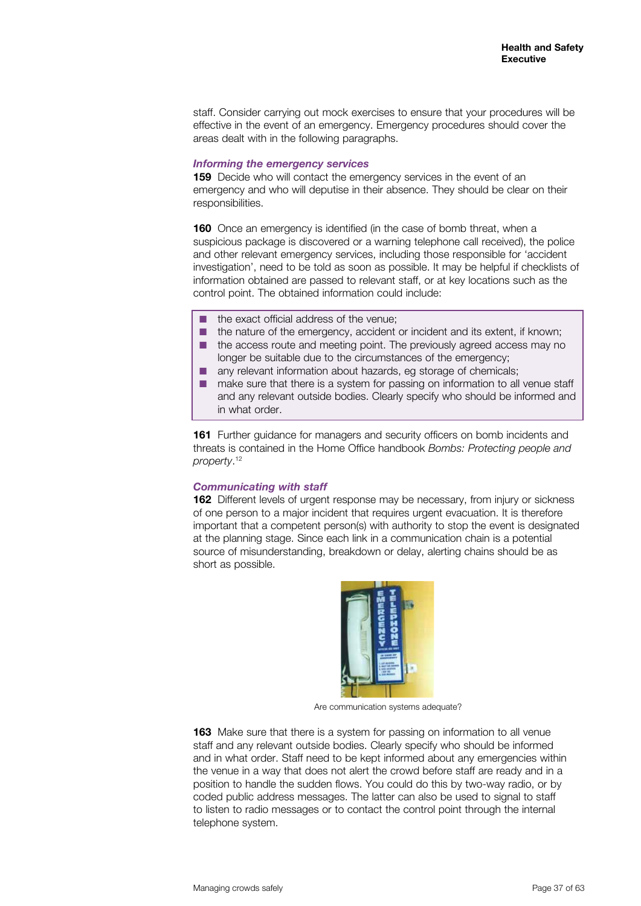staff. Consider carrying out mock exercises to ensure that your procedures will be effective in the event of an emergency. Emergency procedures should cover the areas dealt with in the following paragraphs.

#### *Informing the emergency services*

**159** Decide who will contact the emergency services in the event of an emergency and who will deputise in their absence. They should be clear on their responsibilities.

**160** Once an emergency is identified (in the case of bomb threat, when a suspicious package is discovered or a warning telephone call received), the police and other relevant emergency services, including those responsible for 'accident investigation', need to be told as soon as possible. It may be helpful if checklists of information obtained are passed to relevant staff, or at key locations such as the control point. The obtained information could include:

- $\blacksquare$  the exact official address of the venue;
- $\blacksquare$  the nature of the emergency, accident or incident and its extent, if known;
- $\blacksquare$  the access route and meeting point. The previously agreed access may no longer be suitable due to the circumstances of the emergency;
- $\blacksquare$  any relevant information about hazards, eg storage of chemicals;
- $\blacksquare$  make sure that there is a system for passing on information to all venue staff and any relevant outside bodies. Clearly specify who should be informed and in what order.

**161** Further guidance for managers and security officers on bomb incidents and threats is contained in the Home Office handbook *Bombs: Protecting people and property*. 12

#### *Communicating with staff*

**162** Different levels of urgent response may be necessary, from injury or sickness of one person to a major incident that requires urgent evacuation. It is therefore important that a competent person(s) with authority to stop the event is designated at the planning stage. Since each link in a communication chain is a potential source of misunderstanding, breakdown or delay, alerting chains should be as short as possible.



Are communication systems adequate?

**163** Make sure that there is a system for passing on information to all venue staff and any relevant outside bodies. Clearly specify who should be informed and in what order. Staff need to be kept informed about any emergencies within the venue in a way that does not alert the crowd before staff are ready and in a position to handle the sudden flows. You could do this by two-way radio, or by coded public address messages. The latter can also be used to signal to staff to listen to radio messages or to contact the control point through the internal telephone system.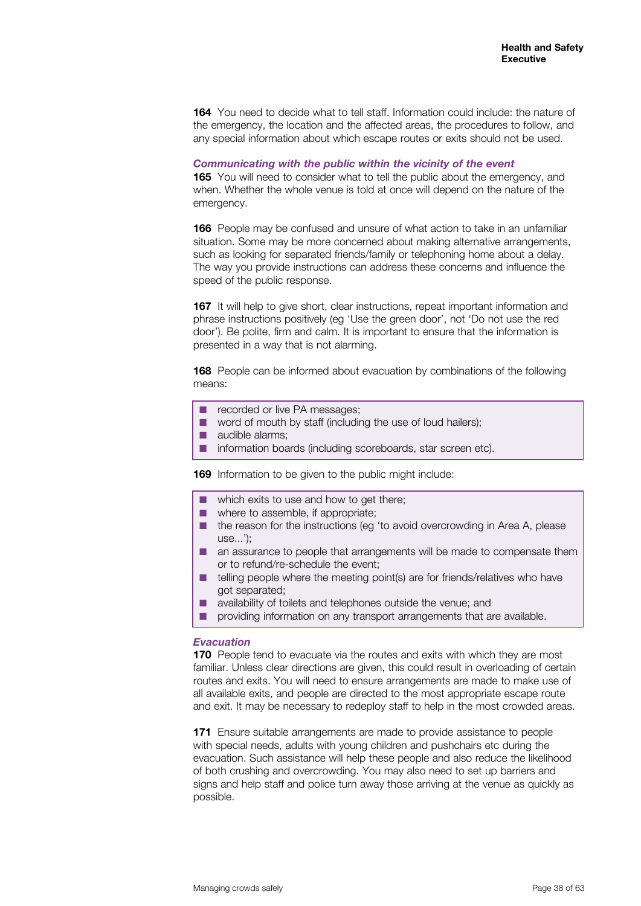**164** You need to decide what to tell staff. Information could include: the nature of the emergency, the location and the affected areas, the procedures to follow, and any special information about which escape routes or exits should not be used.

#### *Communicating with the public within the vicinity of the event*

**165** You will need to consider what to tell the public about the emergency, and when. Whether the whole venue is told at once will depend on the nature of the emergency.

**166** People may be confused and unsure of what action to take in an unfamiliar situation. Some may be more concerned about making alternative arrangements, such as looking for separated friends/family or telephoning home about a delay. The way you provide instructions can address these concerns and influence the speed of the public response.

**167** It will help to give short, clear instructions, repeat important information and phrase instructions positively (eg 'Use the green door', not 'Do not use the red door'). Be polite, firm and calm. It is important to ensure that the information is presented in a way that is not alarming.

**168** People can be informed about evacuation by combinations of the following means:

- na recorded or live PA messages;
- $\blacksquare$  word of mouth by staff (including the use of loud hailers);
- $\blacksquare$  audible alarms:
- **n** information boards (including scoreboards, star screen etc).

**169** Information to be given to the public might include:

- $\blacksquare$  which exits to use and how to get there;
- $\blacksquare$  where to assemble, if appropriate:
- $\blacksquare$  the reason for the instructions (eg 'to avoid overcrowding in Area A, please use...');
- n an assurance to people that arrangements will be made to compensate them or to refund/re-schedule the event;
- $\blacksquare$  telling people where the meeting point(s) are for friends/relatives who have got separated;
- $\blacksquare$  availability of toilets and telephones outside the venue; and
- providing information on any transport arrangements that are available.

#### *Evacuation*

**170** People tend to evacuate via the routes and exits with which they are most familiar. Unless clear directions are given, this could result in overloading of certain routes and exits. You will need to ensure arrangements are made to make use of all available exits, and people are directed to the most appropriate escape route and exit. It may be necessary to redeploy staff to help in the most crowded areas.

**171** Ensure suitable arrangements are made to provide assistance to people with special needs, adults with young children and pushchairs etc during the evacuation. Such assistance will help these people and also reduce the likelihood of both crushing and overcrowding. You may also need to set up barriers and signs and help staff and police turn away those arriving at the venue as quickly as possible.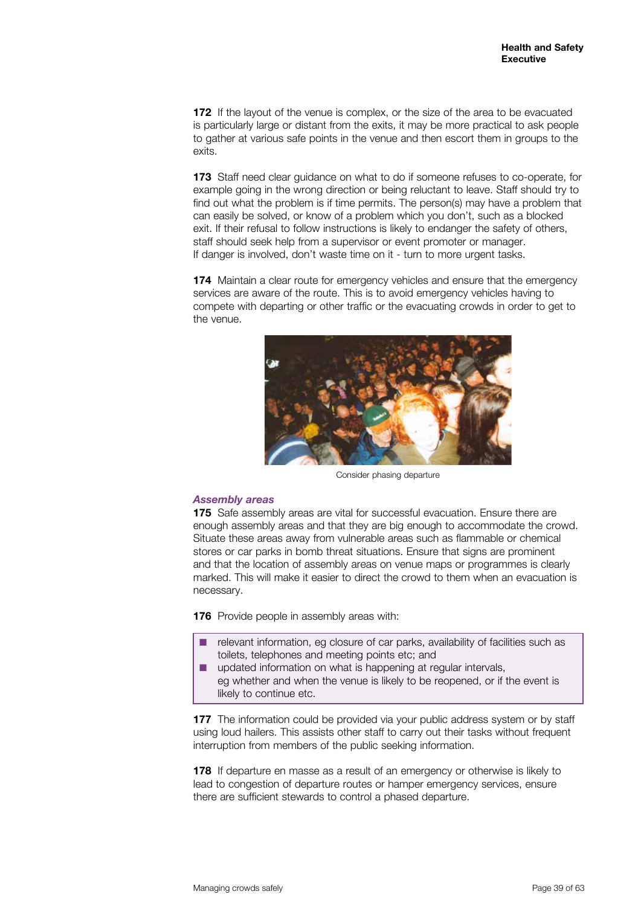**172** If the layout of the venue is complex, or the size of the area to be evacuated is particularly large or distant from the exits, it may be more practical to ask people to gather at various safe points in the venue and then escort them in groups to the exits.

**173** Staff need clear guidance on what to do if someone refuses to co-operate, for example going in the wrong direction or being reluctant to leave. Staff should try to find out what the problem is if time permits. The person(s) may have a problem that can easily be solved, or know of a problem which you don't, such as a blocked exit. If their refusal to follow instructions is likely to endanger the safety of others, staff should seek help from a supervisor or event promoter or manager. If danger is involved, don't waste time on it - turn to more urgent tasks.

**174** Maintain a clear route for emergency vehicles and ensure that the emergency services are aware of the route. This is to avoid emergency vehicles having to compete with departing or other traffic or the evacuating crowds in order to get to the venue.



Consider phasing departure

#### *Assembly areas*

**175** Safe assembly areas are vital for successful evacuation. Ensure there are enough assembly areas and that they are big enough to accommodate the crowd. Situate these areas away from vulnerable areas such as flammable or chemical stores or car parks in bomb threat situations. Ensure that signs are prominent and that the location of assembly areas on venue maps or programmes is clearly marked. This will make it easier to direct the crowd to them when an evacuation is necessary.

**176** Provide people in assembly areas with:

- $\blacksquare$  relevant information, eg closure of car parks, availability of facilities such as toilets, telephones and meeting points etc; and
- $\blacksquare$  updated information on what is happening at regular intervals, eg whether and when the venue is likely to be reopened, or if the event is likely to continue etc.

**177** The information could be provided via your public address system or by staff using loud hailers. This assists other staff to carry out their tasks without frequent interruption from members of the public seeking information.

**178** If departure en masse as a result of an emergency or otherwise is likely to lead to congestion of departure routes or hamper emergency services, ensure there are sufficient stewards to control a phased departure.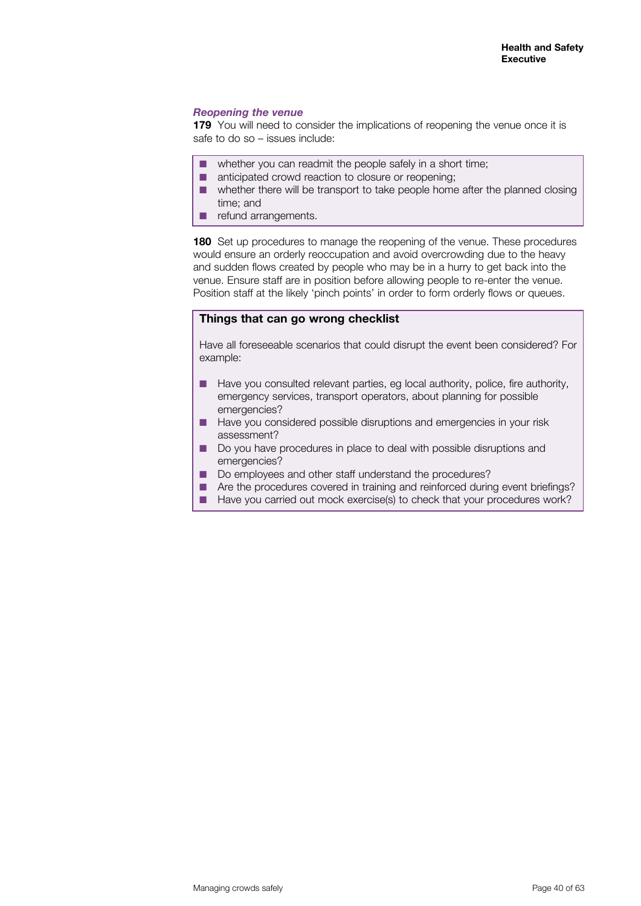#### *Reopening the venue*

**179** You will need to consider the implications of reopening the venue once it is safe to do so – issues include:

- $\blacksquare$  whether you can readmit the people safely in a short time;
- $\blacksquare$  anticipated crowd reaction to closure or reopening;
- $\blacksquare$  whether there will be transport to take people home after the planned closing time; and
- $\blacksquare$  refund arrangements.

**180** Set up procedures to manage the reopening of the venue. These procedures would ensure an orderly reoccupation and avoid overcrowding due to the heavy and sudden flows created by people who may be in a hurry to get back into the venue. Ensure staff are in position before allowing people to re-enter the venue. Position staff at the likely 'pinch points' in order to form orderly flows or queues.

#### **Things that can go wrong checklist**

Have all foreseeable scenarios that could disrupt the event been considered? For example:

- $\blacksquare$  Have you consulted relevant parties, eg local authority, police, fire authority, emergency services, transport operators, about planning for possible emergencies?
- $\blacksquare$  Have you considered possible disruptions and emergencies in your risk assessment?
- $\blacksquare$  Do you have procedures in place to deal with possible disruptions and emergencies?
- $\blacksquare$  Do employees and other staff understand the procedures?
- $\blacksquare$  Are the procedures covered in training and reinforced during event briefings?
- $\blacksquare$  Have you carried out mock exercise(s) to check that your procedures work?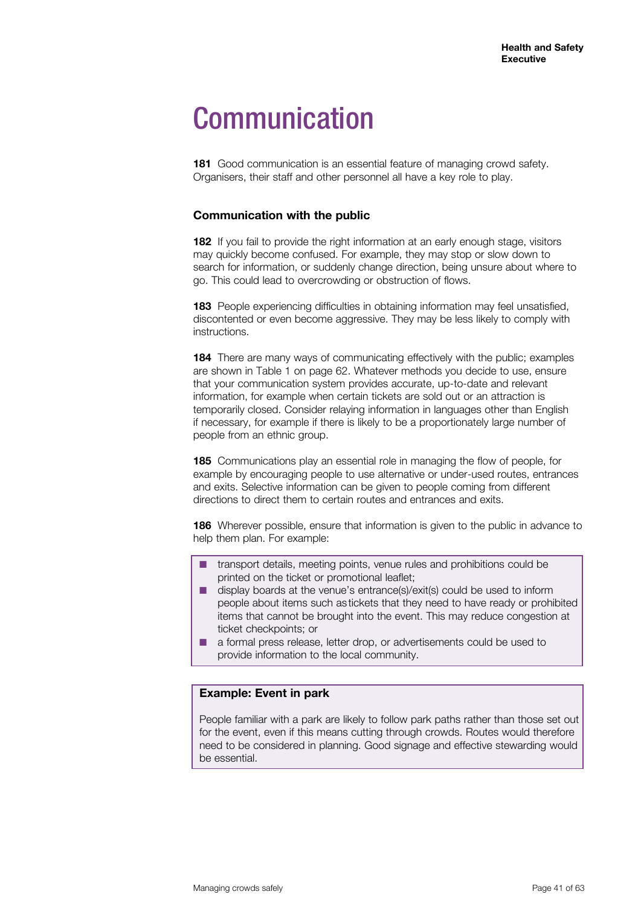# **Communication**

**181** Good communication is an essential feature of managing crowd safety. Organisers, their staff and other personnel all have a key role to play.

# **Communication with the public**

**182** If you fail to provide the right information at an early enough stage, visitors may quickly become confused. For example, they may stop or slow down to search for information, or suddenly change direction, being unsure about where to go. This could lead to overcrowding or obstruction of flows.

**183** People experiencing difficulties in obtaining information may feel unsatisfied, discontented or even become aggressive. They may be less likely to comply with instructions.

**184** There are many ways of communicating effectively with the public; examples are shown in Table 1 on page 62. Whatever methods you decide to use, ensure that your communication system provides accurate, up-to-date and relevant information, for example when certain tickets are sold out or an attraction is temporarily closed. Consider relaying information in languages other than English if necessary, for example if there is likely to be a proportionately large number of people from an ethnic group.

**185** Communications play an essential role in managing the flow of people, for example by encouraging people to use alternative or under-used routes, entrances and exits. Selective information can be given to people coming from different directions to direct them to certain routes and entrances and exits.

**186** Wherever possible, ensure that information is given to the public in advance to help them plan. For example:

- $\blacksquare$  transport details, meeting points, venue rules and prohibitions could be printed on the ticket or promotional leaflet;
- $\blacksquare$  display boards at the venue's entrance(s)/exit(s) could be used to inform people about items such as tickets that they need to have ready or prohibited items that cannot be brought into the event. This may reduce congestion at ticket checkpoints; or
- $\blacksquare$  a formal press release, letter drop, or advertisements could be used to provide information to the local community.

# **Example: Event in park**

People familiar with a park are likely to follow park paths rather than those set out for the event, even if this means cutting through crowds. Routes would therefore need to be considered in planning. Good signage and effective stewarding would be essential.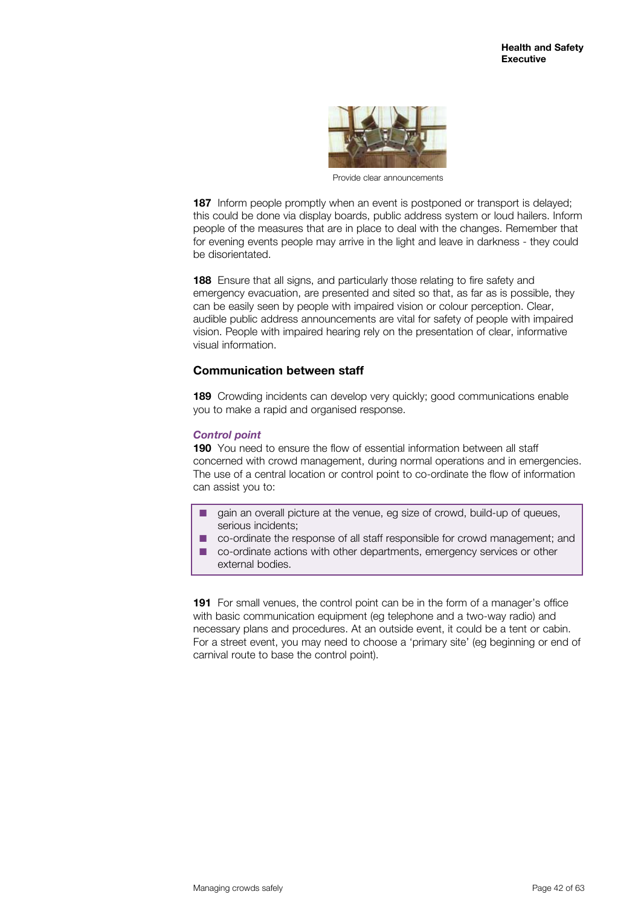

Provide clear announcements

**187** Inform people promptly when an event is postponed or transport is delayed; this could be done via display boards, public address system or loud hailers. Inform people of the measures that are in place to deal with the changes. Remember that for evening events people may arrive in the light and leave in darkness - they could be disorientated.

**188** Ensure that all signs, and particularly those relating to fire safety and emergency evacuation, are presented and sited so that, as far as is possible, they can be easily seen by people with impaired vision or colour perception. Clear, audible public address announcements are vital for safety of people with impaired vision. People with impaired hearing rely on the presentation of clear, informative visual information.

# **Communication between staff**

**189** Crowding incidents can develop very quickly; good communications enable you to make a rapid and organised response.

#### *Control point*

**190** You need to ensure the flow of essential information between all staff concerned with crowd management, during normal operations and in emergencies. The use of a central location or control point to co-ordinate the flow of information can assist you to:

- $\Box$  gain an overall picture at the venue, eg size of crowd, build-up of queues, serious incidents;
- $\Box$  co-ordinate the response of all staff responsible for crowd management; and
- $\Box$  co-ordinate actions with other departments, emergency services or other external bodies.

**191** For small venues, the control point can be in the form of a manager's office with basic communication equipment (eg telephone and a two-way radio) and necessary plans and procedures. At an outside event, it could be a tent or cabin. For a street event, you may need to choose a 'primary site' (eg beginning or end of carnival route to base the control point).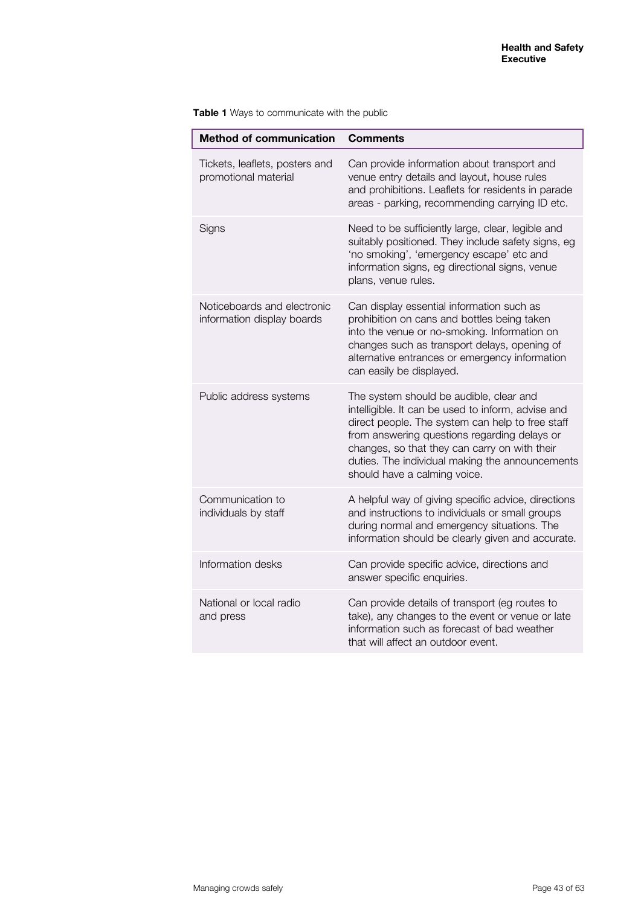**Table 1** Ways to communicate with the public

| <b>Method of communication</b>                            | <b>Comments</b>                                                                                                                                                                                                                                                                                                                       |
|-----------------------------------------------------------|---------------------------------------------------------------------------------------------------------------------------------------------------------------------------------------------------------------------------------------------------------------------------------------------------------------------------------------|
| Tickets, leaflets, posters and<br>promotional material    | Can provide information about transport and<br>venue entry details and layout, house rules<br>and prohibitions. Leaflets for residents in parade<br>areas - parking, recommending carrying ID etc.                                                                                                                                    |
| Signs                                                     | Need to be sufficiently large, clear, legible and<br>suitably positioned. They include safety signs, eg<br>'no smoking', 'emergency escape' etc and<br>information signs, eg directional signs, venue<br>plans, venue rules.                                                                                                          |
| Noticeboards and electronic<br>information display boards | Can display essential information such as<br>prohibition on cans and bottles being taken<br>into the venue or no-smoking. Information on<br>changes such as transport delays, opening of<br>alternative entrances or emergency information<br>can easily be displayed.                                                                |
| Public address systems                                    | The system should be audible, clear and<br>intelligible. It can be used to inform, advise and<br>direct people. The system can help to free staff<br>from answering questions regarding delays or<br>changes, so that they can carry on with their<br>duties. The individual making the announcements<br>should have a calming voice. |
| Communication to<br>individuals by staff                  | A helpful way of giving specific advice, directions<br>and instructions to individuals or small groups<br>during normal and emergency situations. The<br>information should be clearly given and accurate.                                                                                                                            |
| Information desks                                         | Can provide specific advice, directions and<br>answer specific enquiries.                                                                                                                                                                                                                                                             |
| National or local radio<br>and press                      | Can provide details of transport (eg routes to<br>take), any changes to the event or venue or late<br>information such as forecast of bad weather<br>that will affect an outdoor event.                                                                                                                                               |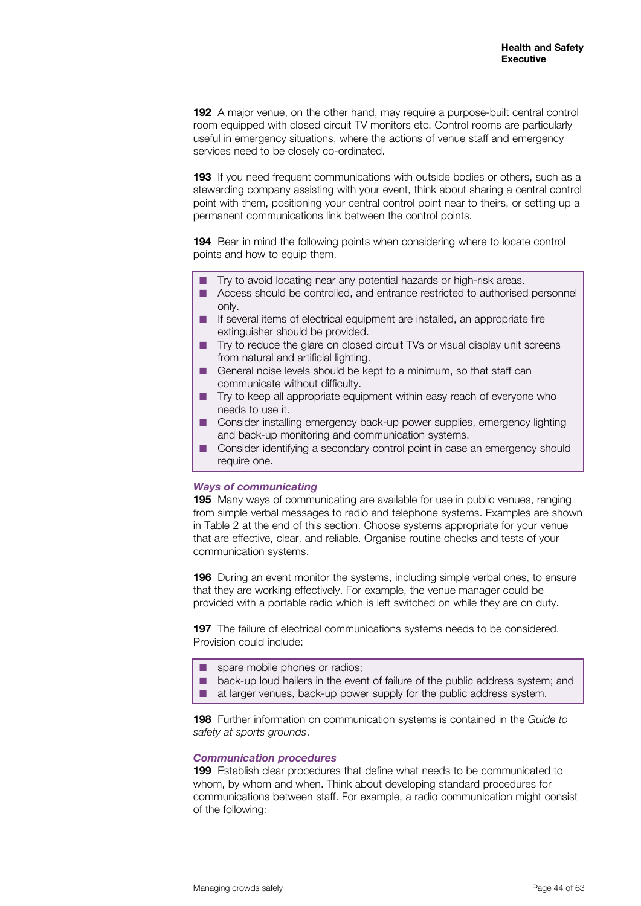**192** A major venue, on the other hand, may require a purpose-built central control room equipped with closed circuit TV monitors etc. Control rooms are particularly useful in emergency situations, where the actions of venue staff and emergency services need to be closely co-ordinated.

**193** If you need frequent communications with outside bodies or others, such as a stewarding company assisting with your event, think about sharing a central control point with them, positioning your central control point near to theirs, or setting up a permanent communications link between the control points.

**194** Bear in mind the following points when considering where to locate control points and how to equip them.

- $\blacksquare$  Try to avoid locating near any potential hazards or high-risk areas.
- Access should be controlled, and entrance restricted to authorised personnel only.
- $\blacksquare$  If several items of electrical equipment are installed, an appropriate fire extinguisher should be provided.
- $\blacksquare$  Try to reduce the glare on closed circuit TVs or visual display unit screens from natural and artificial lighting.
- $\Box$  General noise levels should be kept to a minimum, so that staff can communicate without difficulty.
- $\blacksquare$  Try to keep all appropriate equipment within easy reach of everyone who needs to use it.
- Consider installing emergency back-up power supplies, emergency lighting and back-up monitoring and communication systems.
- Consider identifying a secondary control point in case an emergency should require one.

#### *Ways of communicating*

**195** Many ways of communicating are available for use in public venues, ranging from simple verbal messages to radio and telephone systems. Examples are shown in Table 2 at the end of this section. Choose systems appropriate for your venue that are effective, clear, and reliable. Organise routine checks and tests of your communication systems.

**196** During an event monitor the systems, including simple verbal ones, to ensure that they are working effectively. For example, the venue manager could be provided with a portable radio which is left switched on while they are on duty.

**197** The failure of electrical communications systems needs to be considered. Provision could include:

- $\blacksquare$  spare mobile phones or radios;
- $\blacksquare$  back-up loud hailers in the event of failure of the public address system; and
- $\blacksquare$  at larger venues, back-up power supply for the public address system.

**198** Further information on communication systems is contained in the *Guide to safety at sports grounds*.

#### *Communication procedures*

**199** Establish clear procedures that define what needs to be communicated to whom, by whom and when. Think about developing standard procedures for communications between staff. For example, a radio communication might consist of the following: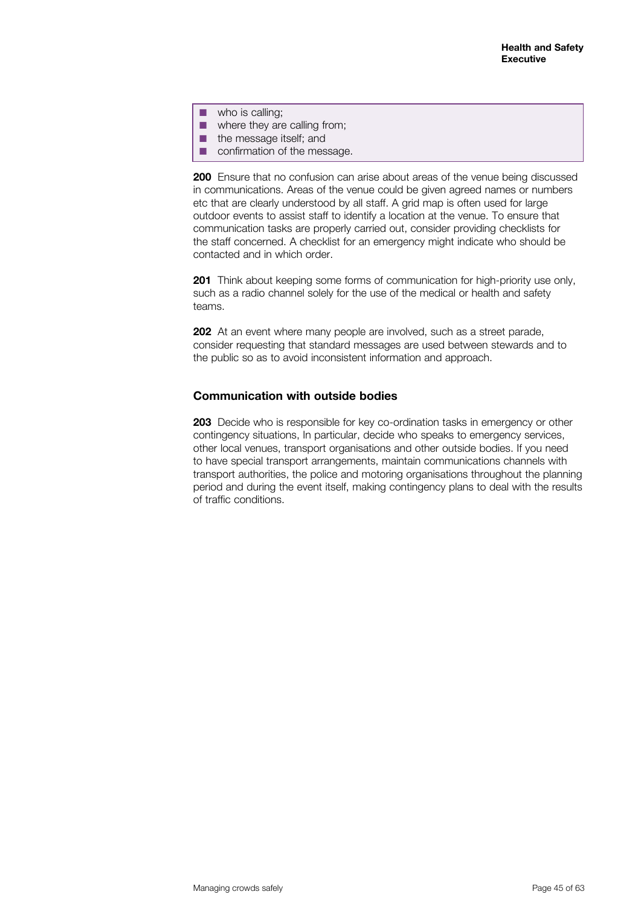- $\blacksquare$  who is calling;
- $\blacksquare$  where they are calling from;
- $\blacksquare$  the message itself; and
- $\blacksquare$  confirmation of the message.

**200** Ensure that no confusion can arise about areas of the venue being discussed in communications. Areas of the venue could be given agreed names or numbers etc that are clearly understood by all staff. A grid map is often used for large outdoor events to assist staff to identify a location at the venue. To ensure that communication tasks are properly carried out, consider providing checklists for the staff concerned. A checklist for an emergency might indicate who should be contacted and in which order.

**201** Think about keeping some forms of communication for high-priority use only, such as a radio channel solely for the use of the medical or health and safety teams.

**202** At an event where many people are involved, such as a street parade, consider requesting that standard messages are used between stewards and to the public so as to avoid inconsistent information and approach.

# **Communication with outside bodies**

**203** Decide who is responsible for key co-ordination tasks in emergency or other contingency situations, In particular, decide who speaks to emergency services, other local venues, transport organisations and other outside bodies. If you need to have special transport arrangements, maintain communications channels with transport authorities, the police and motoring organisations throughout the planning period and during the event itself, making contingency plans to deal with the results of traffic conditions.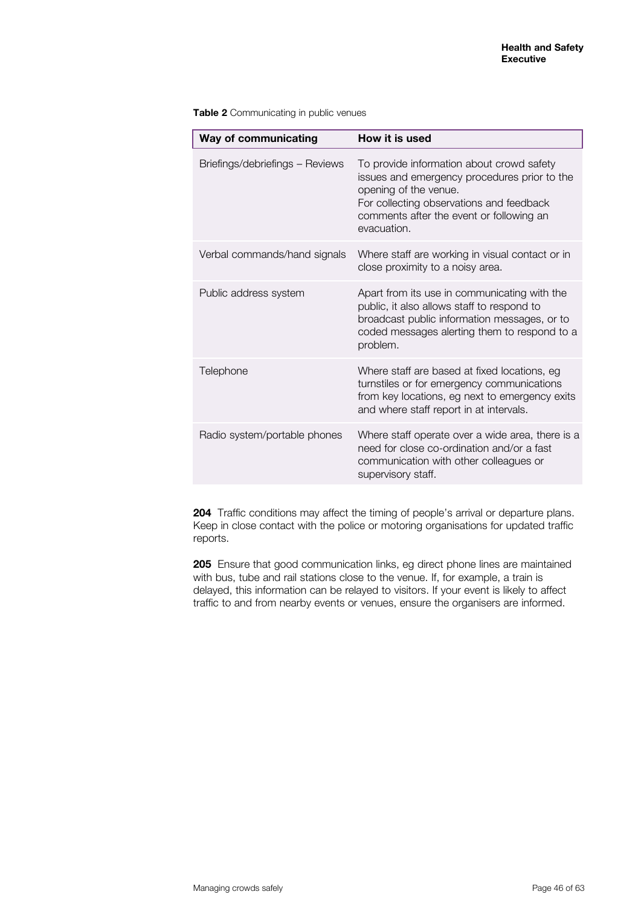**Table 2** Communicating in public venues

| Way of communicating            | How it is used                                                                                                                                                                                                            |
|---------------------------------|---------------------------------------------------------------------------------------------------------------------------------------------------------------------------------------------------------------------------|
| Briefings/debriefings - Reviews | To provide information about crowd safety<br>issues and emergency procedures prior to the<br>opening of the venue.<br>For collecting observations and feedback<br>comments after the event or following an<br>evacuation. |
| Verbal commands/hand signals    | Where staff are working in visual contact or in<br>close proximity to a noisy area.                                                                                                                                       |
| Public address system           | Apart from its use in communicating with the<br>public, it also allows staff to respond to<br>broadcast public information messages, or to<br>coded messages alerting them to respond to a<br>problem.                    |
| Telephone                       | Where staff are based at fixed locations, eg<br>turnstiles or for emergency communications<br>from key locations, eg next to emergency exits<br>and where staff report in at intervals.                                   |
| Radio system/portable phones    | Where staff operate over a wide area, there is a<br>need for close co-ordination and/or a fast<br>communication with other colleagues or<br>supervisory staff.                                                            |

**204** Traffic conditions may affect the timing of people's arrival or departure plans. Keep in close contact with the police or motoring organisations for updated traffic reports.

**205** Ensure that good communication links, eg direct phone lines are maintained with bus, tube and rail stations close to the venue. If, for example, a train is delayed, this information can be relayed to visitors. If your event is likely to affect traffic to and from nearby events or venues, ensure the organisers are informed.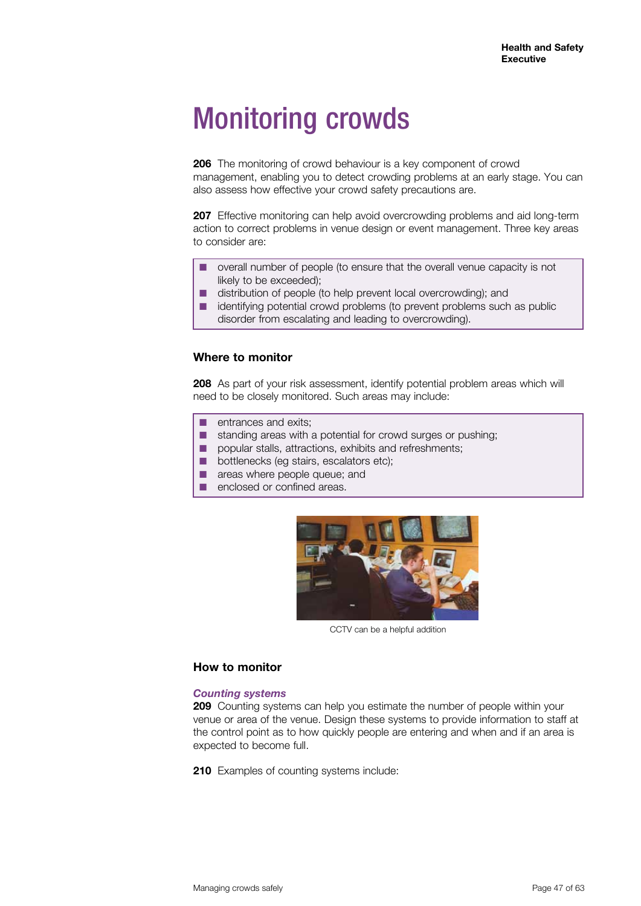# Monitoring crowds

**206** The monitoring of crowd behaviour is a key component of crowd management, enabling you to detect crowding problems at an early stage. You can also assess how effective your crowd safety precautions are.

**207** Effective monitoring can help avoid overcrowding problems and aid long-term action to correct problems in venue design or event management. Three key areas to consider are:

- $\Box$  overall number of people (to ensure that the overall venue capacity is not likely to be exceeded);
- $\blacksquare$  distribution of people (to help prevent local overcrowding); and
- $\blacksquare$  identifying potential crowd problems (to prevent problems such as public disorder from escalating and leading to overcrowding).

# **Where to monitor**

**208** As part of your risk assessment, identify potential problem areas which will need to be closely monitored. Such areas may include:

- $\blacksquare$  entrances and exits:
- $\blacksquare$  standing areas with a potential for crowd surges or pushing;
- $\Box$  popular stalls, attractions, exhibits and refreshments;
- $\blacksquare$  bottlenecks (eg stairs, escalators etc);
- $\blacksquare$  areas where people queue; and
- n enclosed or confined areas.



CCTV can be a helpful addition

# **How to monitor**

#### *Counting systems*

**209** Counting systems can help you estimate the number of people within your venue or area of the venue. Design these systems to provide information to staff at the control point as to how quickly people are entering and when and if an area is expected to become full.

**210** Examples of counting systems include: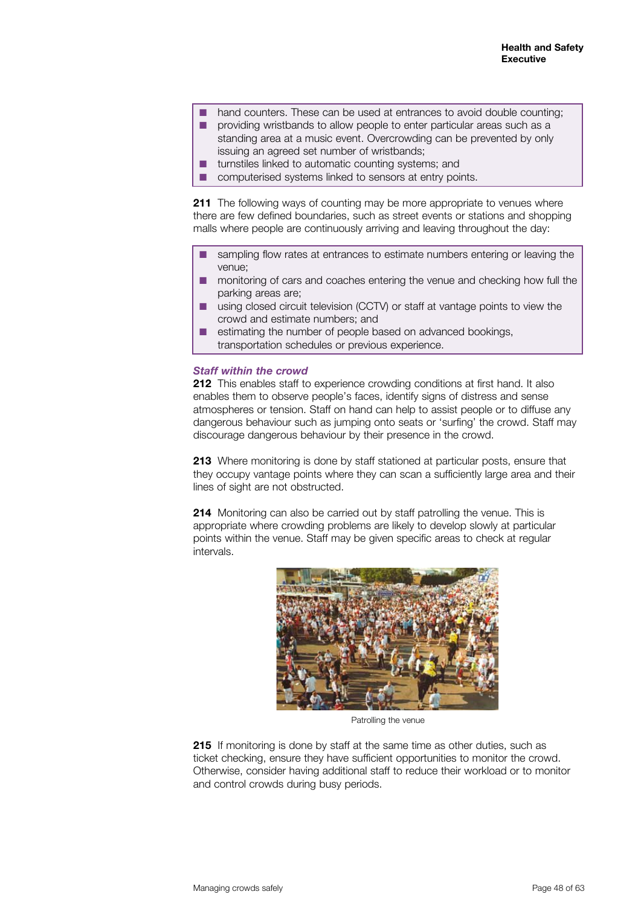- $\blacksquare$  hand counters. These can be used at entrances to avoid double counting;
- $\blacksquare$  providing wristbands to allow people to enter particular areas such as a standing area at a music event. Overcrowding can be prevented by only issuing an agreed set number of wristbands;
- $\blacksquare$  turnstiles linked to automatic counting systems; and
- $\blacksquare$  computerised systems linked to sensors at entry points.

**211** The following ways of counting may be more appropriate to venues where there are few defined boundaries, such as street events or stations and shopping malls where people are continuously arriving and leaving throughout the day:

- **n** sampling flow rates at entrances to estimate numbers entering or leaving the venue;
- $\blacksquare$  monitoring of cars and coaches entering the venue and checking how full the parking areas are;
- using closed circuit television (CCTV) or staff at vantage points to view the crowd and estimate numbers; and
- estimating the number of people based on advanced bookings, transportation schedules or previous experience.

#### *Staff within the crowd*

**212** This enables staff to experience crowding conditions at first hand. It also enables them to observe people's faces, identify signs of distress and sense atmospheres or tension. Staff on hand can help to assist people or to diffuse any dangerous behaviour such as jumping onto seats or 'surfing' the crowd. Staff may discourage dangerous behaviour by their presence in the crowd.

**213** Where monitoring is done by staff stationed at particular posts, ensure that they occupy vantage points where they can scan a sufficiently large area and their lines of sight are not obstructed.

**214** Monitoring can also be carried out by staff patrolling the venue. This is appropriate where crowding problems are likely to develop slowly at particular points within the venue. Staff may be given specific areas to check at regular intervals.



Patrolling the venue

**215** If monitoring is done by staff at the same time as other duties, such as ticket checking, ensure they have sufficient opportunities to monitor the crowd. Otherwise, consider having additional staff to reduce their workload or to monitor and control crowds during busy periods.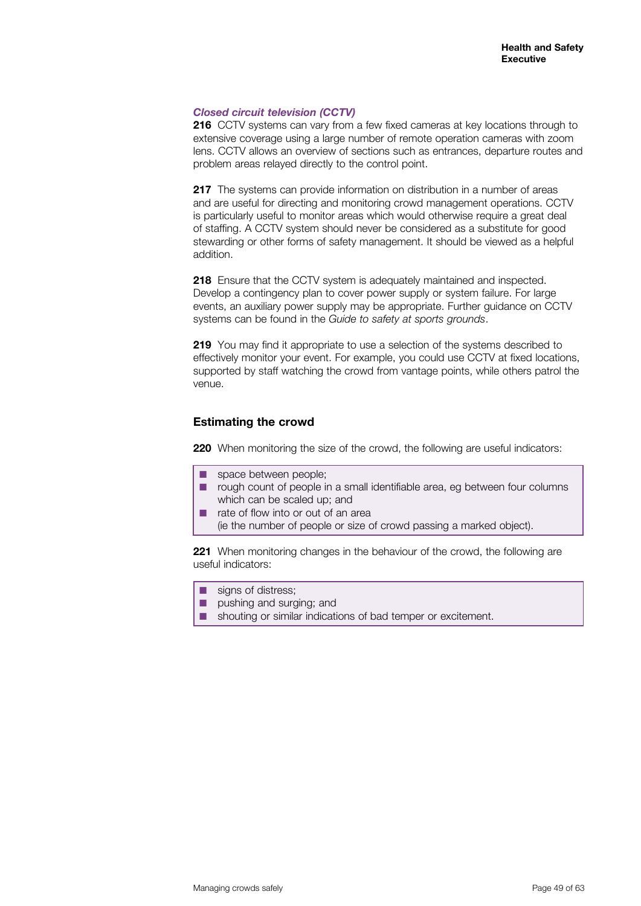## *Closed circuit television (CCTV)*

**216** CCTV systems can vary from a few fixed cameras at key locations through to extensive coverage using a large number of remote operation cameras with zoom lens. CCTV allows an overview of sections such as entrances, departure routes and problem areas relayed directly to the control point.

**217** The systems can provide information on distribution in a number of areas and are useful for directing and monitoring crowd management operations. CCTV is particularly useful to monitor areas which would otherwise require a great deal of staffing. A CCTV system should never be considered as a substitute for good stewarding or other forms of safety management. It should be viewed as a helpful addition.

**218** Ensure that the CCTV system is adequately maintained and inspected. Develop a contingency plan to cover power supply or system failure. For large events, an auxiliary power supply may be appropriate. Further guidance on CCTV systems can be found in the *Guide to safety at sports grounds*.

**219** You may find it appropriate to use a selection of the systems described to effectively monitor your event. For example, you could use CCTV at fixed locations, supported by staff watching the crowd from vantage points, while others patrol the venue.

## **Estimating the crowd**

**220** When monitoring the size of the crowd, the following are useful indicators:

- $\blacksquare$  space between people;
- $\Box$  rough count of people in a small identifiable area, eg between four columns which can be scaled up; and
- $\blacksquare$  rate of flow into or out of an area (ie the number of people or size of crowd passing a marked object).

**221** When monitoring changes in the behaviour of the crowd, the following are useful indicators:

- $\blacksquare$  signs of distress;
- $\blacksquare$  pushing and surging; and
- shouting or similar indications of bad temper or excitement.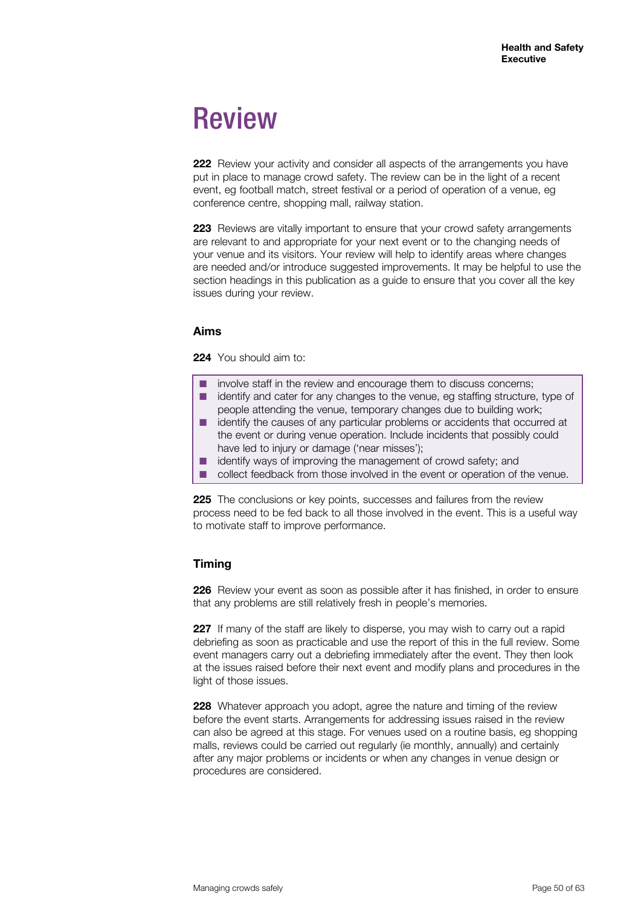# Review

**222** Review your activity and consider all aspects of the arrangements you have put in place to manage crowd safety. The review can be in the light of a recent event, eg football match, street festival or a period of operation of a venue, eg conference centre, shopping mall, railway station.

**223** Reviews are vitally important to ensure that your crowd safety arrangements are relevant to and appropriate for your next event or to the changing needs of your venue and its visitors. Your review will help to identify areas where changes are needed and/or introduce suggested improvements. It may be helpful to use the section headings in this publication as a guide to ensure that you cover all the key issues during your review.

# **Aims**

**224** You should aim to:

- $\blacksquare$  involve staff in the review and encourage them to discuss concerns; ■ identify and cater for any changes to the venue, eg staffing structure, type of
- people attending the venue, temporary changes due to building work;  $\blacksquare$  identify the causes of any particular problems or accidents that occurred at
- the event or during venue operation. Include incidents that possibly could have led to injury or damage ('near misses');
- $\blacksquare$  identify ways of improving the management of crowd safety; and
- n collect feedback from those involved in the event or operation of the venue.

**225** The conclusions or key points, successes and failures from the review process need to be fed back to all those involved in the event. This is a useful way to motivate staff to improve performance.

# **Timing**

**226** Review your event as soon as possible after it has finished, in order to ensure that any problems are still relatively fresh in people's memories.

**227** If many of the staff are likely to disperse, you may wish to carry out a rapid debriefing as soon as practicable and use the report of this in the full review. Some event managers carry out a debriefing immediately after the event. They then look at the issues raised before their next event and modify plans and procedures in the light of those issues.

**228** Whatever approach you adopt, agree the nature and timing of the review before the event starts. Arrangements for addressing issues raised in the review can also be agreed at this stage. For venues used on a routine basis, eg shopping malls, reviews could be carried out regularly (ie monthly, annually) and certainly after any major problems or incidents or when any changes in venue design or procedures are considered.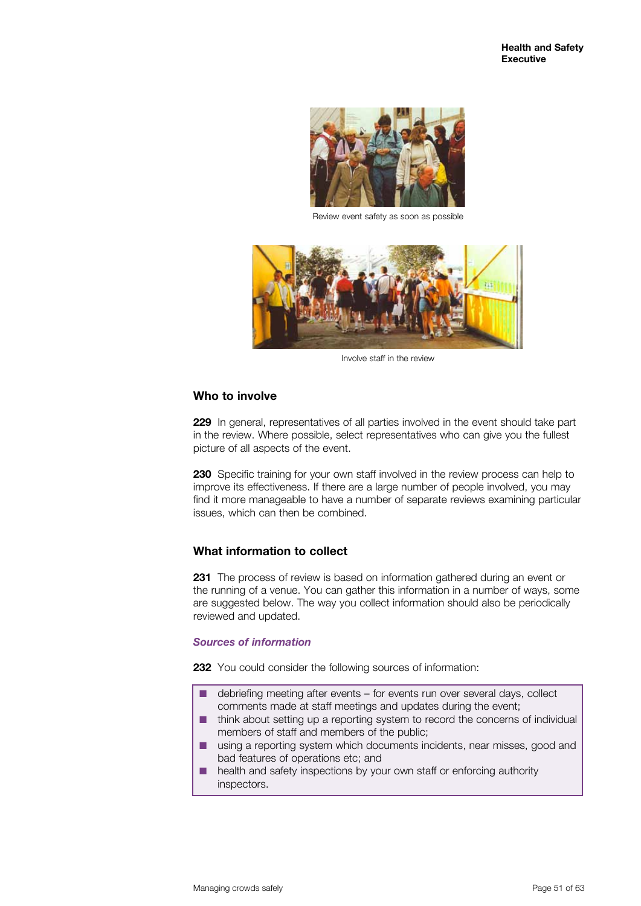

Review event safety as soon as possible



Involve staff in the review

#### **Who to involve**

**229** In general, representatives of all parties involved in the event should take part in the review. Where possible, select representatives who can give you the fullest picture of all aspects of the event.

**230** Specific training for your own staff involved in the review process can help to improve its effectiveness. If there are a large number of people involved, you may find it more manageable to have a number of separate reviews examining particular issues, which can then be combined.

## **What information to collect**

**231** The process of review is based on information gathered during an event or the running of a venue. You can gather this information in a number of ways, some are suggested below. The way you collect information should also be periodically reviewed and updated.

#### *Sources of information*

**232** You could consider the following sources of information:

- $\Box$  debriefing meeting after events for events run over several days, collect comments made at staff meetings and updates during the event;
- $\blacksquare$  think about setting up a reporting system to record the concerns of individual members of staff and members of the public;
- using a reporting system which documents incidents, near misses, good and bad features of operations etc; and
- $\blacksquare$  health and safety inspections by your own staff or enforcing authority inspectors.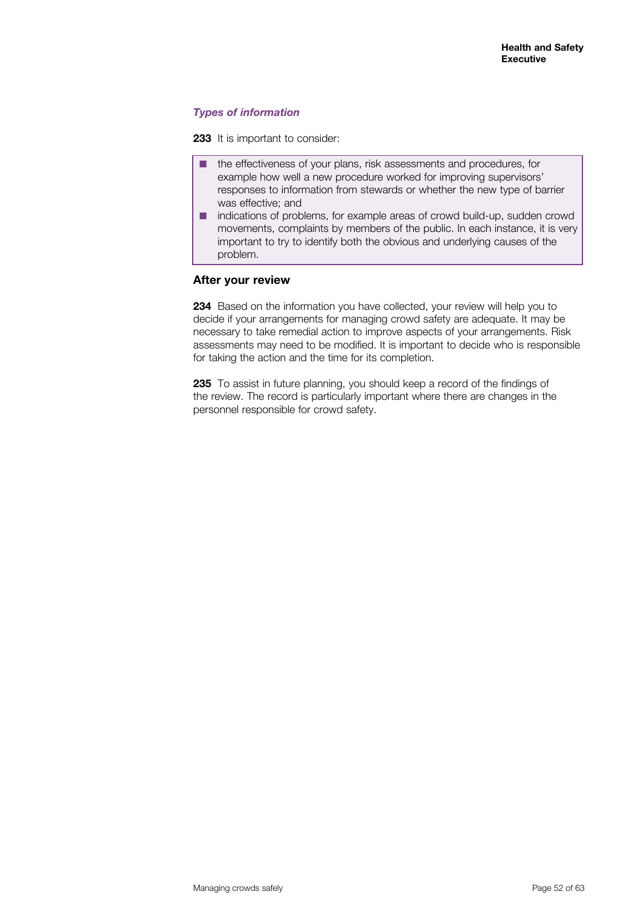# *Types of information*

233 It is important to consider:

- $\blacksquare$  the effectiveness of your plans, risk assessments and procedures, for example how well a new procedure worked for improving supervisors' responses to information from stewards or whether the new type of barrier was effective; and
- indications of problems, for example areas of crowd build-up, sudden crowd movements, complaints by members of the public. In each instance, it is very important to try to identify both the obvious and underlying causes of the problem.

## **After your review**

**234** Based on the information you have collected, your review will help you to decide if your arrangements for managing crowd safety are adequate. It may be necessary to take remedial action to improve aspects of your arrangements. Risk assessments may need to be modified. It is important to decide who is responsible for taking the action and the time for its completion.

**235** To assist in future planning, you should keep a record of the findings of the review. The record is particularly important where there are changes in the personnel responsible for crowd safety.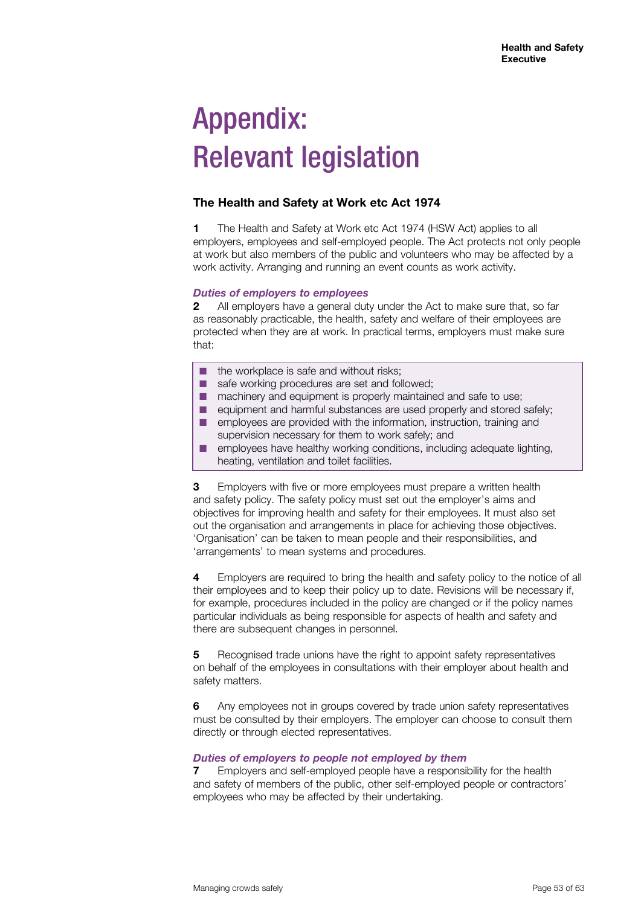# Appendix: Relevant legislation

# **The Health and Safety at Work etc Act 1974**

**1** The Health and Safety at Work etc Act 1974 (HSW Act) applies to all employers, employees and self-employed people. The Act protects not only people at work but also members of the public and volunteers who may be affected by a work activity. Arranging and running an event counts as work activity.

#### *Duties of employers to employees*

**2** All employers have a general duty under the Act to make sure that, so far as reasonably practicable, the health, safety and welfare of their employees are protected when they are at work. In practical terms, employers must make sure that:

- $\blacksquare$  the workplace is safe and without risks;
- $\blacksquare$  safe working procedures are set and followed;
- $\blacksquare$  machinery and equipment is properly maintained and safe to use;
- $\blacksquare$  equipment and harmful substances are used properly and stored safely;
- $\blacksquare$  employees are provided with the information, instruction, training and supervision necessary for them to work safely; and
- $\blacksquare$  employees have healthy working conditions, including adequate lighting, heating, ventilation and toilet facilities.

**3** Employers with five or more employees must prepare a written health and safety policy. The safety policy must set out the employer's aims and objectives for improving health and safety for their employees. It must also set out the organisation and arrangements in place for achieving those objectives. 'Organisation' can be taken to mean people and their responsibilities, and 'arrangements' to mean systems and procedures.

**4** Employers are required to bring the health and safety policy to the notice of all their employees and to keep their policy up to date. Revisions will be necessary if, for example, procedures included in the policy are changed or if the policy names particular individuals as being responsible for aspects of health and safety and there are subsequent changes in personnel.

**5** Recognised trade unions have the right to appoint safety representatives on behalf of the employees in consultations with their employer about health and safety matters.

**6** Any employees not in groups covered by trade union safety representatives must be consulted by their employers. The employer can choose to consult them directly or through elected representatives. 

#### *Duties of employers to people not employed by them*

**7** Employers and self-employed people have a responsibility for the health and safety of members of the public, other self-employed people or contractors' employees who may be affected by their undertaking.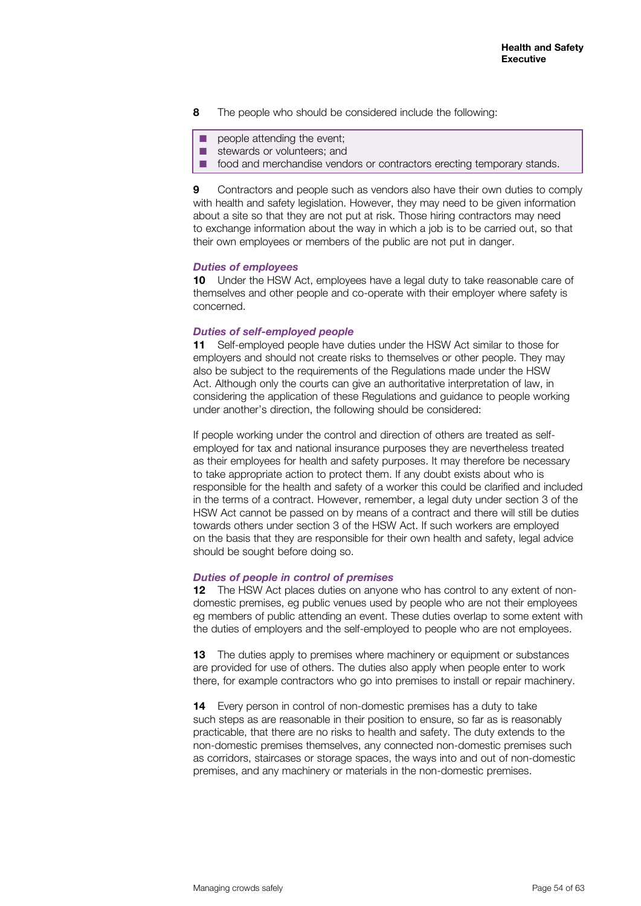- **8** The people who should be considered include the following:
	- $\blacksquare$  people attending the event;
- $\blacksquare$  stewards or volunteers; and
- food and merchandise vendors or contractors erecting temporary stands.

**9** Contractors and people such as vendors also have their own duties to comply with health and safety legislation. However, they may need to be given information about a site so that they are not put at risk. Those hiring contractors may need to exchange information about the way in which a job is to be carried out, so that their own employees or members of the public are not put in danger.

#### *Duties of employees*

**10** Under the HSW Act, employees have a legal duty to take reasonable care of themselves and other people and co-operate with their employer where safety is concerned.

#### *Duties of self-employed people*

**11** Self-employed people have duties under the HSW Act similar to those for employers and should not create risks to themselves or other people. They may also be subject to the requirements of the Regulations made under the HSW Act. Although only the courts can give an authoritative interpretation of law, in considering the application of these Regulations and guidance to people working under another's direction, the following should be considered:

If people working under the control and direction of others are treated as selfemployed for tax and national insurance purposes they are nevertheless treated as their employees for health and safety purposes. It may therefore be necessary to take appropriate action to protect them. If any doubt exists about who is responsible for the health and safety of a worker this could be clarified and included in the terms of a contract. However, remember, a legal duty under section 3 of the HSW Act cannot be passed on by means of a contract and there will still be duties towards others under section 3 of the HSW Act. If such workers are employed on the basis that they are responsible for their own health and safety, legal advice should be sought before doing so.

#### *Duties of people in control of premises*

**12** The HSW Act places duties on anyone who has control to any extent of nondomestic premises, eg public venues used by people who are not their employees eg members of public attending an event. These duties overlap to some extent with the duties of employers and the self-employed to people who are not employees.

**13** The duties apply to premises where machinery or equipment or substances are provided for use of others. The duties also apply when people enter to work there, for example contractors who go into premises to install or repair machinery.

**14** Every person in control of non-domestic premises has a duty to take such steps as are reasonable in their position to ensure, so far as is reasonably practicable, that there are no risks to health and safety. The duty extends to the non-domestic premises themselves, any connected non-domestic premises such as corridors, staircases or storage spaces, the ways into and out of non-domestic premises, and any machinery or materials in the non-domestic premises.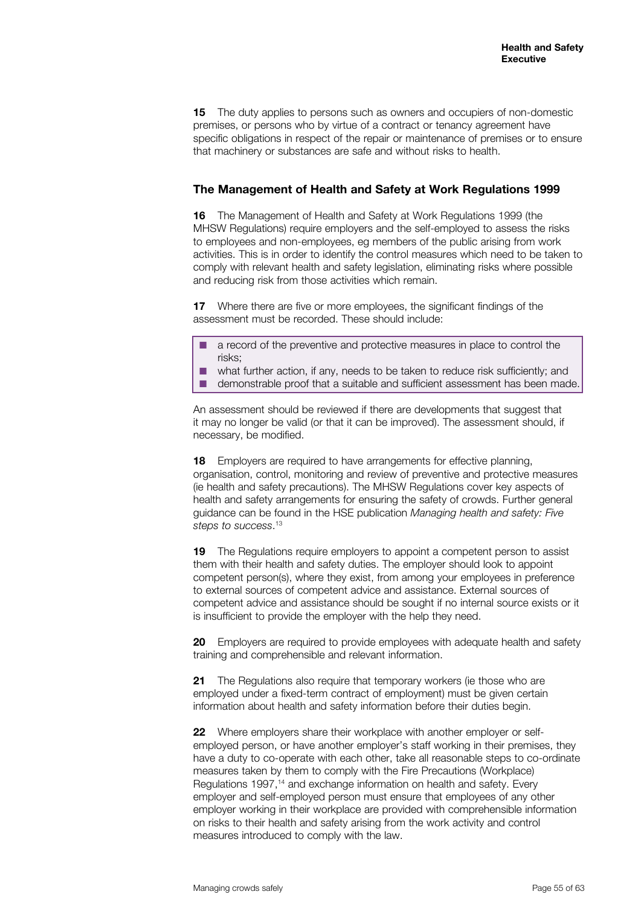**15** The duty applies to persons such as owners and occupiers of non-domestic premises, or persons who by virtue of a contract or tenancy agreement have specific obligations in respect of the repair or maintenance of premises or to ensure that machinery or substances are safe and without risks to health.

# **The Management of Health and Safety at Work Regulations 1999**

**16** The Management of Health and Safety at Work Regulations 1999 (the MHSW Regulations) require employers and the self-employed to assess the risks to employees and non-employees, eg members of the public arising from work activities. This is in order to identify the control measures which need to be taken to comply with relevant health and safety legislation, eliminating risks where possible and reducing risk from those activities which remain.

**17** Where there are five or more employees, the significant findings of the assessment must be recorded. These should include:

- $\blacksquare$  a record of the preventive and protective measures in place to control the risks;
- $\blacksquare$  what further action, if any, needs to be taken to reduce risk sufficiently; and
- **n** demonstrable proof that a suitable and sufficient assessment has been made.

An assessment should be reviewed if there are developments that suggest that it may no longer be valid (or that it can be improved). The assessment should, if necessary, be modified.

**18** Employers are required to have arrangements for effective planning, organisation, control, monitoring and review of preventive and protective measures (ie health and safety precautions). The MHSW Regulations cover key aspects of health and safety arrangements for ensuring the safety of crowds. Further general guidance can be found in the HSE publication *Managing health and safety: Five steps to success*. 13

**19** The Regulations require employers to appoint a competent person to assist them with their health and safety duties. The employer should look to appoint competent person(s), where they exist, from among your employees in preference to external sources of competent advice and assistance. External sources of competent advice and assistance should be sought if no internal source exists or it is insufficient to provide the employer with the help they need.

**20** Employers are required to provide employees with adequate health and safety training and comprehensible and relevant information.

**21** The Regulations also require that temporary workers (ie those who are employed under a fixed-term contract of employment) must be given certain information about health and safety information before their duties begin.

**22** Where employers share their workplace with another employer or selfemployed person, or have another employer's staff working in their premises, they have a duty to co-operate with each other, take all reasonable steps to co-ordinate measures taken by them to comply with the Fire Precautions (Workplace) Regulations 1997,<sup>14</sup> and exchange information on health and safety. Every employer and self-employed person must ensure that employees of any other employer working in their workplace are provided with comprehensible information on risks to their health and safety arising from the work activity and control measures introduced to comply with the law.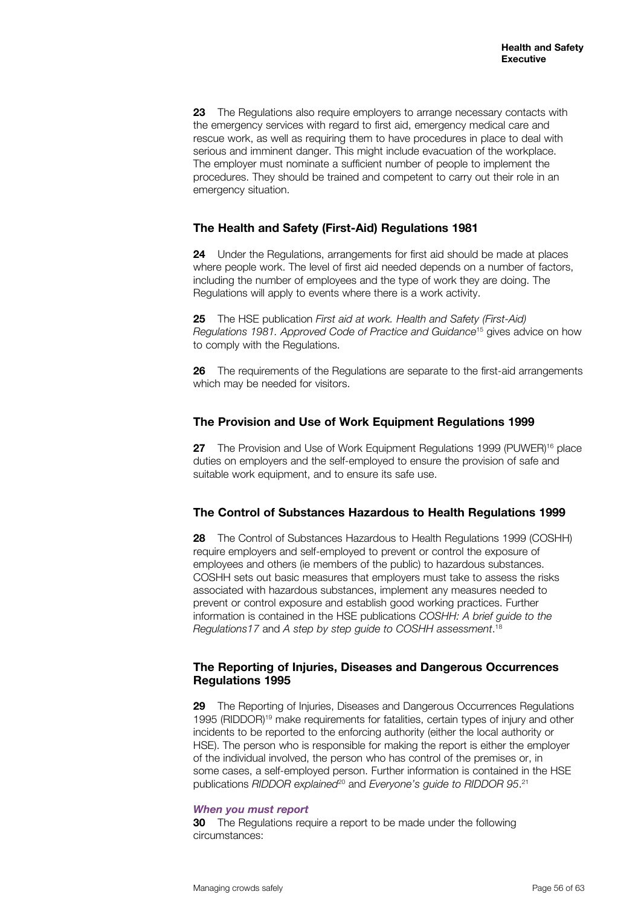**23** The Regulations also require employers to arrange necessary contacts with the emergency services with regard to first aid, emergency medical care and rescue work, as well as requiring them to have procedures in place to deal with serious and imminent danger. This might include evacuation of the workplace. The employer must nominate a sufficient number of people to implement the procedures. They should be trained and competent to carry out their role in an emergency situation.

# **The Health and Safety (First-Aid) Regulations 1981**

**24** Under the Regulations, arrangements for first aid should be made at places where people work. The level of first aid needed depends on a number of factors, including the number of employees and the type of work they are doing. The Regulations will apply to events where there is a work activity.

**25** The HSE publication *First aid at work. Health and Safety (First-Aid) Regulations 1981. Approved Code of Practice and Guidance*<sup>15</sup> gives advice on how to comply with the Regulations.

**26** The requirements of the Regulations are separate to the first-aid arrangements which may be needed for visitors.

## **The Provision and Use of Work Equipment Regulations 1999**

**27** The Provision and Use of Work Equipment Regulations 1999 (PUWER)<sup>16</sup> place duties on employers and the self-employed to ensure the provision of safe and suitable work equipment, and to ensure its safe use.

# **The Control of Substances Hazardous to Health Regulations 1999**

**28** The Control of Substances Hazardous to Health Regulations 1999 (COSHH) require employers and self-employed to prevent or control the exposure of employees and others (ie members of the public) to hazardous substances. COSHH sets out basic measures that employers must take to assess the risks associated with hazardous substances, implement any measures needed to prevent or control exposure and establish good working practices. Further information is contained in the HSE publications *COSHH: A brief guide to the Regulations17* and *A step by step guide to COSHH assessment*. 18

# **The Reporting of Injuries, Diseases and Dangerous Occurrences Regulations 1995**

**29** The Reporting of Injuries, Diseases and Dangerous Occurrences Regulations 1995 (RIDDOR)19 make requirements for fatalities, certain types of injury and other incidents to be reported to the enforcing authority (either the local authority or HSE). The person who is responsible for making the report is either the employer of the individual involved, the person who has control of the premises or, in some cases, a self-employed person. Further information is contained in the HSE publications *RIDDOR explained<sup>20</sup>* and *Everyone's guide to RIDDOR 95.*<sup>21</sup>

#### *When you must report*

**30** The Regulations require a report to be made under the following circumstances: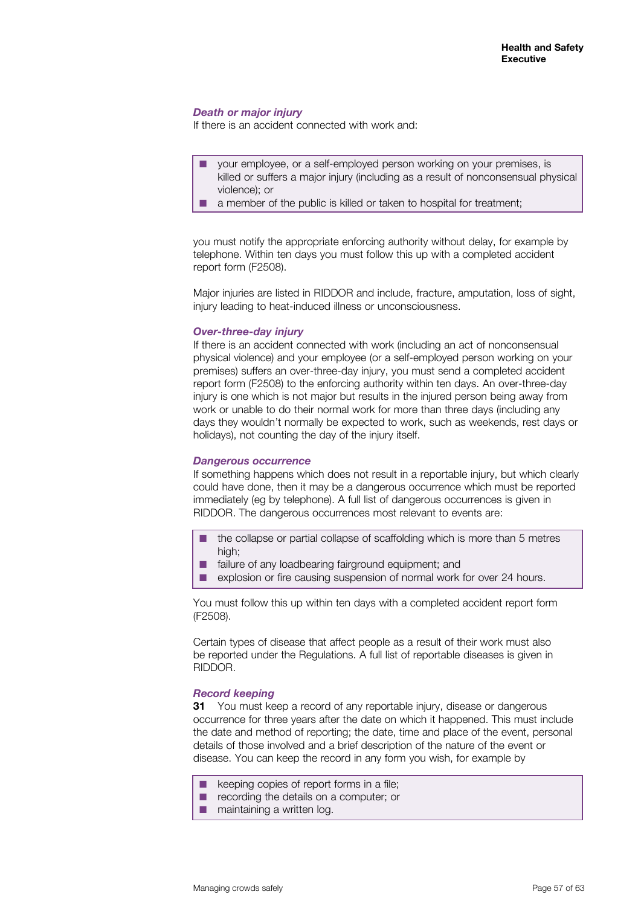#### *Death or major injury*

If there is an accident connected with work and:

- your employee, or a self-employed person working on your premises, is killed or suffers a major injury (including as a result of nonconsensual physical violence); or
- $\blacksquare$  a member of the public is killed or taken to hospital for treatment;

you must notify the appropriate enforcing authority without delay, for example by telephone. Within ten days you must follow this up with a completed accident report form (F2508).

Major injuries are listed in RIDDOR and include, fracture, amputation, loss of sight, injury leading to heat-induced illness or unconsciousness.

#### *Over-three-day injury*

If there is an accident connected with work (including an act of nonconsensual physical violence) and your employee (or a self-employed person working on your premises) suffers an over-three-day injury, you must send a completed accident report form (F2508) to the enforcing authority within ten days. An over-three-day injury is one which is not major but results in the injured person being away from work or unable to do their normal work for more than three days (including any days they wouldn't normally be expected to work, such as weekends, rest days or holidays), not counting the day of the injury itself.

#### *Dangerous occurrence*

If something happens which does not result in a reportable injury, but which clearly could have done, then it may be a dangerous occurrence which must be reported immediately (eg by telephone). A full list of dangerous occurrences is given in RIDDOR. The dangerous occurrences most relevant to events are:

- $\blacksquare$  the collapse or partial collapse of scaffolding which is more than 5 metres high;
- $\blacksquare$  failure of any loadbearing fairground equipment; and
- explosion or fire causing suspension of normal work for over 24 hours.

You must follow this up within ten days with a completed accident report form (F2508).

Certain types of disease that affect people as a result of their work must also be reported under the Regulations. A full list of reportable diseases is given in RIDDOR.

#### *Record keeping*

**31** You must keep a record of any reportable injury, disease or dangerous occurrence for three years after the date on which it happened. This must include the date and method of reporting; the date, time and place of the event, personal details of those involved and a brief description of the nature of the event or disease. You can keep the record in any form you wish, for example by

- $\blacksquare$  keeping copies of report forms in a file:
- $\blacksquare$  recording the details on a computer; or
- $\blacksquare$  maintaining a written log.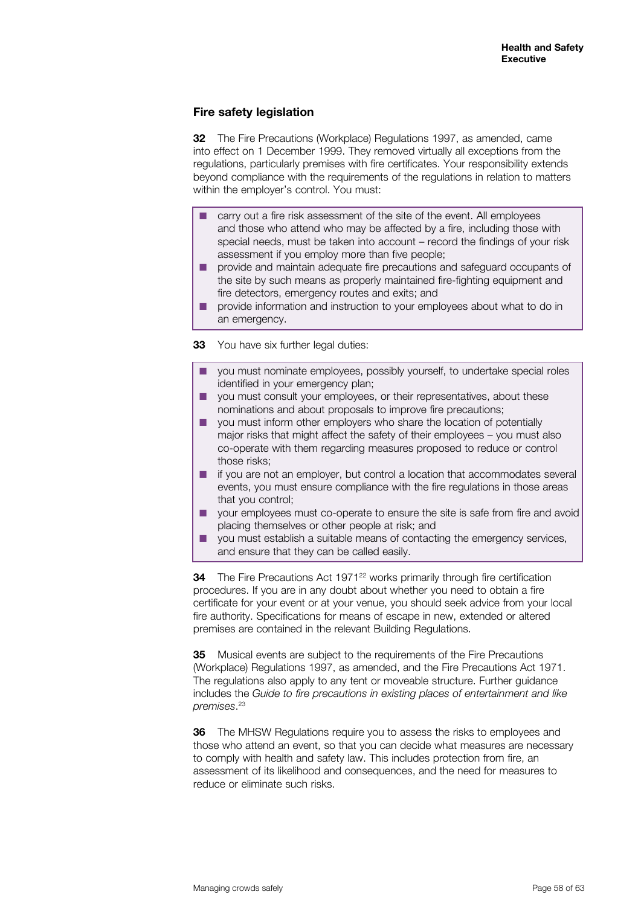# **Fire safety legislation**

**32** The Fire Precautions (Workplace) Regulations 1997, as amended, came into effect on 1 December 1999. They removed virtually all exceptions from the regulations, particularly premises with fire certificates. Your responsibility extends beyond compliance with the requirements of the regulations in relation to matters within the employer's control. You must:

- $\blacksquare$  carry out a fire risk assessment of the site of the event. All employees and those who attend who may be affected by a fire, including those with special needs, must be taken into account – record the findings of your risk assessment if you employ more than five people;
- $\Box$  provide and maintain adequate fire precautions and safeguard occupants of the site by such means as properly maintained fire-fighting equipment and fire detectors, emergency routes and exits; and
- novide information and instruction to your employees about what to do in an emergency.

**33** You have six further legal duties:

- you must nominate employees, possibly yourself, to undertake special roles identified in your emergency plan;
- $\blacksquare$  you must consult your employees, or their representatives, about these nominations and about proposals to improve fire precautions;
- $\blacksquare$  you must inform other employers who share the location of potentially major risks that might affect the safety of their employees – you must also co-operate with them regarding measures proposed to reduce or control those risks;
- $\blacksquare$  if you are not an employer, but control a location that accommodates several events, you must ensure compliance with the fire regulations in those areas that you control;
- $\blacksquare$  vour employees must co-operate to ensure the site is safe from fire and avoid placing themselves or other people at risk; and
- $\blacksquare$  you must establish a suitable means of contacting the emergency services, and ensure that they can be called easily.

**34** The Fire Precautions Act 1971<sup>22</sup> works primarily through fire certification procedures. If you are in any doubt about whether you need to obtain a fire certificate for your event or at your venue, you should seek advice from your local fire authority. Specifications for means of escape in new, extended or altered premises are contained in the relevant Building Regulations.

**35** Musical events are subject to the requirements of the Fire Precautions (Workplace) Regulations 1997, as amended, and the Fire Precautions Act 1971. The regulations also apply to any tent or moveable structure. Further guidance includes the *Guide to fire precautions in existing places of entertainment and like premises*. 23

**36** The MHSW Regulations require you to assess the risks to employees and those who attend an event, so that you can decide what measures are necessary to comply with health and safety law. This includes protection from fire, an assessment of its likelihood and consequences, and the need for measures to reduce or eliminate such risks.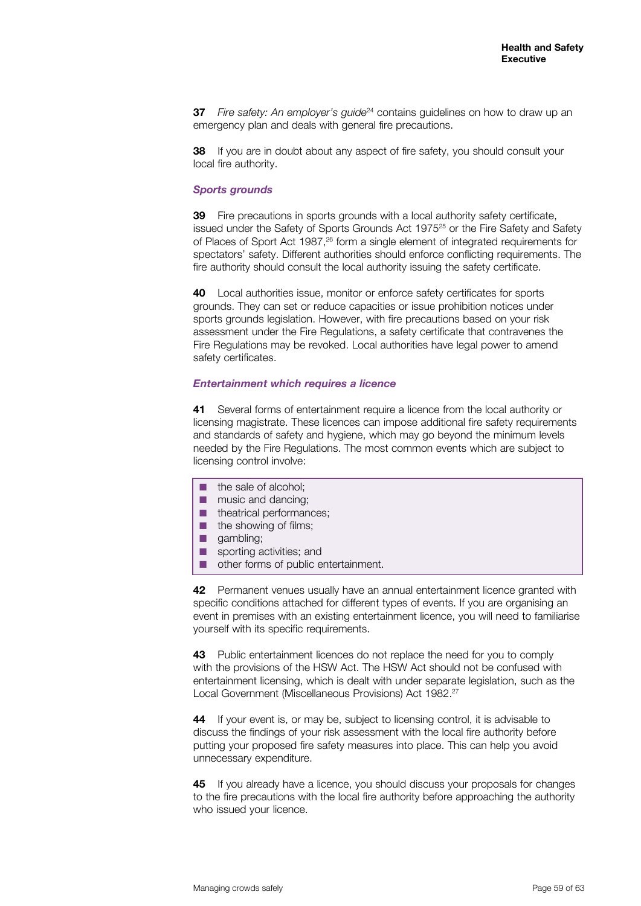**37** *Fire safety: An employer's guide*<sup>24</sup> contains guidelines on how to draw up an emergency plan and deals with general fire precautions.

**38** If you are in doubt about any aspect of fire safety, you should consult your local fire authority.

#### *Sports grounds*

**39** Fire precautions in sports grounds with a local authority safety certificate, issued under the Safety of Sports Grounds Act 1975<sup>25</sup> or the Fire Safety and Safety of Places of Sport Act 1987,<sup>26</sup> form a single element of integrated requirements for spectators' safety. Different authorities should enforce conflicting requirements. The fire authority should consult the local authority issuing the safety certificate.

**40** Local authorities issue, monitor or enforce safety certificates for sports grounds. They can set or reduce capacities or issue prohibition notices under sports grounds legislation. However, with fire precautions based on your risk assessment under the Fire Regulations, a safety certificate that contravenes the Fire Regulations may be revoked. Local authorities have legal power to amend safety certificates.

#### *Entertainment which requires a licence*

**41** Several forms of entertainment require a licence from the local authority or licensing magistrate. These licences can impose additional fire safety requirements and standards of safety and hygiene, which may go beyond the minimum levels needed by the Fire Regulations. The most common events which are subject to licensing control involve:

- $\blacksquare$  the sale of alcohol:
- $\blacksquare$  music and dancing;
- $\blacksquare$  theatrical performances:
- $\blacksquare$  the showing of films:
- $\blacksquare$  gambling;
- $\blacksquare$  sporting activities; and
- $\blacksquare$  other forms of public entertainment.

**42** Permanent venues usually have an annual entertainment licence granted with specific conditions attached for different types of events. If you are organising an event in premises with an existing entertainment licence, you will need to familiarise yourself with its specific requirements.

**43** Public entertainment licences do not replace the need for you to comply with the provisions of the HSW Act. The HSW Act should not be confused with entertainment licensing, which is dealt with under separate legislation, such as the Local Government (Miscellaneous Provisions) Act 1982.<sup>27</sup>

**44** If your event is, or may be, subject to licensing control, it is advisable to discuss the findings of your risk assessment with the local fire authority before putting your proposed fire safety measures into place. This can help you avoid unnecessary expenditure.

**45** If you already have a licence, you should discuss your proposals for changes to the fire precautions with the local fire authority before approaching the authority who issued your licence.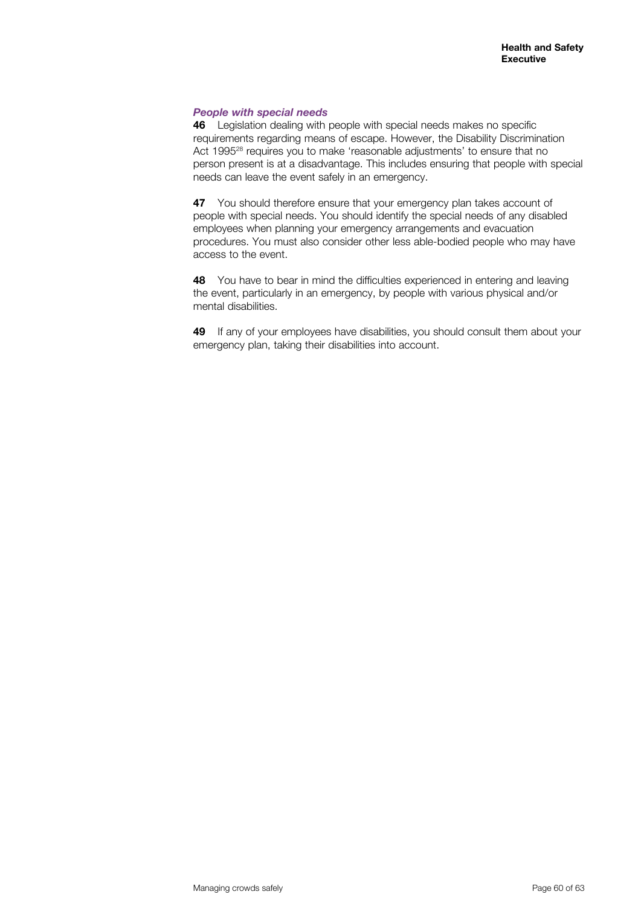#### *People with special needs*

**46** Legislation dealing with people with special needs makes no specific requirements regarding means of escape. However, the Disability Discrimination Act 1995<sup>28</sup> requires you to make 'reasonable adjustments' to ensure that no person present is at a disadvantage. This includes ensuring that people with special needs can leave the event safely in an emergency.

**47** You should therefore ensure that your emergency plan takes account of people with special needs. You should identify the special needs of any disabled employees when planning your emergency arrangements and evacuation procedures. You must also consider other less able-bodied people who may have access to the event.

**48** You have to bear in mind the difficulties experienced in entering and leaving the event, particularly in an emergency, by people with various physical and/or mental disabilities.

**49** If any of your employees have disabilities, you should consult them about your emergency plan, taking their disabilities into account.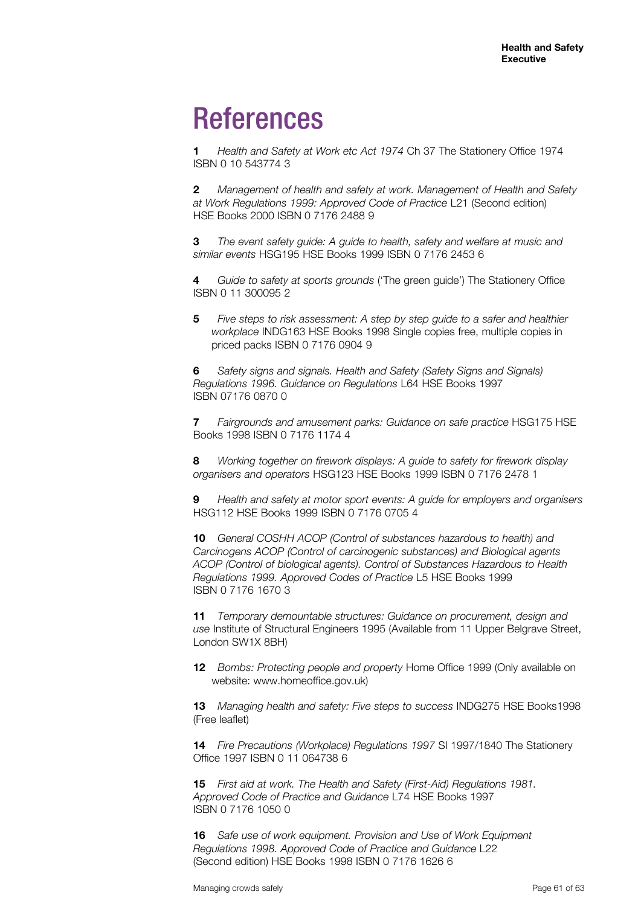# References

**1** *Health and Safety at Work etc Act 1974* Ch 37 The Stationery Office 1974 ISBN 0 10 543774 3

**2** *Management of health and safety at work. Management of Health and Safety at Work Regulations 1999: Approved Code of Practice* L21 (Second edition) HSE Books 2000 ISBN 0 7176 2488 9

**3** *The event safety guide: A guide to health, safety and welfare at music and similar events* HSG195 HSE Books 1999 ISBN 0 7176 2453 6

**4** *Guide to safety at sports grounds* ('The green guide') The Stationery Office ISBN 0 11 300095 2

**5** *Five steps to risk assessment: A step by step guide to a safer and healthier workplace* INDG163 HSE Books 1998 Single copies free, multiple copies in priced packs ISBN 0 7176 0904 9

**6** *Safety signs and signals. Health and Safety (Safety Signs and Signals) Regulations 1996. Guidance on Regulations* L64 HSE Books 1997 ISBN 07176 0870 0

**7** *Fairgrounds and amusement parks: Guidance on safe practice* HSG175 HSE Books 1998 ISBN 0 7176 1174 4

**8** *Working together on firework displays: A guide to safety for firework display organisers and operators* HSG123 HSE Books 1999 ISBN 0 7176 2478 1

**9** *Health and safety at motor sport events: A guide for employers and organisers* HSG112 HSE Books 1999 ISBN 0 7176 0705 4

**10** *General COSHH ACOP (Control of substances hazardous to health) and Carcinogens ACOP (Control of carcinogenic substances) and Biological agents ACOP (Control of biological agents). Control of Substances Hazardous to Health Regulations 1999. Approved Codes of Practice* L5 HSE Books 1999 ISBN 0 7176 1670 3

**11** *Temporary demountable structures: Guidance on procurement, design and use* Institute of Structural Engineers 1995 (Available from 11 Upper Belgrave Street, London SW1X 8BH)

**12** *Bombs: Protecting people and property* Home Office 1999 (Only available on website: www.homeoffice.gov.uk)

**13** *Managing health and safety: Five steps to success* INDG275 HSE Books1998 (Free leaflet)

**14** *Fire Precautions (Workplace) Regulations 1997* SI 1997/1840 The Stationery Office 1997 ISBN 0 11 064738 6

**15** *First aid at work. The Health and Safety (First-Aid) Regulations 1981. Approved Code of Practice and Guidance* L74 HSE Books 1997 ISBN 0 7176 1050 0

**16** *Safe use of work equipment. Provision and Use of Work Equipment Regulations 1998. Approved Code of Practice and Guidance* L22 (Second edition) HSE Books 1998 ISBN 0 7176 1626 6

Managing crowds safely **All and Struck and Struck and Struck** Page 61 of 63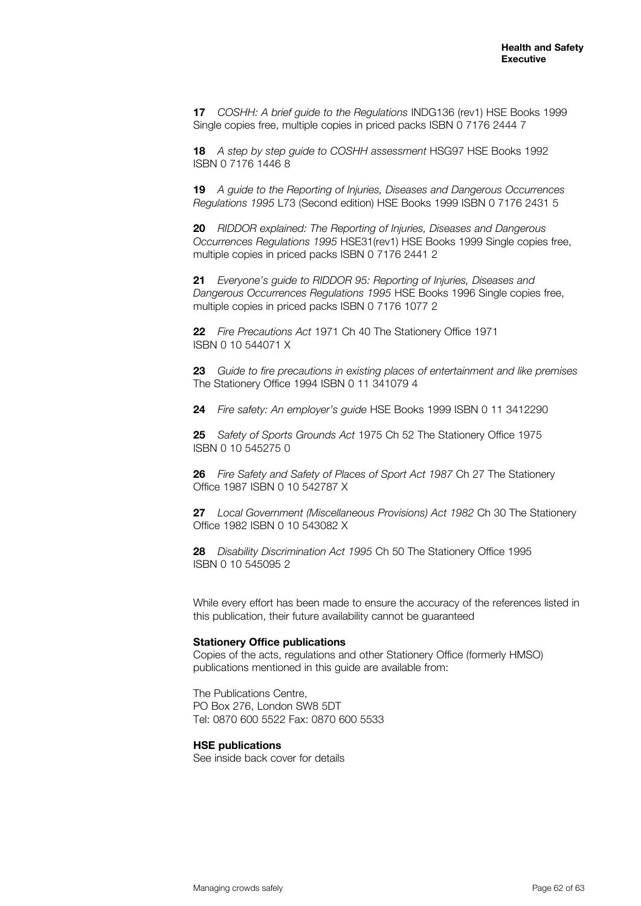**17** *COSHH: A brief guide to the Regulations* INDG136 (rev1) HSE Books 1999 Single copies free, multiple copies in priced packs ISBN 0 7176 2444 7

**18** *A step by step guide to COSHH assessment* HSG97 HSE Books 1992 ISBN 0 7176 1446 8

**19** *A guide to the Reporting of Injuries, Diseases and Dangerous Occurrences Regulations 1995* L73 (Second edition) HSE Books 1999 ISBN 0 7176 2431 5

**20** *RIDDOR explained: The Reporting of Injuries, Diseases and Dangerous Occurrences Regulations 1995* HSE31(rev1) HSE Books 1999 Single copies free, multiple copies in priced packs ISBN 0 7176 2441 2

**21** *Everyone's guide to RIDDOR 95: Reporting of Injuries, Diseases and Dangerous Occurrences Regulations 1995* HSE Books 1996 Single copies free, multiple copies in priced packs ISBN 0 7176 1077 2

**22** *Fire Precautions Act* 1971 Ch 40 The Stationery Office 1971 ISBN 0 10 544071 X

**23** *Guide to fire precautions in existing places of entertainment and like premises* The Stationery Office 1994 ISBN 0 11 341079 4

**24** *Fire safety: An employer's guide* HSE Books 1999 ISBN 0 11 3412290

**25** *Safety of Sports Grounds Act* 1975 Ch 52 The Stationery Office 1975 ISBN 0 10 545275 0

**26** *Fire Safety and Safety of Places of Sport Act 1987* Ch 27 The Stationery Office 1987 ISBN 0 10 542787 X

**27** *Local Government (Miscellaneous Provisions) Act 1982* Ch 30 The Stationery Office 1982 ISBN 0 10 543082 X

**28** *Disability Discrimination Act 1995* Ch 50 The Stationery Office 1995 ISBN 0 10 545095 2

While every effort has been made to ensure the accuracy of the references listed in this publication, their future availability cannot be guaranteed

#### **Stationery Office publications**

Copies of the acts, regulations and other Stationery Office (formerly HMSO) publications mentioned in this guide are available from:

The Publications Centre, PO Box 276, London SW8 5DT Tel: 0870 600 5522 Fax: 0870 600 5533

#### **HSE publications**

See inside back cover for details